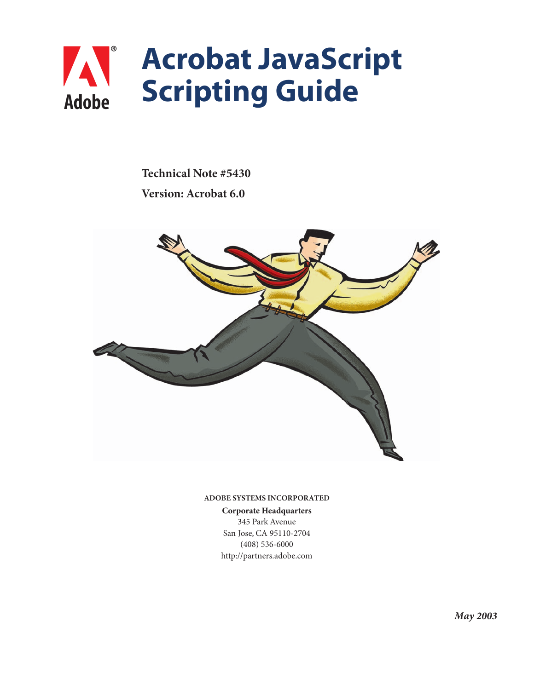<span id="page-0-0"></span>

**Technical Note #5430 Version: Acrobat 6.0**



#### **ADOBE SYSTEMS INCORPORATED**

**Corporate Headquarters** 345 Park Avenue San Jose, CA 95110-2704 (408) 536-6000 http://partners.adobe.com

*May 2003*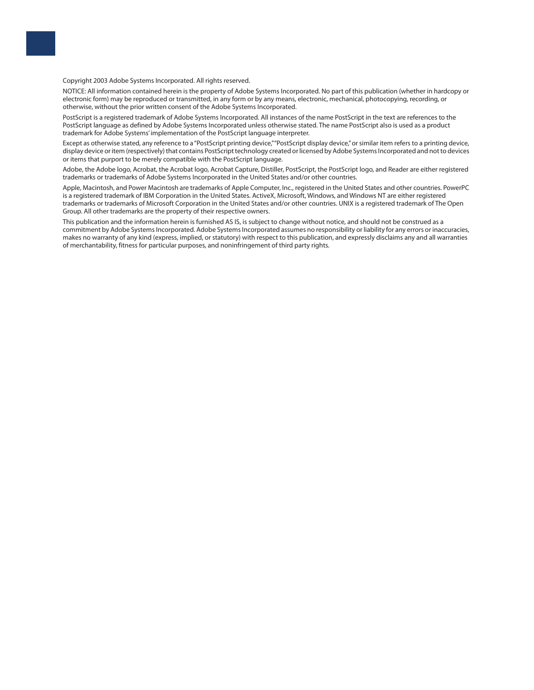Copyright 2003 Adobe Systems Incorporated. All rights reserved.

NOTICE: All information contained herein is the property of Adobe Systems Incorporated. No part of this publication (whether in hardcopy or electronic form) may be reproduced or transmitted, in any form or by any means, electronic, mechanical, photocopying, recording, or otherwise, without the prior written consent of the Adobe Systems Incorporated.

PostScript is a registered trademark of Adobe Systems Incorporated. All instances of the name PostScript in the text are references to the PostScript language as defined by Adobe Systems Incorporated unless otherwise stated. The name PostScript also is used as a product trademark for Adobe Systems' implementation of the PostScript language interpreter.

Except as otherwise stated, any reference to a "PostScript printing device," "PostScript display device," or similar item refers to a printing device, display device or item (respectively) that contains PostScript technology created or licensed by Adobe Systems Incorporated and not to devices or items that purport to be merely compatible with the PostScript language.

Adobe, the Adobe logo, Acrobat, the Acrobat logo, Acrobat Capture, Distiller, PostScript, the PostScript logo, and Reader are either registered trademarks or trademarks of Adobe Systems Incorporated in the United States and/or other countries.

Apple, Macintosh, and Power Macintosh are trademarks of Apple Computer, Inc., registered in the United States and other countries. PowerPC is a registered trademark of IBM Corporation in the United States. ActiveX, Microsoft, Windows, and Windows NT are either registered trademarks or trademarks of Microsoft Corporation in the United States and/or other countries. UNIX is a registered trademark of The Open Group. All other trademarks are the property of their respective owners.

This publication and the information herein is furnished AS IS, is subject to change without notice, and should not be construed as a commitment by Adobe Systems Incorporated. Adobe Systems Incorporated assumes no responsibility or liability for any errors or inaccuracies, makes no warranty of any kind (express, implied, or statutory) with respect to this publication, and expressly disclaims any and all warranties of merchantability, fitness for particular purposes, and noninfringement of third party rights.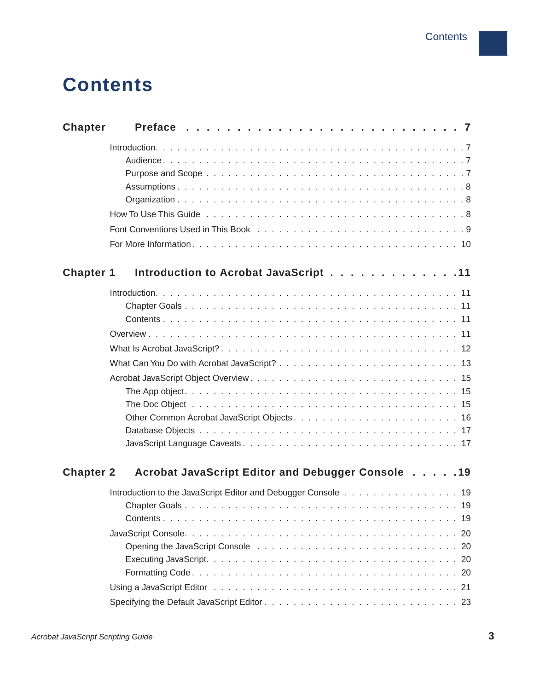# **Contents**

| <b>Chapter</b>   |                                                               |
|------------------|---------------------------------------------------------------|
|                  |                                                               |
|                  |                                                               |
|                  |                                                               |
|                  |                                                               |
|                  |                                                               |
|                  |                                                               |
|                  |                                                               |
|                  |                                                               |
| <b>Chapter 1</b> | Introduction to Acrobat JavaScript 11                         |
|                  |                                                               |
|                  |                                                               |
|                  |                                                               |
|                  |                                                               |
|                  |                                                               |
|                  |                                                               |
|                  |                                                               |
|                  |                                                               |
|                  |                                                               |
|                  |                                                               |
|                  |                                                               |
|                  |                                                               |
| <b>Chapter 2</b> | Acrobat JavaScript Editor and Debugger Console 19             |
|                  | Introduction to the JavaScript Editor and Debugger Console 19 |
|                  |                                                               |
|                  |                                                               |
|                  |                                                               |
|                  |                                                               |
|                  |                                                               |
|                  |                                                               |
|                  |                                                               |
|                  |                                                               |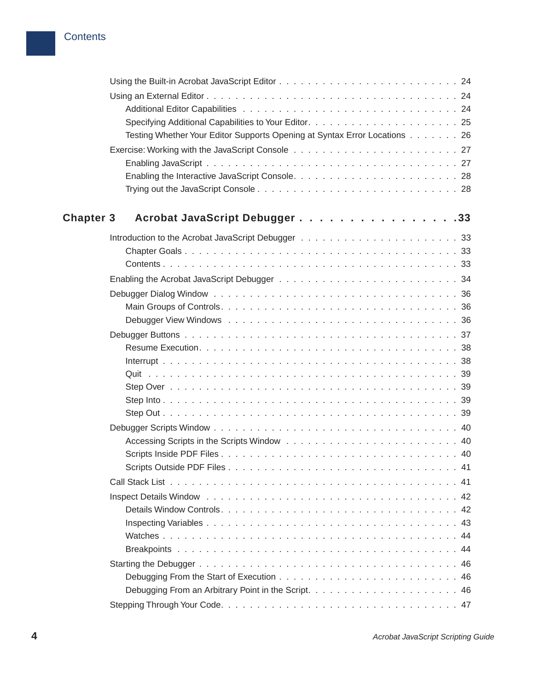|                  | Testing Whether Your Editor Supports Opening at Syntax Error Locations 26 |
|------------------|---------------------------------------------------------------------------|
|                  |                                                                           |
|                  |                                                                           |
|                  |                                                                           |
|                  |                                                                           |
|                  |                                                                           |
| <b>Chapter 3</b> | Acrobat JavaScript Debugger 33                                            |
|                  |                                                                           |
|                  |                                                                           |
|                  |                                                                           |
|                  |                                                                           |
|                  |                                                                           |
|                  |                                                                           |
|                  |                                                                           |
|                  |                                                                           |
|                  |                                                                           |
|                  |                                                                           |
|                  |                                                                           |
|                  |                                                                           |
|                  |                                                                           |
|                  |                                                                           |
|                  |                                                                           |
|                  |                                                                           |
|                  |                                                                           |
|                  |                                                                           |
|                  |                                                                           |
|                  |                                                                           |
|                  |                                                                           |
|                  |                                                                           |
|                  |                                                                           |
|                  |                                                                           |
|                  |                                                                           |
|                  |                                                                           |
|                  |                                                                           |
|                  |                                                                           |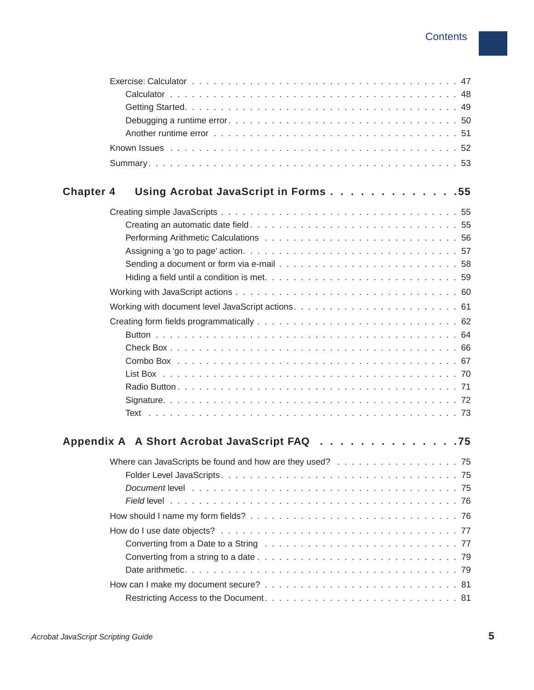| <b>Chapter 4</b> | Using Acrobat JavaScript in Forms 55                                                                                    |
|------------------|-------------------------------------------------------------------------------------------------------------------------|
|                  |                                                                                                                         |
|                  |                                                                                                                         |
|                  |                                                                                                                         |
|                  |                                                                                                                         |
|                  |                                                                                                                         |
|                  | Hiding a field until a condition is met. $\ldots \ldots \ldots \ldots \ldots \ldots \ldots \ldots \ldots \ldots \ldots$ |
|                  |                                                                                                                         |
|                  |                                                                                                                         |
|                  |                                                                                                                         |
|                  |                                                                                                                         |
|                  |                                                                                                                         |
|                  |                                                                                                                         |
|                  |                                                                                                                         |
|                  |                                                                                                                         |
|                  |                                                                                                                         |
|                  |                                                                                                                         |
|                  | Appendix A A Short Acrobat JavaScript FAQ 75                                                                            |
|                  | Where can JavaScripts be found and how are they used? 75                                                                |
|                  |                                                                                                                         |
|                  |                                                                                                                         |
|                  |                                                                                                                         |
|                  |                                                                                                                         |
|                  |                                                                                                                         |
|                  |                                                                                                                         |
|                  |                                                                                                                         |
|                  |                                                                                                                         |
|                  |                                                                                                                         |
|                  |                                                                                                                         |
|                  |                                                                                                                         |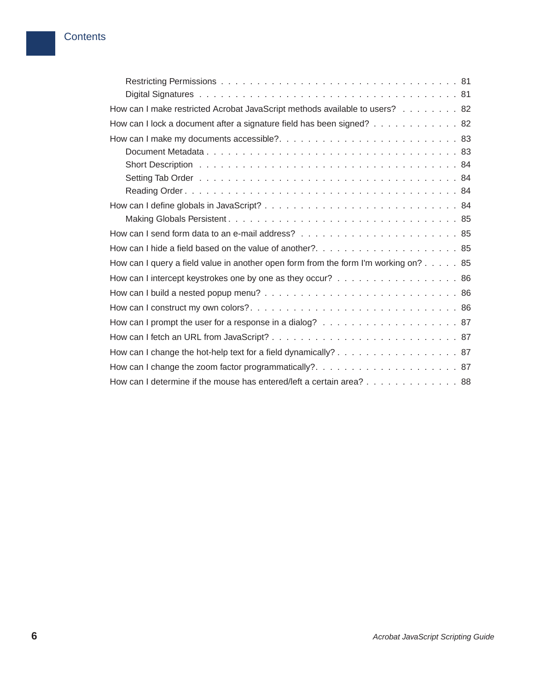| How can I make restricted Acrobat JavaScript methods available to users? 82         |
|-------------------------------------------------------------------------------------|
| How can I lock a document after a signature field has been signed? 82               |
|                                                                                     |
|                                                                                     |
|                                                                                     |
|                                                                                     |
|                                                                                     |
|                                                                                     |
|                                                                                     |
|                                                                                     |
|                                                                                     |
| How can I query a field value in another open form from the form I'm working on? 85 |
| How can I intercept keystrokes one by one as they occur? 86                         |
|                                                                                     |
|                                                                                     |
|                                                                                     |
|                                                                                     |
| How can I change the hot-help text for a field dynamically? 87                      |
|                                                                                     |
| How can I determine if the mouse has entered/left a certain area? 88                |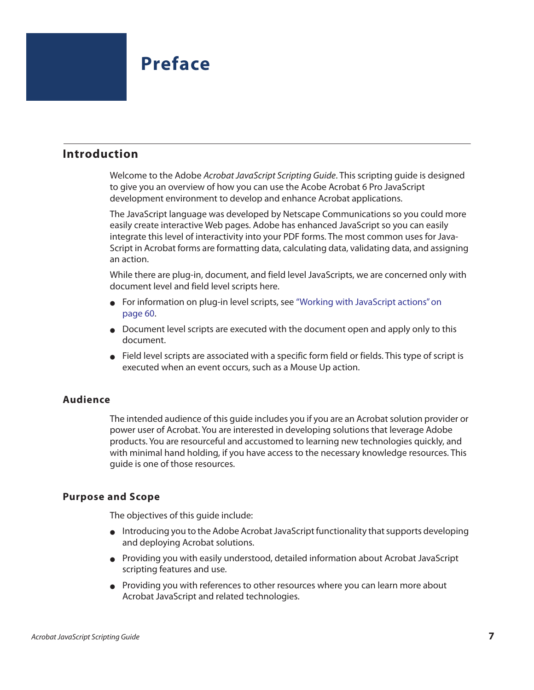# <span id="page-6-0"></span>**Preface**

## <span id="page-6-1"></span>**Introduction**

Welcome to the Adobe Acrobat JavaScript Scripting Guide. This scripting guide is designed to give you an overview of how you can use the Acobe Acrobat 6 Pro JavaScript development environment to develop and enhance Acrobat applications.

The JavaScript language was developed by Netscape Communications so you could more easily create interactive Web pages. Adobe has enhanced JavaScript so you can easily integrate this level of interactivity into your PDF forms. The most common uses for Java-Script in Acrobat forms are formatting data, calculating data, validating data, and assigning an action.

While there are plug-in, document, and field level JavaScripts, we are concerned only with document level and field level scripts here.

- For information on plug-in level scripts, see ["Working with JavaScript actions" on](#page-59-1)  [page 60](#page-59-1).
- Document level scripts are executed with the document open and apply only to this document.
- Field level scripts are associated with a specific form field or fields. This type of script is executed when an event occurs, such as a Mouse Up action.

#### <span id="page-6-2"></span>**Audience**

The intended audience of this guide includes you if you are an Acrobat solution provider or power user of Acrobat. You are interested in developing solutions that leverage Adobe products. You are resourceful and accustomed to learning new technologies quickly, and with minimal hand holding, if you have access to the necessary knowledge resources. This guide is one of those resources.

#### <span id="page-6-3"></span>**Purpose and Scope**

The objectives of this guide include:

- Introducing you to the Adobe Acrobat JavaScript functionality that supports developing and deploying Acrobat solutions.
- Providing you with easily understood, detailed information about Acrobat JavaScript scripting features and use.
- Providing you with references to other resources where you can learn more about Acrobat JavaScript and related technologies.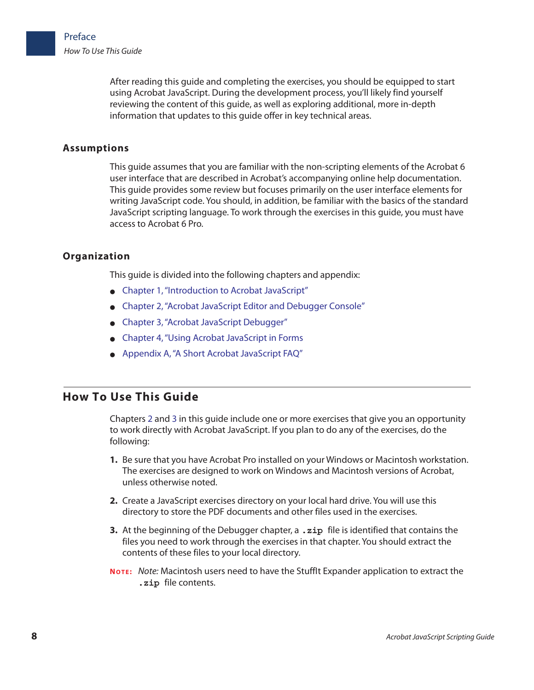After reading this guide and completing the exercises, you should be equipped to start using Acrobat JavaScript. During the development process, you'll likely find yourself reviewing the content of this guide, as well as exploring additional, more in-depth information that updates to this guide offer in key technical areas.

#### <span id="page-7-0"></span>**Assumptions**

This guide assumes that you are familiar with the non-scripting elements of the Acrobat 6 user interface that are described in Acrobat's accompanying online help documentation. This guide provides some review but focuses primarily on the user interface elements for writing JavaScript code. You should, in addition, be familiar with the basics of the standard JavaScript scripting language. To work through the exercises in this guide, you must have access to Acrobat 6 Pro.

### <span id="page-7-1"></span>**Organization**

This guide is divided into the following chapters and appendix:

- [Chapter 1, "Introduction to Acrobat JavaScript"](#page-10-5)
- [Chapter 2, "Acrobat JavaScript Editor and Debugger Console"](#page-18-4)
- [Chapter 3, "Acrobat JavaScript Debugger"](#page-32-4)
- [Chapter 4, "Using Acrobat JavaScript in Forms](#page-54-3)
- [Appendix A, "A Short Acrobat JavaScript FAQ"](#page-74-4)

# <span id="page-7-2"></span>**How To Use This Guide**

Chapters [2](#page-18-5) and [3](#page-32-5) in this guide include one or more exercises that give you an opportunity to work directly with Acrobat JavaScript. If you plan to do any of the exercises, do the following:

- **1.** Be sure that you have Acrobat Pro installed on your Windows or Macintosh workstation. The exercises are designed to work on Windows and Macintosh versions of Acrobat, unless otherwise noted.
- **2.** Create a JavaScript exercises directory on your local hard drive. You will use this directory to store the PDF documents and other files used in the exercises.
- **3.** At the beginning of the Debugger chapter, a **.zip** file is identified that contains the files you need to work through the exercises in that chapter. You should extract the contents of these files to your local directory.
- **NOTE:** Note: Macintosh users need to have the StuffIt Expander application to extract the **.zip** file contents.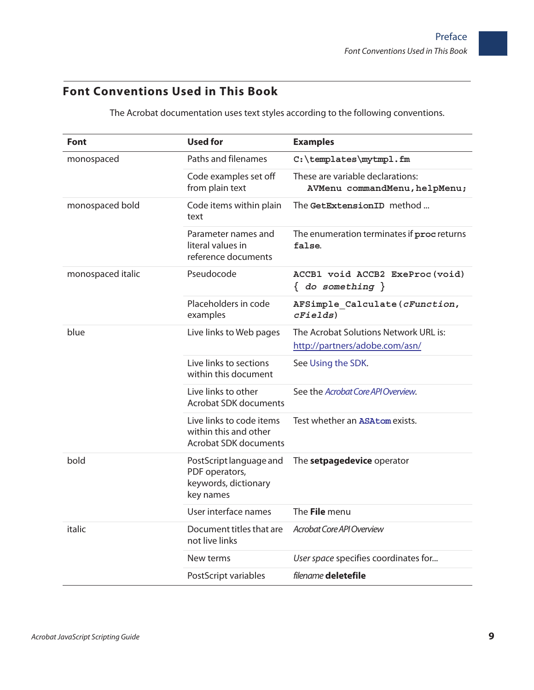# <span id="page-8-0"></span>**Font Conventions Used in This Book**

The Acrobat documentation uses text styles according to the following conventions.

| Font              | <b>Used for</b>                                                                   | <b>Examples</b>                                                         |
|-------------------|-----------------------------------------------------------------------------------|-------------------------------------------------------------------------|
| monospaced        | Paths and filenames                                                               | C:\templates\mytmpl.fm                                                  |
|                   | Code examples set off<br>from plain text                                          | These are variable declarations:<br>AVMenu commandMenu, helpMenu;       |
| monospaced bold   | Code items within plain<br>text                                                   | The GetExtensionID method                                               |
|                   | Parameter names and<br>literal values in<br>reference documents                   | The enumeration terminates if proc returns<br>false.                    |
| monospaced italic | Pseudocode                                                                        | ACCB1 void ACCB2 ExeProc(void)<br>$\{ do something \}$                  |
|                   | Placeholders in code<br>examples                                                  | AFSimple Calculate (cFunction,<br>$cFields$ )                           |
| blue              | Live links to Web pages                                                           | The Acrobat Solutions Network URL is:<br>http://partners/adobe.com/asn/ |
|                   | Live links to sections<br>within this document                                    | See Using the SDK.                                                      |
|                   | Live links to other<br><b>Acrobat SDK documents</b>                               | See the Acrobat Core API Overview.                                      |
|                   | Live links to code items<br>within this and other<br><b>Acrobat SDK documents</b> | Test whether an <b>ASAtom</b> exists.                                   |
| bold              | PostScript language and<br>PDF operators,<br>keywords, dictionary<br>key names    | The setpagedevice operator                                              |
|                   | User interface names                                                              | The File menu                                                           |
| italic            | Document titles that are<br>not live links                                        | Acrobat Core API Overview                                               |
|                   | New terms                                                                         | User space specifies coordinates for                                    |
|                   | PostScript variables                                                              | filename deletefile                                                     |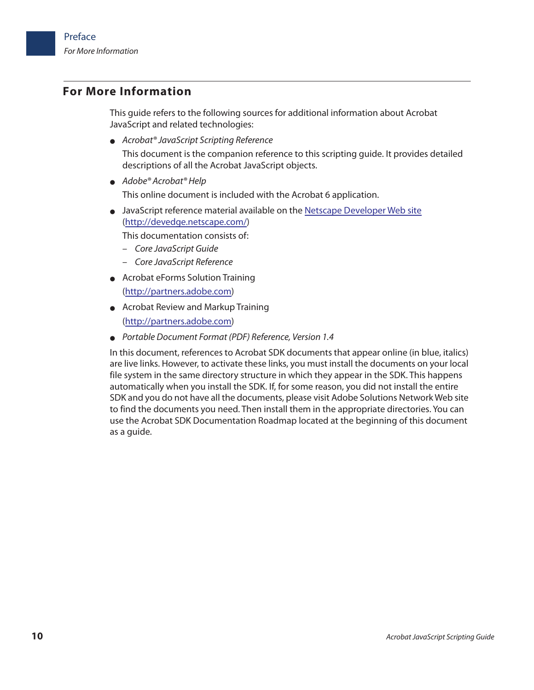# <span id="page-9-1"></span><span id="page-9-0"></span>**For More Information**

This guide refers to the following sources for additional information about Acrobat JavaScript and related technologies:

● Acrobat<sup>®</sup> JavaScript Scripting Reference

This document is the companion reference to this scripting guide. It provides detailed descriptions of all the Acrobat JavaScript objects.

- Adobe® Acrobat® Help This online document is included with the Acrobat 6 application.
- JavaScript reference material available on the [Netscape Developer Web site](http://devedge.netscape.com/) (<http://devedge.netscape.com/>)

This documentation consists of:

- Core JavaScript Guide
- Core JavaScript Reference
- Acrobat eForms Solution Training (<http://partners.adobe.com>)
- Acrobat Review and Markup Training (<http://partners.adobe.com>)
- Portable Document Format (PDF) Reference, Version 1.4

In this document, references to Acrobat SDK documents that appear online (in blue, italics) are live links. However, to activate these links, you must install the documents on your local file system in the same directory structure in which they appear in the SDK. This happens automatically when you install the SDK. If, for some reason, you did not install the entire SDK and you do not have all the documents, please visit Adobe Solutions Network Web site to find the documents you need. Then install them in the appropriate directories. You can use the Acrobat SDK Documentation Roadmap located at the beginning of this document as a guide.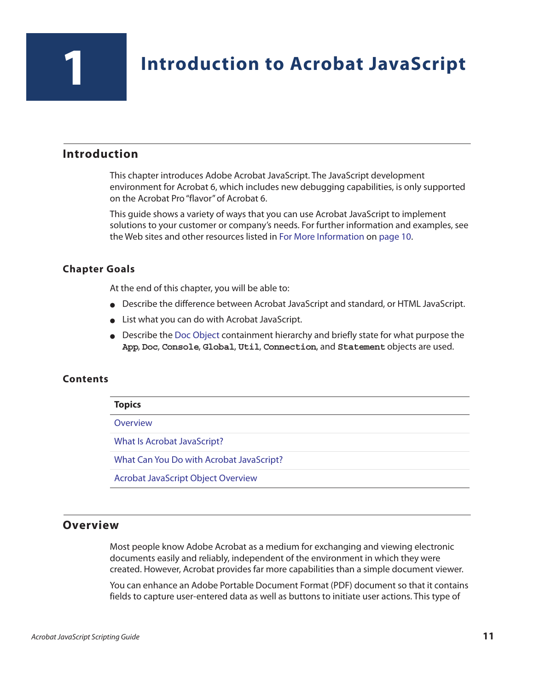# <span id="page-10-5"></span><span id="page-10-0"></span>**1 Introduction to Acrobat JavaScript**

# <span id="page-10-1"></span>**Introduction**

This chapter introduces Adobe Acrobat JavaScript. The JavaScript development environment for Acrobat 6, which includes new debugging capabilities, is only supported on the Acrobat Pro "flavor" of Acrobat 6.

This guide shows a variety of ways that you can use Acrobat JavaScript to implement solutions to your customer or company's needs. For further information and examples, see the Web sites and other resources listed in [For More Information](#page-9-1) on [page 10.](#page-9-1)

#### <span id="page-10-2"></span>**Chapter Goals**

At the end of this chapter, you will be able to:

- Describe the difference between Acrobat JavaScript and standard, or HTML JavaScript.
- List what you can do with Acrobat JavaScript.
- Describe the Doc Object containment hierarchy and briefly state for what purpose the **App**, **Doc**, **Console**, **Global**, **Util**, **Connection**, and **Statement** objects are used.

### <span id="page-10-3"></span>**Contents**

| <b>Topics</b>                             |  |
|-------------------------------------------|--|
| Overview                                  |  |
| <b>What Is Acrobat JavaScript?</b>        |  |
| What Can You Do with Acrobat JavaScript?  |  |
| <b>Acrobat JavaScript Object Overview</b> |  |
|                                           |  |

## <span id="page-10-4"></span>**Overview**

Most people know Adobe Acrobat as a medium for exchanging and viewing electronic documents easily and reliably, independent of the environment in which they were created. However, Acrobat provides far more capabilities than a simple document viewer.

You can enhance an Adobe Portable Document Format (PDF) document so that it contains fields to capture user-entered data as well as buttons to initiate user actions. This type of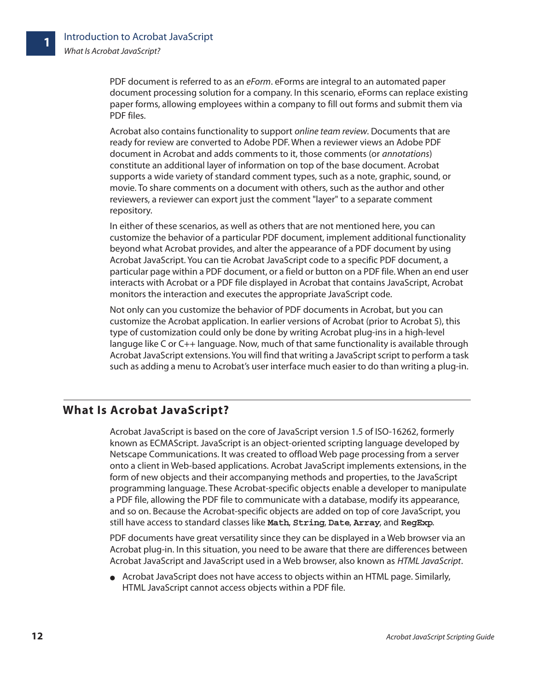PDF document is referred to as an eForm. eForms are integral to an automated paper document processing solution for a company. In this scenario, eForms can replace existing paper forms, allowing employees within a company to fill out forms and submit them via PDF files.

Acrobat also contains functionality to support online team review. Documents that are ready for review are converted to Adobe PDF. When a reviewer views an Adobe PDF document in Acrobat and adds comments to it, those comments (or *annotations*) constitute an additional layer of information on top of the base document. Acrobat supports a wide variety of standard comment types, such as a note, graphic, sound, or movie. To share comments on a document with others, such as the author and other reviewers, a reviewer can export just the comment "layer" to a separate comment repository.

In either of these scenarios, as well as others that are not mentioned here, you can customize the behavior of a particular PDF document, implement additional functionality beyond what Acrobat provides, and alter the appearance of a PDF document by using Acrobat JavaScript. You can tie Acrobat JavaScript code to a specific PDF document, a particular page within a PDF document, or a field or button on a PDF file. When an end user interacts with Acrobat or a PDF file displayed in Acrobat that contains JavaScript, Acrobat monitors the interaction and executes the appropriate JavaScript code.

Not only can you customize the behavior of PDF documents in Acrobat, but you can customize the Acrobat application. In earlier versions of Acrobat (prior to Acrobat 5), this type of customization could only be done by writing Acrobat plug-ins in a high-level languge like C or C++ language. Now, much of that same functionality is available through Acrobat JavaScript extensions. You will find that writing a JavaScript script to perform a task such as adding a menu to Acrobat's user interface much easier to do than writing a plug-in.

## <span id="page-11-0"></span>**What Is Acrobat JavaScript?**

Acrobat JavaScript is based on the core of JavaScript version 1.5 of ISO-16262, formerly known as ECMAScript. JavaScript is an object-oriented scripting language developed by Netscape Communications. It was created to offload Web page processing from a server onto a client in Web-based applications. Acrobat JavaScript implements extensions, in the form of new objects and their accompanying methods and properties, to the JavaScript programming language. These Acrobat-specific objects enable a developer to manipulate a PDF file, allowing the PDF file to communicate with a database, modify its appearance, and so on. Because the Acrobat-specific objects are added on top of core JavaScript, you still have access to standard classes like **Math**, **String**, **Date**, **Array**, and **RegExp**.

PDF documents have great versatility since they can be displayed in a Web browser via an Acrobat plug-in. In this situation, you need to be aware that there are differences between Acrobat JavaScript and JavaScript used in a Web browser, also known as HTML JavaScript.

● Acrobat JavaScript does not have access to objects within an HTML page. Similarly, HTML JavaScript cannot access objects within a PDF file.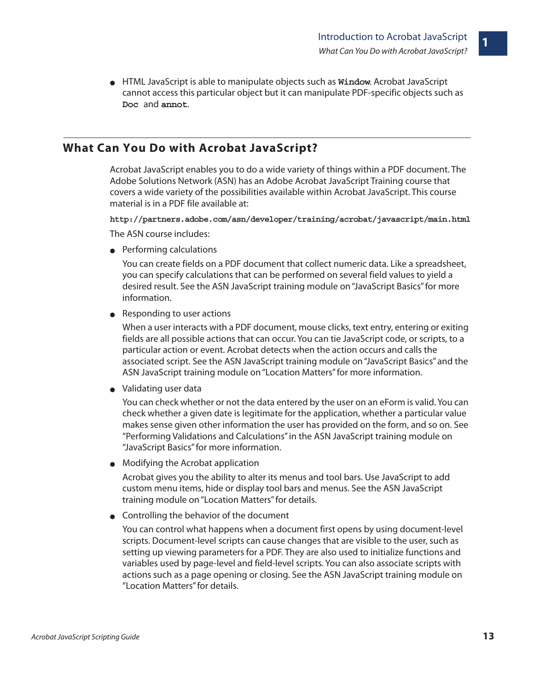● HTML JavaScript is able to manipulate objects such as **Window**. Acrobat JavaScript cannot access this particular object but it can manipulate PDF-specific objects such as **Doc** and **annot**.

# <span id="page-12-0"></span>**What Can You Do with Acrobat JavaScript?**

Acrobat JavaScript enables you to do a wide variety of things within a PDF document. The Adobe Solutions Network (ASN) has an Adobe Acrobat JavaScript Training course that covers a wide variety of the possibilities available within Acrobat JavaScript. This course material is in a PDF file available at:

**http://partners.adobe.com/asn/developer/training/acrobat/javascript/main.html**

The ASN course includes:

● Performing calculations

You can create fields on a PDF document that collect numeric data. Like a spreadsheet, you can specify calculations that can be performed on several field values to yield a desired result. See the ASN JavaScript training module on "JavaScript Basics" for more information.

● Responding to user actions

When a user interacts with a PDF document, mouse clicks, text entry, entering or exiting fields are all possible actions that can occur. You can tie JavaScript code, or scripts, to a particular action or event. Acrobat detects when the action occurs and calls the associated script. See the ASN JavaScript training module on "JavaScript Basics" and the ASN JavaScript training module on "Location Matters" for more information.

● Validating user data

You can check whether or not the data entered by the user on an eForm is valid. You can check whether a given date is legitimate for the application, whether a particular value makes sense given other information the user has provided on the form, and so on. See "Performing Validations and Calculations" in the ASN JavaScript training module on "JavaScript Basics" for more information.

● Modifying the Acrobat application

Acrobat gives you the ability to alter its menus and tool bars. Use JavaScript to add custom menu items, hide or display tool bars and menus. See the ASN JavaScript training module on "Location Matters" for details.

● Controlling the behavior of the document

You can control what happens when a document first opens by using document-level scripts. Document-level scripts can cause changes that are visible to the user, such as setting up viewing parameters for a PDF. They are also used to initialize functions and variables used by page-level and field-level scripts. You can also associate scripts with actions such as a page opening or closing. See the ASN JavaScript training module on "Location Matters" for details.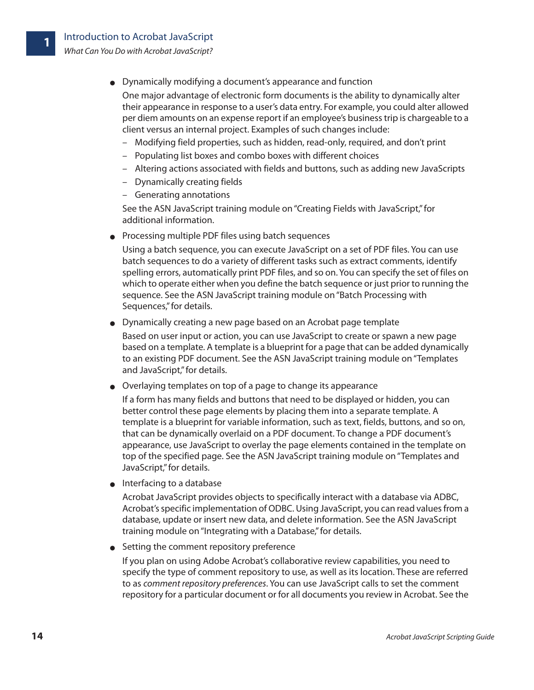● Dynamically modifying a document's appearance and function

One major advantage of electronic form documents is the ability to dynamically alter their appearance in response to a user's data entry. For example, you could alter allowed per diem amounts on an expense report if an employee's business trip is chargeable to a client versus an internal project. Examples of such changes include:

- Modifying field properties, such as hidden, read-only, required, and don't print
- Populating list boxes and combo boxes with different choices
- Altering actions associated with fields and buttons, such as adding new JavaScripts
- Dynamically creating fields
- Generating annotations

See the ASN JavaScript training module on "Creating Fields with JavaScript," for additional information.

● Processing multiple PDF files using batch sequences

Using a batch sequence, you can execute JavaScript on a set of PDF files. You can use batch sequences to do a variety of different tasks such as extract comments, identify spelling errors, automatically print PDF files, and so on. You can specify the set of files on which to operate either when you define the batch sequence or just prior to running the sequence. See the ASN JavaScript training module on "Batch Processing with Sequences," for details.

● Dynamically creating a new page based on an Acrobat page template

Based on user input or action, you can use JavaScript to create or spawn a new page based on a template. A template is a blueprint for a page that can be added dynamically to an existing PDF document. See the ASN JavaScript training module on "Templates and JavaScript," for details.

● Overlaying templates on top of a page to change its appearance

If a form has many fields and buttons that need to be displayed or hidden, you can better control these page elements by placing them into a separate template. A template is a blueprint for variable information, such as text, fields, buttons, and so on, that can be dynamically overlaid on a PDF document. To change a PDF document's appearance, use JavaScript to overlay the page elements contained in the template on top of the specified page. See the ASN JavaScript training module on "Templates and JavaScript," for details.

● Interfacing to a database

Acrobat JavaScript provides objects to specifically interact with a database via ADBC, Acrobat's specific implementation of ODBC. Using JavaScript, you can read values from a database, update or insert new data, and delete information. See the ASN JavaScript training module on "Integrating with a Database," for details.

● Setting the comment repository preference

If you plan on using Adobe Acrobat's collaborative review capabilities, you need to specify the type of comment repository to use, as well as its location. These are referred to as comment repository preferences. You can use JavaScript calls to set the comment repository for a particular document or for all documents you review in Acrobat. See the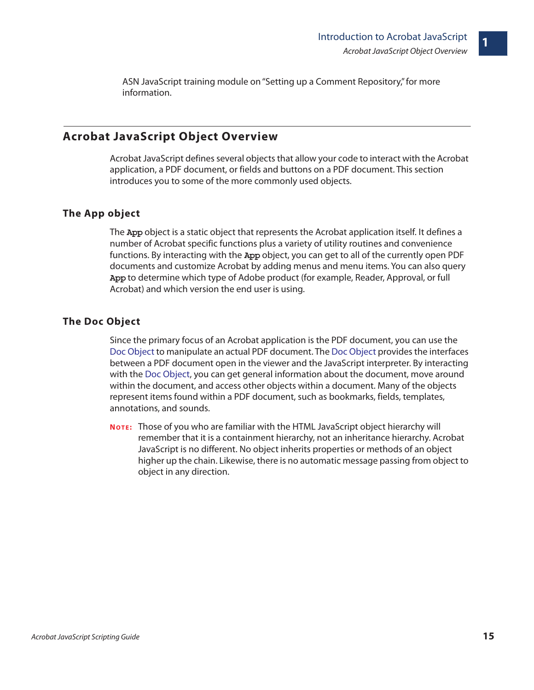ASN JavaScript training module on "Setting up a Comment Repository," for more information.

# <span id="page-14-0"></span>**Acrobat JavaScript Object Overview**

Acrobat JavaScript defines several objects that allow your code to interact with the Acrobat application, a PDF document, or fields and buttons on a PDF document. This section introduces you to some of the more commonly used objects.

#### <span id="page-14-1"></span>**The App object**

The **App** object is a static object that represents the Acrobat application itself. It defines a number of Acrobat specific functions plus a variety of utility routines and convenience functions. By interacting with the **App** object, you can get to all of the currently open PDF documents and customize Acrobat by adding menus and menu items. You can also query **App** to determine which type of Adobe product (for example, Reader, Approval, or full Acrobat) and which version the end user is using.

#### <span id="page-14-2"></span>**The Doc Object**

Since the primary focus of an Acrobat application is the PDF document, you can use the Doc Object to manipulate an actual PDF document. The Doc Object provides the interfaces between a PDF document open in the viewer and the JavaScript interpreter. By interacting with the Doc Object, you can get general information about the document, move around within the document, and access other objects within a document. Many of the objects represent items found within a PDF document, such as bookmarks, fields, templates, annotations, and sounds.

**NOTE:** Those of you who are familiar with the HTML JavaScript object hierarchy will remember that it is a containment hierarchy, not an inheritance hierarchy. Acrobat JavaScript is no different. No object inherits properties or methods of an object higher up the chain. Likewise, there is no automatic message passing from object to object in any direction.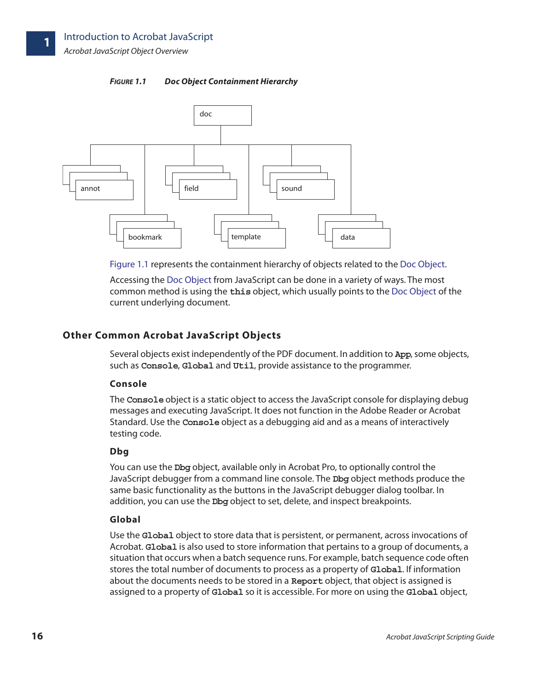#### **FIGURE 1.1 Doc Object Containment Hierarchy**

<span id="page-15-1"></span>

[Figure 1.1](#page-15-1) represents the containment hierarchy of objects related to the Doc Object.

Accessing the Doc Object from JavaScript can be done in a variety of ways. The most common method is using the **this** object, which usually points to the Doc Object of the current underlying document.

### <span id="page-15-0"></span>**Other Common Acrobat JavaScript Objects**

Several objects exist independently of the PDF document. In addition to **App**, some objects, such as **Console**, **Global** and **Util**, provide assistance to the programmer.

#### **Console**

The **Console** object is a static object to access the JavaScript console for displaying debug messages and executing JavaScript. It does not function in the Adobe Reader or Acrobat Standard. Use the **Console** object as a debugging aid and as a means of interactively testing code.

#### **Dbg**

You can use the **Dbg** object, available only in Acrobat Pro, to optionally control the JavaScript debugger from a command line console. The **Dbg** object methods produce the same basic functionality as the buttons in the JavaScript debugger dialog toolbar. In addition, you can use the **Dbg** object to set, delete, and inspect breakpoints.

#### **Global**

Use the **Global** object to store data that is persistent, or permanent, across invocations of Acrobat. **Global** is also used to store information that pertains to a group of documents, a situation that occurs when a batch sequence runs. For example, batch sequence code often stores the total number of documents to process as a property of **Global**. If information about the documents needs to be stored in a **Report** object, that object is assigned is assigned to a property of **Global** so it is accessible. For more on using the **Global** object,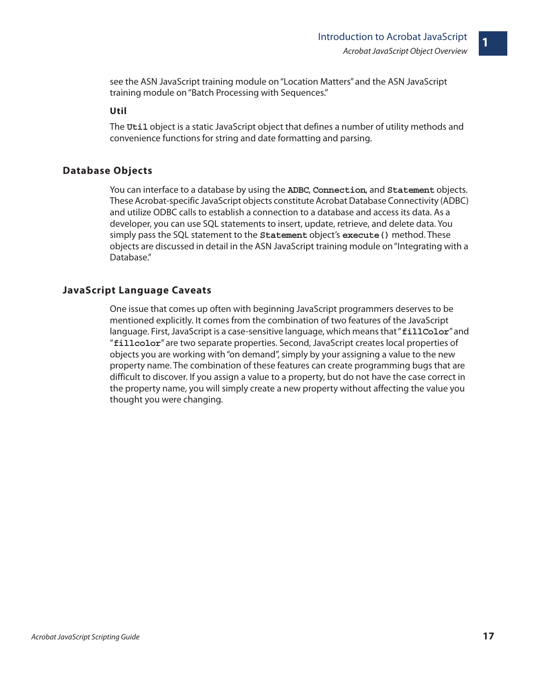see the ASN JavaScript training module on "Location Matters" and the ASN JavaScript training module on "Batch Processing with Sequences."

#### **Util**

The **Util** object is a static JavaScript object that defines a number of utility methods and convenience functions for string and date formatting and parsing.

#### <span id="page-16-0"></span>**Database Objects**

You can interface to a database by using the **ADBC**, **Connection**, and **Statement** objects. These Acrobat-specific JavaScript objects constitute Acrobat Database Connectivity (ADBC) and utilize ODBC calls to establish a connection to a database and access its data. As a developer, you can use SQL statements to insert, update, retrieve, and delete data. You simply pass the SQL statement to the **Statement** object's **execute()** method. These objects are discussed in detail in the ASN JavaScript training module on "Integrating with a Database."

#### <span id="page-16-1"></span>**JavaScript Language Caveats**

One issue that comes up often with beginning JavaScript programmers deserves to be mentioned explicitly. It comes from the combination of two features of the JavaScript language. First, JavaScript is a case-sensitive language, which means that "**fillColor**" and "**fillcolor**" are two separate properties. Second, JavaScript creates local properties of objects you are working with "on demand", simply by your assigning a value to the new property name. The combination of these features can create programming bugs that are difficult to discover. If you assign a value to a property, but do not have the case correct in the property name, you will simply create a new property without affecting the value you thought you were changing.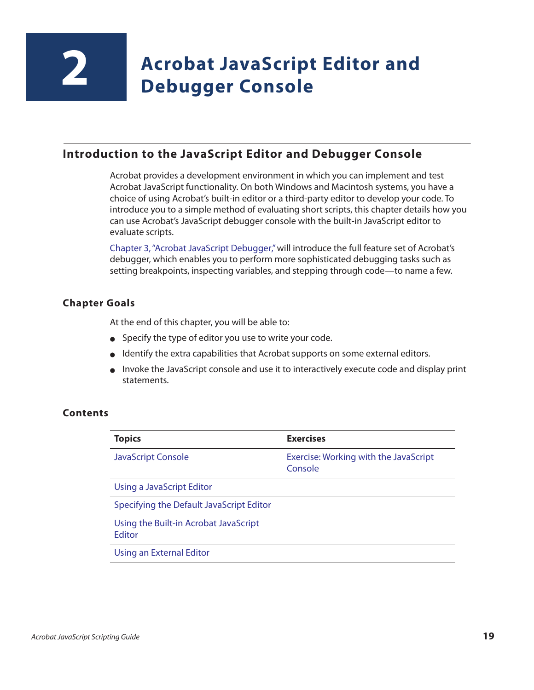# <span id="page-18-5"></span><span id="page-18-4"></span><span id="page-18-0"></span>**2 Acrobat JavaScript Editor and Debugger Console**

# <span id="page-18-1"></span>**Introduction to the JavaScript Editor and Debugger Console**

Acrobat provides a development environment in which you can implement and test Acrobat JavaScript functionality. On both Windows and Macintosh systems, you have a choice of using Acrobat's built-in editor or a third-party editor to develop your code. To introduce you to a simple method of evaluating short scripts, this chapter details how you can use Acrobat's JavaScript debugger console with the built-in JavaScript editor to evaluate scripts.

[Chapter 3, "Acrobat JavaScript Debugger,](#page-32-4)" will introduce the full feature set of Acrobat's debugger, which enables you to perform more sophisticated debugging tasks such as setting breakpoints, inspecting variables, and stepping through code—to name a few.

## <span id="page-18-2"></span>**Chapter Goals**

At the end of this chapter, you will be able to:

- Specify the type of editor you use to write your code.
- Identify the extra capabilities that Acrobat supports on some external editors.
- Invoke the JavaScript console and use it to interactively execute code and display print statements.

## <span id="page-18-3"></span>**Contents**

| <b>Topics</b>                                   | <b>Exercises</b>                                 |
|-------------------------------------------------|--------------------------------------------------|
| <b>JavaScript Console</b>                       | Exercise: Working with the JavaScript<br>Console |
| Using a JavaScript Editor                       |                                                  |
| Specifying the Default JavaScript Editor        |                                                  |
| Using the Built-in Acrobat JavaScript<br>Editor |                                                  |
| Using an External Editor                        |                                                  |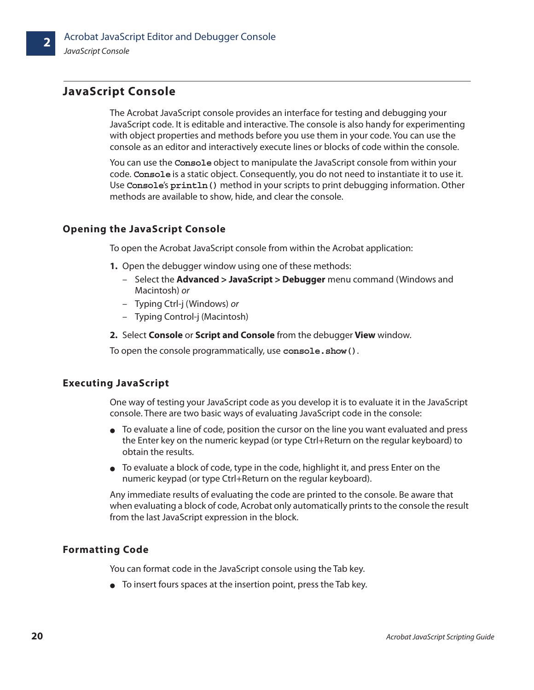# <span id="page-19-0"></span>**JavaScript Console**

The Acrobat JavaScript console provides an interface for testing and debugging your JavaScript code. It is editable and interactive. The console is also handy for experimenting with object properties and methods before you use them in your code. You can use the console as an editor and interactively execute lines or blocks of code within the console.

You can use the **Console** object to manipulate the JavaScript console from within your code. **Console** is a static object. Consequently, you do not need to instantiate it to use it. Use **Console**'s **println()** method in your scripts to print debugging information. Other methods are available to show, hide, and clear the console.

## <span id="page-19-1"></span>**Opening the JavaScript Console**

To open the Acrobat JavaScript console from within the Acrobat application:

- **1.** Open the debugger window using one of these methods:
	- Select the **Advanced > JavaScript > Debugger** menu command (Windows and Macintosh) or
	- Typing Ctrl-j (Windows) or
	- Typing Control-j (Macintosh)
- **2.** Select **Console** or **Script and Console** from the debugger **View** window.

To open the console programmatically, use **console.show()**.

## <span id="page-19-2"></span>**Executing JavaScript**

One way of testing your JavaScript code as you develop it is to evaluate it in the JavaScript console. There are two basic ways of evaluating JavaScript code in the console:

- To evaluate a line of code, position the cursor on the line you want evaluated and press the Enter key on the numeric keypad (or type Ctrl+Return on the regular keyboard) to obtain the results.
- To evaluate a block of code, type in the code, highlight it, and press Enter on the numeric keypad (or type Ctrl+Return on the regular keyboard).

Any immediate results of evaluating the code are printed to the console. Be aware that when evaluating a block of code, Acrobat only automatically prints to the console the result from the last JavaScript expression in the block.

## <span id="page-19-3"></span>**Formatting Code**

You can format code in the JavaScript console using the Tab key.

● To insert fours spaces at the insertion point, press the Tab key.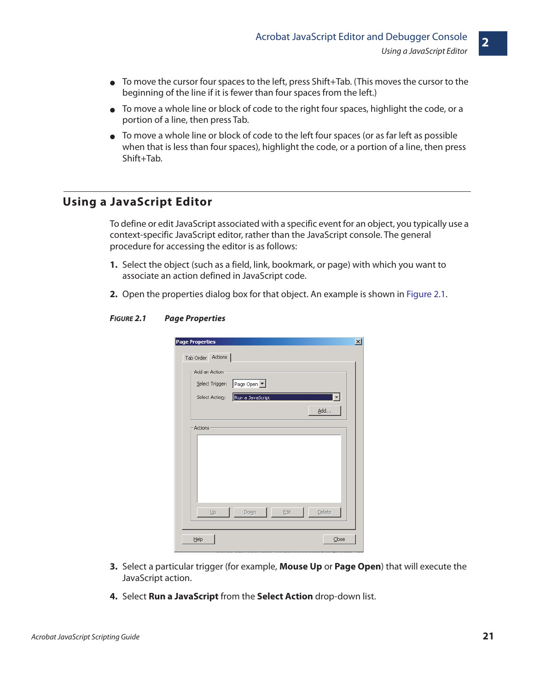- To move the cursor four spaces to the left, press Shift+Tab. (This moves the cursor to the beginning of the line if it is fewer than four spaces from the left.)
- To move a whole line or block of code to the right four spaces, highlight the code, or a portion of a line, then press Tab.
- To move a whole line or block of code to the left four spaces (or as far left as possible when that is less than four spaces), highlight the code, or a portion of a line, then press Shift+Tab.

# <span id="page-20-0"></span>**Using a JavaScript Editor**

To define or edit JavaScript associated with a specific event for an object, you typically use a context-specific JavaScript editor, rather than the JavaScript console. The general procedure for accessing the editor is as follows:

- **1.** Select the object (such as a field, link, bookmark, or page) with which you want to associate an action defined in JavaScript code.
- **2.** Open the properties dialog box for that object. An example is shown in [Figure 2.1.](#page-20-1)

<span id="page-20-1"></span>

| Tab Order Actions |                  |        |
|-------------------|------------------|--------|
| Add an Action     |                  |        |
| Select Trigger:   | Page Open        |        |
| Select Action:    | Run a JavaScript |        |
|                   |                  | Add    |
| Actions           |                  |        |
| Up                | Edit<br>Down     | Delete |

- **3.** Select a particular trigger (for example, **Mouse Up** or **Page Open**) that will execute the JavaScript action.
- **4.** Select **Run a JavaScript** from the **Select Action** drop-down list.

**2**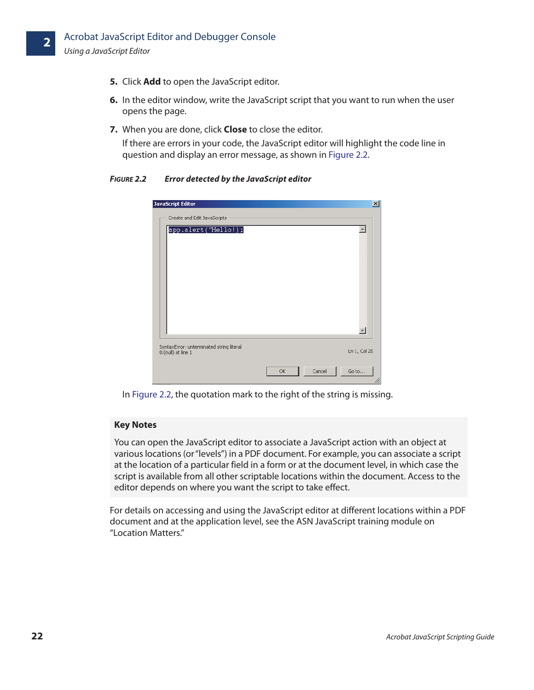- **5.** Click **Add** to open the JavaScript editor.
- **6.** In the editor window, write the JavaScript script that you want to run when the user opens the page.
- **7.** When you are done, click **Close** to close the editor.

If there are errors in your code, the JavaScript editor will highlight the code line in question and display an error message, as shown in [Figure 2.2.](#page-21-0)

#### <span id="page-21-0"></span>**FIGURE 2.2 Error detected by the JavaScript editor**

| app.alert("Hello!);                      |              |
|------------------------------------------|--------------|
|                                          |              |
|                                          |              |
|                                          |              |
|                                          |              |
| SyntaxError: unterminated string literal | Ln 1, Col 20 |

In [Figure 2.2](#page-21-0), the quotation mark to the right of the string is missing.

#### **Key Notes**

You can open the JavaScript editor to associate a JavaScript action with an object at various locations (or "levels") in a PDF document. For example, you can associate a script at the location of a particular field in a form or at the document level, in which case the script is available from all other scriptable locations within the document. Access to the editor depends on where you want the script to take effect.

For details on accessing and using the JavaScript editor at different locations within a PDF document and at the application level, see the ASN JavaScript training module on "Location Matters."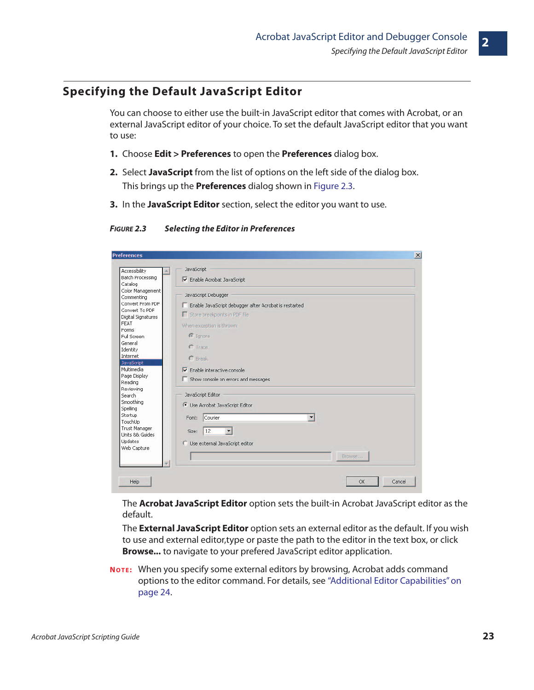# <span id="page-22-0"></span>**Specifying the Default JavaScript Editor**

You can choose to either use the built-in JavaScript editor that comes with Acrobat, or an external JavaScript editor of your choice. To set the default JavaScript editor that you want to use:

- **1.** Choose **Edit > Preferences** to open the **Preferences** dialog box.
- **2.** Select **JavaScript** from the list of options on the left side of the dialog box. This brings up the **Preferences** dialog shown in [Figure 2.3.](#page-22-1)
- **3.** In the **JavaScript Editor** section, select the editor you want to use.

| <b>Preferences</b>             |                                                       | $\vert x \vert$ |
|--------------------------------|-------------------------------------------------------|-----------------|
| Accessibility                  | JavaScript                                            |                 |
| <b>Batch Processing</b>        |                                                       |                 |
| Catalog                        | Enable Acrobat JavaScript                             |                 |
| Color Management               |                                                       |                 |
| Commenting                     | JavaScript Debugger                                   |                 |
| Convert From PDF               | Enable JavaScript debugger after Acrobat is restarted |                 |
| Convert To PDF                 |                                                       |                 |
| Digital Signatures             | Store breakpoints in PDF file                         |                 |
| FEAT                           | When exception is thrown!                             |                 |
| Forms                          |                                                       |                 |
| Full Screen                    | $C$ Ignore                                            |                 |
| General                        | <b>C</b> Trace                                        |                 |
| Identity                       |                                                       |                 |
| Internet                       | C Break                                               |                 |
| JavaScript                     |                                                       |                 |
| Multimedia                     | $\nabla$ Enable interactive console                   |                 |
| Page Display                   | Show console on errors and messages                   |                 |
| Reading                        |                                                       |                 |
| Reviewing                      |                                                       |                 |
| Search                         | JavaScript Editor                                     |                 |
| Smoothing                      | • Use Acrobat JavaScript Editor                       |                 |
| Spelling                       |                                                       |                 |
| Startup                        | Courier<br>$\blacktriangledown$<br>Font:              |                 |
| TouchUp                        |                                                       |                 |
| Trust Manager                  | 12<br>$\vert \mathbf{v} \vert$<br>Size:               |                 |
| <b>Units &amp;&amp; Guides</b> |                                                       |                 |
| Updates                        | Use external JavaScript editor                        |                 |
| Web Capture                    |                                                       |                 |
|                                |                                                       | Browse          |
|                                |                                                       |                 |
|                                |                                                       |                 |
|                                |                                                       | Cancel          |
| Help                           |                                                       | <b>OK</b>       |

#### <span id="page-22-1"></span>**FIGURE 2.3 Selecting the Editor in Preferences**

The **Acrobat JavaScript Editor** option sets the built-in Acrobat JavaScript editor as the default.

The **External JavaScript Editor** option sets an external editor as the default. If you wish to use and external editor,type or paste the path to the editor in the text box, or click **Browse...** to navigate to your prefered JavaScript editor application.

**NOTE:** When you specify some external editors by browsing, Acrobat adds command options to the editor command. For details, see ["Additional Editor Capabilities" on](#page-23-2)  [page 24](#page-23-2).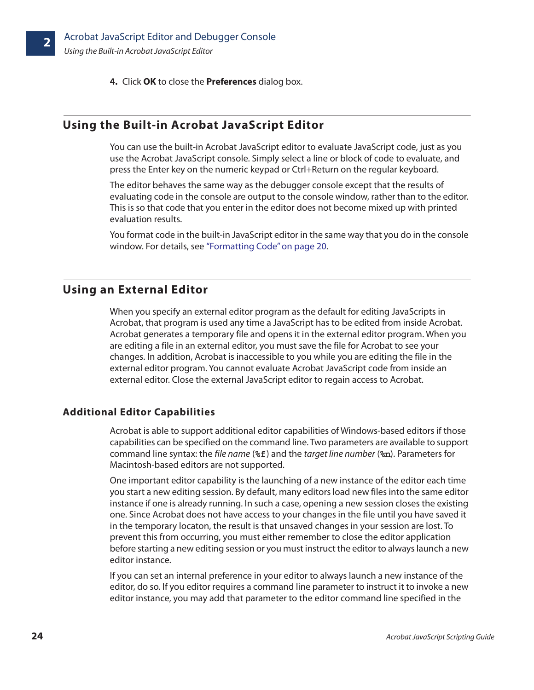**4.** Click **OK** to close the **Preferences** dialog box.

# <span id="page-23-0"></span>**Using the Built-in Acrobat JavaScript Editor**

You can use the built-in Acrobat JavaScript editor to evaluate JavaScript code, just as you use the Acrobat JavaScript console. Simply select a line or block of code to evaluate, and press the Enter key on the numeric keypad or Ctrl+Return on the regular keyboard.

The editor behaves the same way as the debugger console except that the results of evaluating code in the console are output to the console window, rather than to the editor. This is so that code that you enter in the editor does not become mixed up with printed evaluation results.

You format code in the built-in JavaScript editor in the same way that you do in the console window. For details, see ["Formatting Code" on page 20.](#page-19-3)

## <span id="page-23-1"></span>**Using an External Editor**

When you specify an external editor program as the default for editing JavaScripts in Acrobat, that program is used any time a JavaScript has to be edited from inside Acrobat. Acrobat generates a temporary file and opens it in the external editor program. When you are editing a file in an external editor, you must save the file for Acrobat to see your changes. In addition, Acrobat is inaccessible to you while you are editing the file in the external editor program. You cannot evaluate Acrobat JavaScript code from inside an external editor. Close the external JavaScript editor to regain access to Acrobat.

## <span id="page-23-2"></span>**Additional Editor Capabilities**

Acrobat is able to support additional editor capabilities of Windows-based editors if those capabilities can be specified on the command line. Two parameters are available to support command line syntax: the file name (**%f**) and the target line number (**%n**). Parameters for Macintosh-based editors are not supported.

One important editor capability is the launching of a new instance of the editor each time you start a new editing session. By default, many editors load new files into the same editor instance if one is already running. In such a case, opening a new session closes the existing one. Since Acrobat does not have access to your changes in the file until you have saved it in the temporary locaton, the result is that unsaved changes in your session are lost. To prevent this from occurring, you must either remember to close the editor application before starting a new editing session or you must instruct the editor to always launch a new editor instance.

If you can set an internal preference in your editor to always launch a new instance of the editor, do so. If you editor requires a command line parameter to instruct it to invoke a new editor instance, you may add that parameter to the editor command line specified in the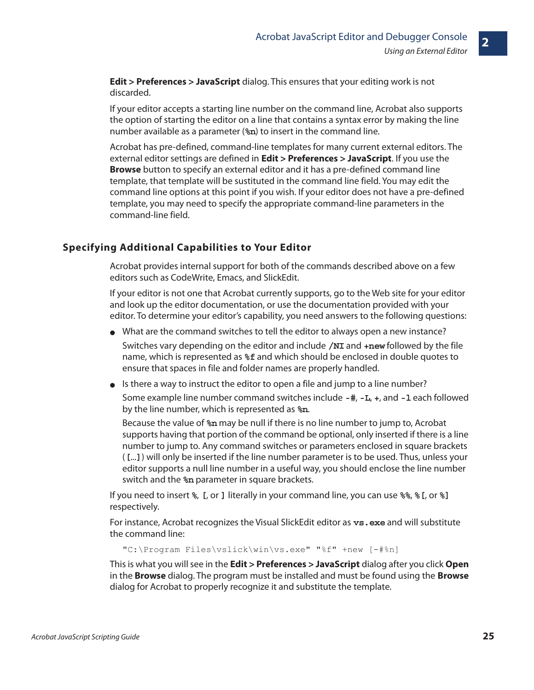**Edit > Preferences > JavaScript** dialog. This ensures that your editing work is not discarded.

If your editor accepts a starting line number on the command line, Acrobat also supports the option of starting the editor on a line that contains a syntax error by making the line number available as a parameter (**%n**) to insert in the command line.

Acrobat has pre-defined, command-line templates for many current external editors. The external editor settings are defined in **Edit > Preferences > JavaScript**. If you use the **Browse** button to specify an external editor and it has a pre-defined command line template, that template will be sustituted in the command line field. You may edit the command line options at this point if you wish. If your editor does not have a pre-defined template, you may need to specify the appropriate command-line parameters in the command-line field.

## <span id="page-24-0"></span>**Specifying Additional Capabilities to Your Editor**

Acrobat provides internal support for both of the commands described above on a few editors such as CodeWrite, Emacs, and SlickEdit.

If your editor is not one that Acrobat currently supports, go to the Web site for your editor and look up the editor documentation, or use the documentation provided with your editor. To determine your editor's capability, you need answers to the following questions:

● What are the command switches to tell the editor to always open a new instance?

Switches vary depending on the editor and include **/NI** and **+new** followed by the file name, which is represented as **%f** and which should be enclosed in double quotes to ensure that spaces in file and folder names are properly handled.

● Is there a way to instruct the editor to open a file and jump to a line number?

Some example line number command switches include **-#**, **-L**, **+**, and **-l** each followed by the line number, which is represented as **%n**.

Because the value of **%n** may be null if there is no line number to jump to, Acrobat supports having that portion of the command be optional, only inserted if there is a line number to jump to. Any command switches or parameters enclosed in square brackets (**[**...**]**) will only be inserted if the line number parameter is to be used. Thus, unless your editor supports a null line number in a useful way, you should enclose the line number switch and the **%n** parameter in square brackets.

If you need to insert **%**, **[**, or **]** literally in your command line, you can use **%%**, **%[**, or **%]** respectively.

For instance, Acrobat recognizes the Visual SlickEdit editor as **vs.exe** and will substitute the command line:

"C:\Program Files\vslick\win\vs.exe" "%f" +new [-#%n]

This is what you will see in the **Edit > Preferences > JavaScript** dialog after you click **Open** in the **Browse** dialog. The program must be installed and must be found using the **Browse** dialog for Acrobat to properly recognize it and substitute the template.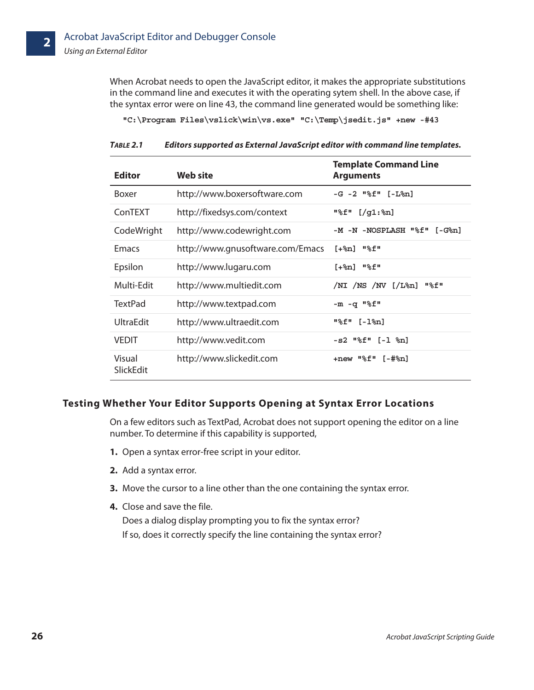When Acrobat needs to open the JavaScript editor, it makes the appropriate substitutions in the command line and executes it with the operating sytem shell. In the above case, if the syntax error were on line 43, the command line generated would be something like:

| "C:\Program Files\vslick\win\vs.exe" "C:\Temp\jsedit.js" +new -#43 |  |  |
|--------------------------------------------------------------------|--|--|
|--------------------------------------------------------------------|--|--|

| <b>Editor</b>       | Web site                         | <b>Template Command Line</b><br><b>Arguments</b>          |
|---------------------|----------------------------------|-----------------------------------------------------------|
| <b>Boxer</b>        | http://www.boxersoftware.com     | -G -2 "%f" [-L%n]                                         |
| ConTEXT             | http://fixedsys.com/context      | "%f" [/g1:%n]                                             |
| CodeWright          | http://www.codewright.com        | -M -N -NOSPLASH "%f" [-G%n]                               |
| Emacs               | http://www.gnusoftware.com/Emacs | [+%n] "%f"                                                |
| Epsilon             | http://www.lugaru.com            | [+%n] "%f"                                                |
| Multi-Edit          | http://www.multiedit.com         | $/NI$ $/NS$ $/NV$ $[/L$ <sup>2</sup> n] $"$ <sup>2f</sup> |
| <b>TextPad</b>      | http://www.textpad.com           | -m -a "%f"                                                |
| <b>UltraEdit</b>    | http://www.ultraedit.com         | "%f" [-1%n]                                               |
| <b>VEDIT</b>        | http://www.vedit.com             | $-s2$ "%f" [-1 %n]                                        |
| Visual<br>SlickEdit | http://www.slickedit.com         | $+new$ "%f" $[-#$ %n]                                     |

#### **TABLE 2.1 Editors supported as External JavaScript editor with command line templates.**

#### <span id="page-25-0"></span>**Testing Whether Your Editor Supports Opening at Syntax Error Locations**

On a few editors such as TextPad, Acrobat does not support opening the editor on a line number. To determine if this capability is supported,

- **1.** Open a syntax error-free script in your editor.
- **2.** Add a syntax error.
- **3.** Move the cursor to a line other than the one containing the syntax error.
- **4.** Close and save the file.

Does a dialog display prompting you to fix the syntax error? If so, does it correctly specify the line containing the syntax error?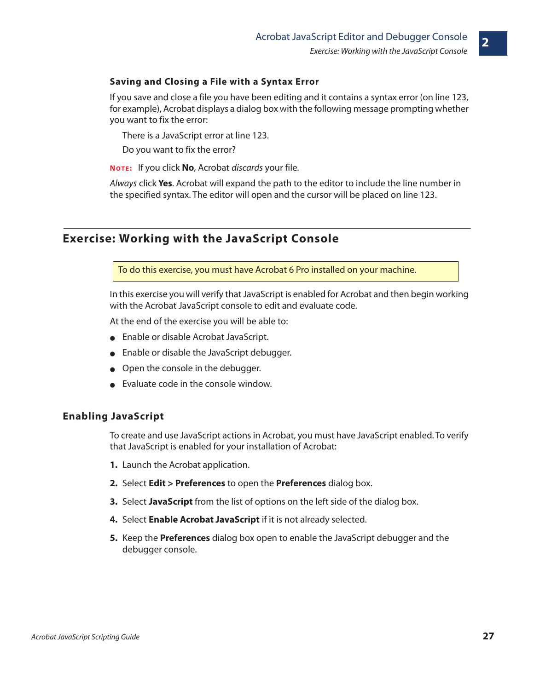#### **Saving and Closing a File with a Syntax Error**

If you save and close a file you have been editing and it contains a syntax error (on line 123, for example), Acrobat displays a dialog box with the following message prompting whether you want to fix the error:

There is a JavaScript error at line 123.

Do you want to fix the error?

**NOTE:** If you click **No**, Acrobat discards your file.

Always click **Yes**. Acrobat will expand the path to the editor to include the line number in the specified syntax. The editor will open and the cursor will be placed on line 123.

## <span id="page-26-0"></span>**Exercise: Working with the JavaScript Console**

To do this exercise, you must have Acrobat 6 Pro installed on your machine.

In this exercise you will verify that JavaScript is enabled for Acrobat and then begin working with the Acrobat JavaScript console to edit and evaluate code.

At the end of the exercise you will be able to:

- Enable or disable Acrobat JavaScript.
- Enable or disable the JavaScript debugger.
- Open the console in the debugger.
- Evaluate code in the console window.

#### <span id="page-26-1"></span>**Enabling JavaScript**

To create and use JavaScript actions in Acrobat, you must have JavaScript enabled. To verify that JavaScript is enabled for your installation of Acrobat:

- **1.** Launch the Acrobat application.
- **2.** Select **Edit > Preferences** to open the **Preferences** dialog box.
- **3.** Select **JavaScript** from the list of options on the left side of the dialog box.
- **4.** Select **Enable Acrobat JavaScript** if it is not already selected.
- **5.** Keep the **Preferences** dialog box open to enable the JavaScript debugger and the debugger console.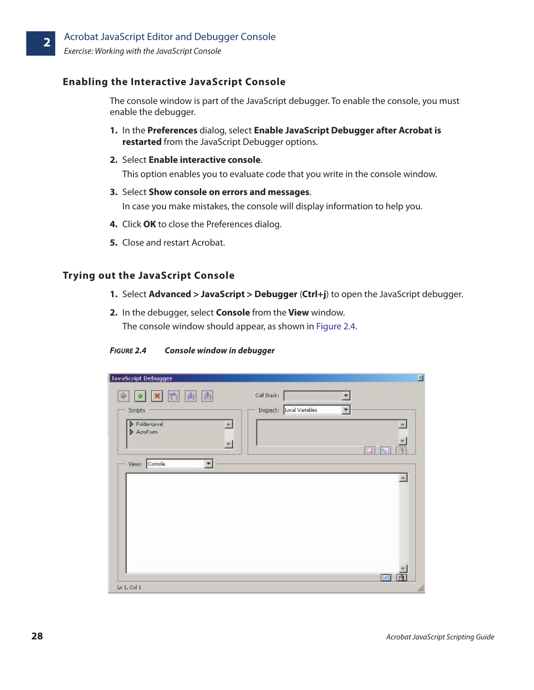## <span id="page-27-0"></span>**Enabling the Interactive JavaScript Console**

The console window is part of the JavaScript debugger. To enable the console, you must enable the debugger.

- **1.** In the **Preferences** dialog, select **Enable JavaScript Debugger after Acrobat is restarted** from the JavaScript Debugger options.
- **2.** Select **Enable interactive console**.

This option enables you to evaluate code that you write in the console window.

- **3.** Select **Show console on errors and messages**. In case you make mistakes, the console will display information to help you.
- **4.** Click **OK** to close the Preferences dialog.
- **5.** Close and restart Acrobat.

### <span id="page-27-1"></span>**Trying out the JavaScript Console**

- **1.** Select **Advanced > JavaScript > Debugger** (**Ctrl+j**) to open the JavaScript debugger.
- **2.** In the debugger, select **Console** from the **View** window. The console window should appear, as shown in [Figure 2.4.](#page-27-2)

| $\langle \uparrow \rangle$<br>$(+)$<br>₿  | Call Stack:              | $\blacktriangledown$ |
|-------------------------------------------|--------------------------|----------------------|
| Scripts                                   | Inspect: Local Variables | $\blacktriangledown$ |
| $\triangleright$ Folder-Level<br>AcroForm | $\blacktriangle$         |                      |
|                                           | ×                        | G                    |
| View: Console                             | ۰                        |                      |
|                                           |                          |                      |
|                                           |                          |                      |
|                                           |                          |                      |
|                                           |                          |                      |
|                                           |                          |                      |
|                                           |                          |                      |
|                                           |                          |                      |

#### <span id="page-27-2"></span>**FIGURE 2.4 Console window in debugger**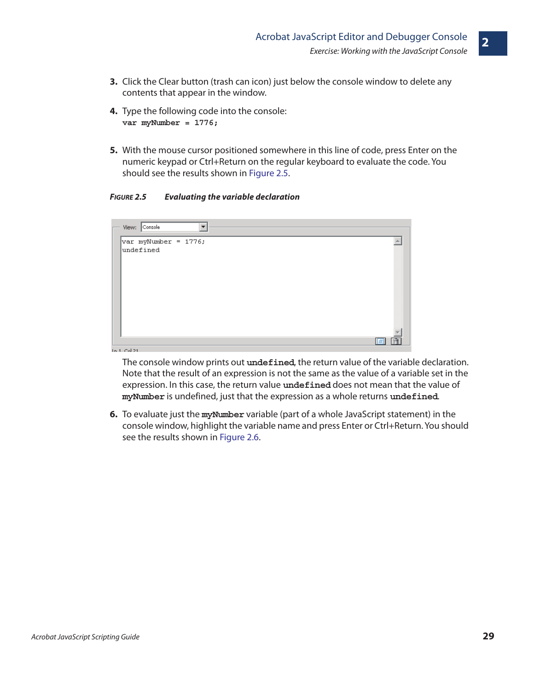- **3.** Click the Clear button (trash can icon) just below the console window to delete any contents that appear in the window.
- **4.** Type the following code into the console: **var myNumber = 1776;**
- **5.** With the mouse cursor positioned somewhere in this line of code, press Enter on the numeric keypad or Ctrl+Return on the regular keyboard to evaluate the code. You should see the results shown in [Figure 2.5.](#page-28-0)

#### <span id="page-28-0"></span>**FIGURE 2.5 Evaluating the variable declaration**

| Console<br>View:                                  |     |
|---------------------------------------------------|-----|
| $\vert \text{var }$ myNumber = 1776;<br>undefined |     |
|                                                   |     |
|                                                   |     |
|                                                   |     |
|                                                   |     |
|                                                   |     |
|                                                   |     |
|                                                   | I#I |

 $\overline{1n 1.$  Col. 21

The console window prints out **undefined**, the return value of the variable declaration. Note that the result of an expression is not the same as the value of a variable set in the expression. In this case, the return value **undefined** does not mean that the value of **myNumber** is undefined, just that the expression as a whole returns **undefined**.

**6.** To evaluate just the **myNumber** variable (part of a whole JavaScript statement) in the console window, highlight the variable name and press Enter or Ctrl+Return. You should see the results shown in [Figure 2.6.](#page-29-0)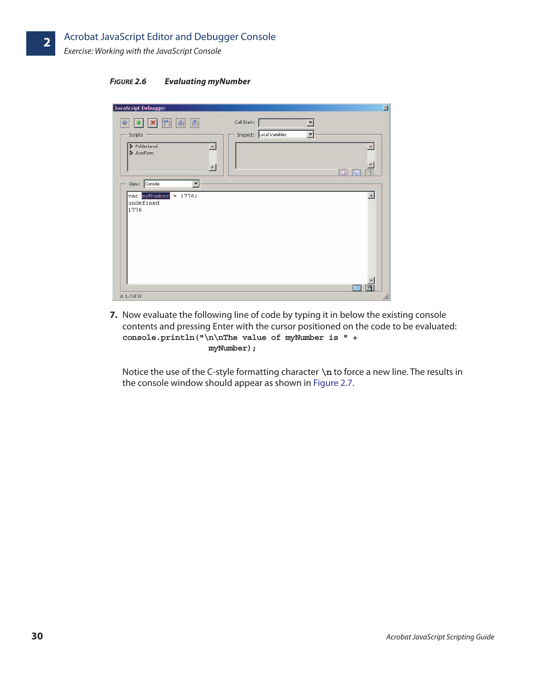<span id="page-29-0"></span>

| <b>FIGURE 2.6</b> | <b>Evaluating myNumber</b> |
|-------------------|----------------------------|
|-------------------|----------------------------|

| $ $ $\langle$ $\uparrow$<br>$\vert \phi \rangle$<br>$\vert \vec{r} \rangle$ | Call Stack:              | $\blacktriangledown$ |  |
|-----------------------------------------------------------------------------|--------------------------|----------------------|--|
| Scripts<br>$\triangleright$ Folder-Level<br>ia.                             | Inspect: Local Variables | $\blacktriangledown$ |  |
| AcroForm                                                                    |                          |                      |  |
| z                                                                           |                          | C.                   |  |
| View: Console<br>▾<br>$\text{var }$ myNumber = 1776;                        |                          |                      |  |
| undefined<br>1776                                                           |                          |                      |  |
|                                                                             |                          |                      |  |
|                                                                             |                          |                      |  |
|                                                                             |                          |                      |  |
|                                                                             |                          |                      |  |
|                                                                             |                          |                      |  |

**7.** Now evaluate the following line of code by typing it in below the existing console contents and pressing Enter with the cursor positioned on the code to be evaluated: **console.println("\n\nThe value of myNumber is " + myNumber);**

Notice the use of the C-style formatting character **\n** to force a new line. The results in the console window should appear as shown in [Figure 2.7](#page-30-0).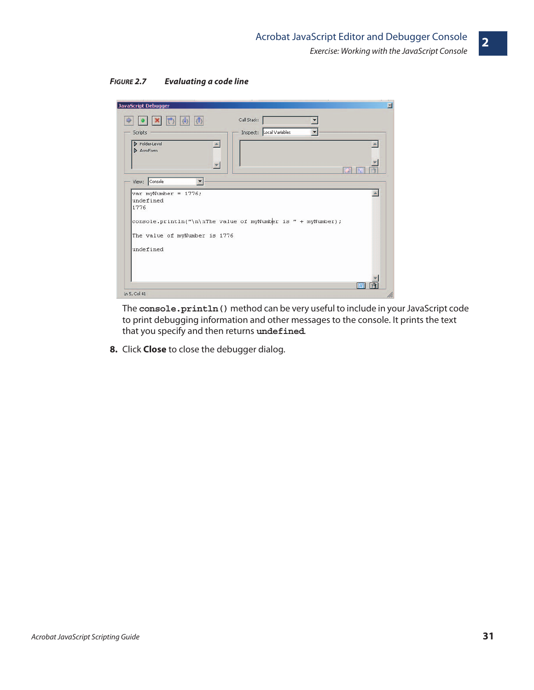| <b>JavaScript Debugger</b>             |                                                              |  |
|----------------------------------------|--------------------------------------------------------------|--|
|                                        |                                                              |  |
|                                        | Call Stack:                                                  |  |
| $\{\mathbb{I}\}$<br>$\{ \downarrow \}$ |                                                              |  |
| Scripts                                | Inspect: Local Variables                                     |  |
| Folder-Level                           |                                                              |  |
| AcroForm                               |                                                              |  |
|                                        |                                                              |  |
|                                        |                                                              |  |
|                                        |                                                              |  |
| View: Console                          |                                                              |  |
|                                        |                                                              |  |
|                                        |                                                              |  |
| $var$ myNumber = 1776;                 |                                                              |  |
| undefined                              |                                                              |  |
| 1776                                   |                                                              |  |
|                                        |                                                              |  |
|                                        | console.println("\n\nThe value of myNumber is " + myNumber); |  |
| The value of myNumber is 1776          |                                                              |  |
|                                        |                                                              |  |
| undefined                              |                                                              |  |
|                                        |                                                              |  |
|                                        |                                                              |  |
|                                        |                                                              |  |
|                                        | <b>IF</b>                                                    |  |

#### <span id="page-30-0"></span>**FIGURE 2.7 Evaluating a code line**

The console.println() method can be very useful to include in your JavaScript code to print debugging information and other messages to the console. It prints the text that you specify and then returns **undefined**.

**8.** Click **Close** to close the debugger dialog.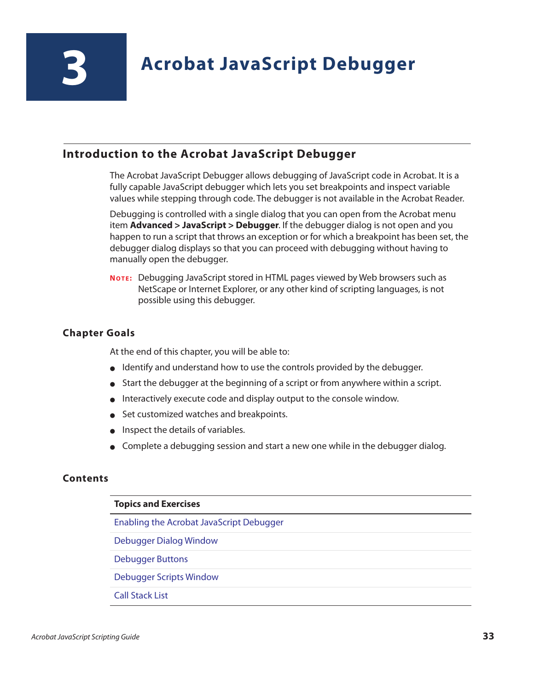<span id="page-32-5"></span>

# <span id="page-32-4"></span><span id="page-32-0"></span>**3 Acrobat JavaScript Debugger**

# <span id="page-32-1"></span>**Introduction to the Acrobat JavaScript Debugger**

The Acrobat JavaScript Debugger allows debugging of JavaScript code in Acrobat. It is a fully capable JavaScript debugger which lets you set breakpoints and inspect variable values while stepping through code. The debugger is not available in the Acrobat Reader.

Debugging is controlled with a single dialog that you can open from the Acrobat menu item **Advanced > JavaScript > Debugger**. If the debugger dialog is not open and you happen to run a script that throws an exception or for which a breakpoint has been set, the debugger dialog displays so that you can proceed with debugging without having to manually open the debugger.

**NOTE:** Debugging JavaScript stored in HTML pages viewed by Web browsers such as NetScape or Internet Explorer, or any other kind of scripting languages, is not possible using this debugger.

## <span id="page-32-2"></span>**Chapter Goals**

At the end of this chapter, you will be able to:

- Identify and understand how to use the controls provided by the debugger.
- Start the debugger at the beginning of a script or from anywhere within a script.
- Interactively execute code and display output to the console window.
- Set customized watches and breakpoints.
- Inspect the details of variables.
- Complete a debugging session and start a new one while in the debugger dialog.

#### <span id="page-32-3"></span>**Contents**

| <b>Topics and Exercises</b>                     |  |
|-------------------------------------------------|--|
| <b>Enabling the Acrobat JavaScript Debugger</b> |  |
| Debugger Dialog Window                          |  |
| <b>Debugger Buttons</b>                         |  |
| Debugger Scripts Window                         |  |
| <b>Call Stack List</b>                          |  |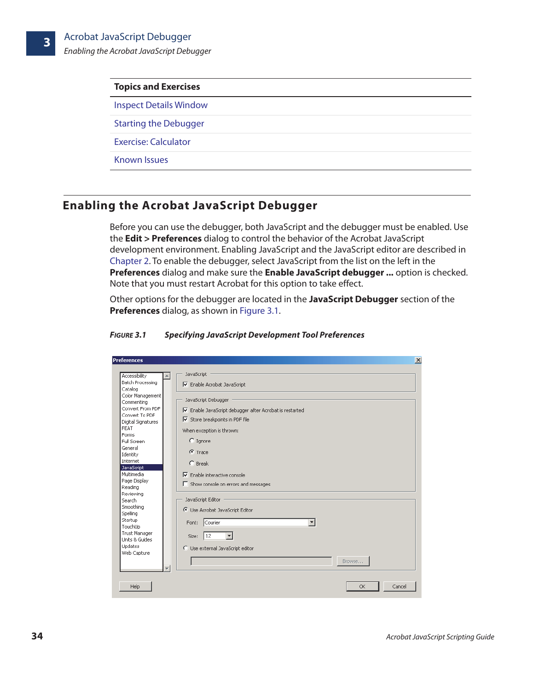#### **Topics and Exercises**

[Inspect Details Window](#page-41-0)

[Starting the Debugger](#page-45-0)

[Exercise: Calculator](#page-46-1)

[Known Issues](#page-51-0)

# <span id="page-33-0"></span>**Enabling the Acrobat JavaScript Debugger**

Before you can use the debugger, both JavaScript and the debugger must be enabled. Use the **Edit > Preferences** dialog to control the behavior of the Acrobat JavaScript development environment. Enabling JavaScript and the JavaScript editor are described in [Chapter 2.](#page-18-5) To enable the debugger, select JavaScript from the list on the left in the **Preferences** dialog and make sure the **Enable JavaScript debugger ...** option is checked. Note that you must restart Acrobat for this option to take effect.

Other options for the debugger are located in the **JavaScript Debugger** section of the **Preferences** dialog, as shown in [Figure 3.1.](#page-33-1)

| <b>Preferences</b>   | $\vert x \vert$                                         |
|----------------------|---------------------------------------------------------|
|                      |                                                         |
| Accessibility        | <b>JavaScript</b>                                       |
| Batch Processing     | <b>▽</b> Enable Acrobat JavaScript                      |
| Catalog              |                                                         |
| Color Management     | JavaScript Debugger                                     |
| Commenting           |                                                         |
| Convert From PDF     | 区 Enable JavaScript debugger after Acrobat is restarted |
| Convert To PDF       | $\nabla$ Store breakpoints in PDF file                  |
| Digital Signatures   |                                                         |
| <b>FEAT</b>          | When exception is thrown:                               |
| Forms                |                                                         |
| Full Screen          | $C$ Ignore                                              |
| General              | $G$ Trace                                               |
| Identity<br>Internet |                                                         |
| JavaScript           | $\bigcap$ Break                                         |
| Multimedia           | $\nabla$ Enable interactive console                     |
| Page Display         |                                                         |
| Reading              | $\Box$ Show console on errors and messages              |
| Reviewing            |                                                         |
| Search               | JavaScript Editor                                       |
| Smoothing            |                                                         |
| Spelling             | C Use Acrobat JavaScript Editor                         |
| Startup              | Courier<br>▼<br>Font:                                   |
| TouchUp              |                                                         |
| Trust Manager        | 12<br>Size:                                             |
| Units & Guides       |                                                         |
| Updates              | C Use external JavaScript editor                        |
| Web Capture          |                                                         |
|                      | Browse                                                  |
|                      |                                                         |
|                      |                                                         |
|                      |                                                         |
| Help                 | Cancel<br>OK                                            |
|                      |                                                         |

#### <span id="page-33-1"></span>**FIGURE 3.1 Specifying JavaScript Development Tool Preferences**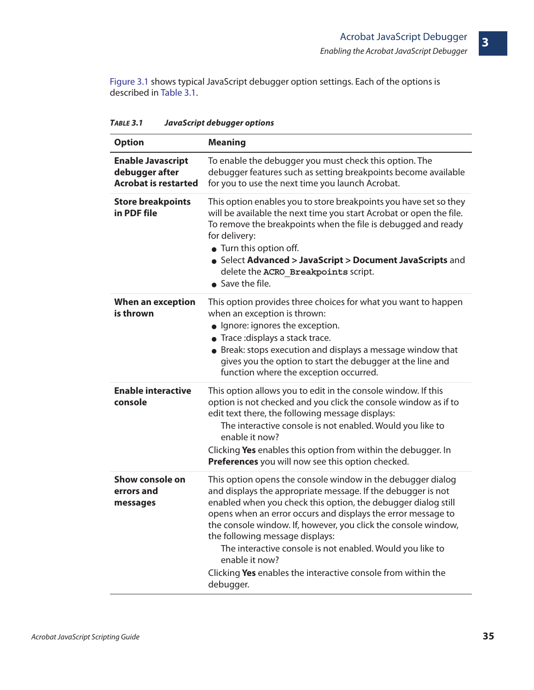[Figure 3.1](#page-33-1) shows typical JavaScript debugger option settings. Each of the options is described in [Table 3.1.](#page-34-0)

<span id="page-34-0"></span>**TABLE 3.1 JavaScript debugger options**

| <b>Option</b>                                                             | <b>Meaning</b>                                                                                                                                                                                                                                                                                                                                                                                                                                                                                                                |
|---------------------------------------------------------------------------|-------------------------------------------------------------------------------------------------------------------------------------------------------------------------------------------------------------------------------------------------------------------------------------------------------------------------------------------------------------------------------------------------------------------------------------------------------------------------------------------------------------------------------|
| <b>Enable Javascript</b><br>debugger after<br><b>Acrobat is restarted</b> | To enable the debugger you must check this option. The<br>debugger features such as setting breakpoints become available<br>for you to use the next time you launch Acrobat.                                                                                                                                                                                                                                                                                                                                                  |
| <b>Store breakpoints</b><br>in PDF file                                   | This option enables you to store breakpoints you have set so they<br>will be available the next time you start Acrobat or open the file.<br>To remove the breakpoints when the file is debugged and ready<br>for delivery:<br>• Turn this option off.<br>• Select Advanced > JavaScript > Document JavaScripts and<br>delete the ACRO Breakpoints script.<br>• Save the file.                                                                                                                                                 |
| <b>When an exception</b><br>is thrown                                     | This option provides three choices for what you want to happen<br>when an exception is thrown:<br>· Ignore: ignores the exception.<br>• Trace : displays a stack trace.<br>• Break: stops execution and displays a message window that<br>gives you the option to start the debugger at the line and<br>function where the exception occurred.                                                                                                                                                                                |
| <b>Enable interactive</b><br>console                                      | This option allows you to edit in the console window. If this<br>option is not checked and you click the console window as if to<br>edit text there, the following message displays:<br>The interactive console is not enabled. Would you like to<br>enable it now?<br>Clicking Yes enables this option from within the debugger. In<br>Preferences you will now see this option checked.                                                                                                                                     |
| Show console on<br>errors and<br>messages                                 | This option opens the console window in the debugger dialog<br>and displays the appropriate message. If the debugger is not<br>enabled when you check this option, the debugger dialog still<br>opens when an error occurs and displays the error message to<br>the console window. If, however, you click the console window,<br>the following message displays:<br>The interactive console is not enabled. Would you like to<br>enable it now?<br>Clicking Yes enables the interactive console from within the<br>debugger. |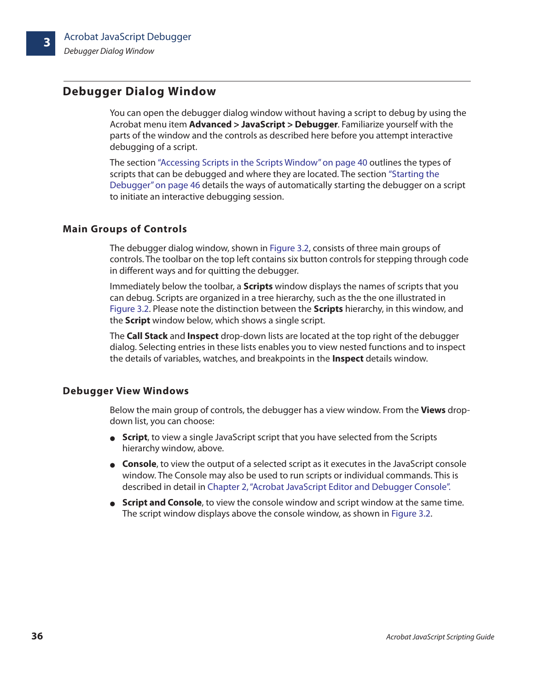# <span id="page-35-0"></span>**Debugger Dialog Window**

You can open the debugger dialog window without having a script to debug by using the Acrobat menu item **Advanced > JavaScript > Debugger**. Familiarize yourself with the parts of the window and the controls as described here before you attempt interactive debugging of a script.

The section ["Accessing Scripts in the Scripts Window" on page 40](#page-39-1) outlines the types of scripts that can be debugged and where they are located. The section ["Starting the](#page-45-0)  [Debugger" on page 46](#page-45-0) details the ways of automatically starting the debugger on a script to initiate an interactive debugging session.

## <span id="page-35-1"></span>**Main Groups of Controls**

The debugger dialog window, shown in [Figure 3.2,](#page-36-1) consists of three main groups of controls. The toolbar on the top left contains six button controls for stepping through code in different ways and for quitting the debugger.

Immediately below the toolbar, a **Scripts** window displays the names of scripts that you can debug. Scripts are organized in a tree hierarchy, such as the the one illustrated in [Figure 3.2.](#page-36-1) Please note the distinction between the **Scripts** hierarchy, in this window, and the **Script** window below, which shows a single script.

The **Call Stack** and **Inspect** drop-down lists are located at the top right of the debugger dialog. Selecting entries in these lists enables you to view nested functions and to inspect the details of variables, watches, and breakpoints in the **Inspect** details window.

## <span id="page-35-2"></span>**Debugger View Windows**

Below the main group of controls, the debugger has a view window. From the **Views** dropdown list, you can choose:

- **Script**, to view a single JavaScript script that you have selected from the Scripts hierarchy window, above.
- **Console**, to view the output of a selected script as it executes in the JavaScript console window. The Console may also be used to run scripts or individual commands. This is described in detail in [Chapter 2, "Acrobat JavaScript Editor and Debugger Console"](#page-18-4).
- **Script and Console**, to view the console window and script window at the same time. The script window displays above the console window, as shown in [Figure 3.2.](#page-36-1)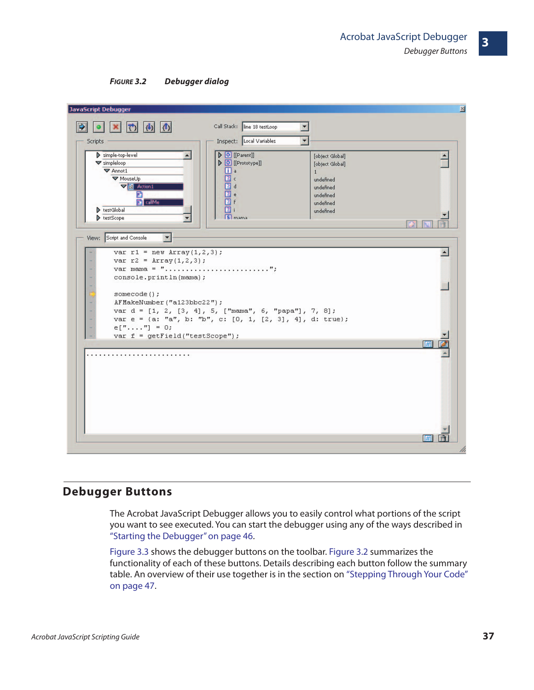<span id="page-36-0"></span>

#### **FIGURE 3.2 Debugger dialog**

## <span id="page-36-1"></span>**Debugger Buttons**

The Acrobat JavaScript Debugger allows you to easily control what portions of the script you want to see executed. You can start the debugger using any of the ways described in ["Starting the Debugger" on page 46](#page-45-0).

[Figure 3.3](#page-37-0) shows the debugger buttons on the toolbar. [Figure 3.2](#page-36-0) summarizes the functionality of each of these buttons. Details describing each button follow the summary table. An overview of their use together is in the section on ["Stepping Through Your Code"](#page-46-0)  [on page 47](#page-46-0).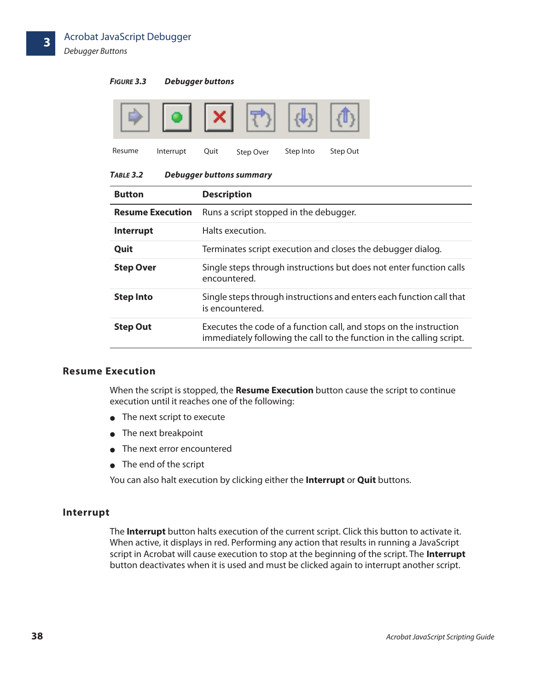<span id="page-37-0"></span>

**TABLE 3.2 Debugger buttons summary**

| <b>Button</b>           | <b>Description</b>                                                                                                                          |  |
|-------------------------|---------------------------------------------------------------------------------------------------------------------------------------------|--|
| <b>Resume Execution</b> | Runs a script stopped in the debugger.                                                                                                      |  |
| <b>Interrupt</b>        | Halts execution.                                                                                                                            |  |
| Quit                    | Terminates script execution and closes the debugger dialog.                                                                                 |  |
| <b>Step Over</b>        | Single steps through instructions but does not enter function calls<br>encountered.                                                         |  |
| <b>Step Into</b>        | Single steps through instructions and enters each function call that<br>is encountered.                                                     |  |
| <b>Step Out</b>         | Executes the code of a function call, and stops on the instruction<br>immediately following the call to the function in the calling script. |  |

#### <span id="page-37-2"></span>**Resume Execution**

When the script is stopped, the **Resume Execution** button cause the script to continue execution until it reaches one of the following:

- The next script to execute
- The next breakpoint
- The next error encountered
- The end of the script

You can also halt execution by clicking either the **Interrupt** or **Quit** buttons.

#### <span id="page-37-1"></span>**Interrupt**

The **Interrupt** button halts execution of the current script. Click this button to activate it. When active, it displays in red. Performing any action that results in running a JavaScript script in Acrobat will cause execution to stop at the beginning of the script. The **Interrupt** button deactivates when it is used and must be clicked again to interrupt another script.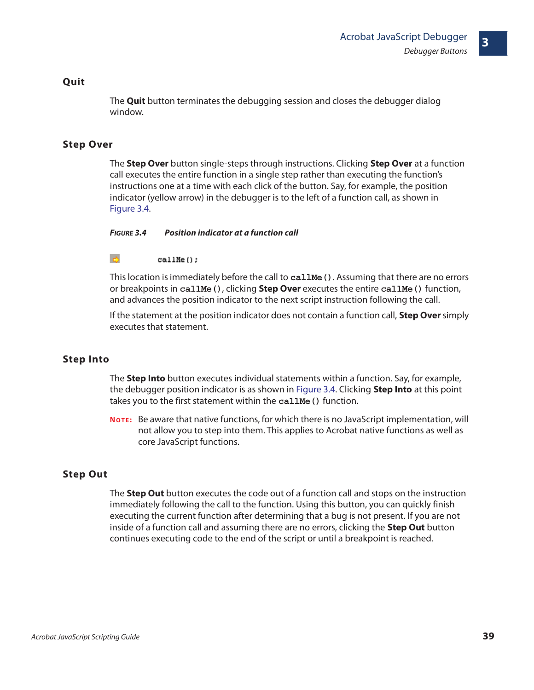#### **Quit**

The **Quit** button terminates the debugging session and closes the debugger dialog window.

#### <span id="page-38-2"></span>**Step Over**

The **Step Over** button single-steps through instructions. Clicking **Step Over** at a function call executes the entire function in a single step rather than executing the function's instructions one at a time with each click of the button. Say, for example, the position indicator (yellow arrow) in the debugger is to the left of a function call, as shown in [Figure 3.4.](#page-38-0)

#### <span id="page-38-0"></span>**FIGURE 3.4 Position indicator at a function call**

#### $\rightarrow$  $callMe()$

This location is immediately before the call to **callMe()**. Assuming that there are no errors or breakpoints in **callMe()**, clicking **Step Over** executes the entire **callMe()** function, and advances the position indicator to the next script instruction following the call.

If the statement at the position indicator does not contain a function call, **Step Over**simply executes that statement.

#### <span id="page-38-1"></span>**Step Into**

The **Step Into** button executes individual statements within a function. Say, for example, the debugger position indicator is as shown in [Figure 3.4.](#page-38-0) Clicking **Step Into** at this point takes you to the first statement within the **callMe()** function.

**NOTE:** Be aware that native functions, for which there is no JavaScript implementation, will not allow you to step into them. This applies to Acrobat native functions as well as core JavaScript functions.

#### <span id="page-38-3"></span>**Step Out**

The **Step Out** button executes the code out of a function call and stops on the instruction immediately following the call to the function. Using this button, you can quickly finish executing the current function after determining that a bug is not present. If you are not inside of a function call and assuming there are no errors, clicking the **Step Out** button continues executing code to the end of the script or until a breakpoint is reached.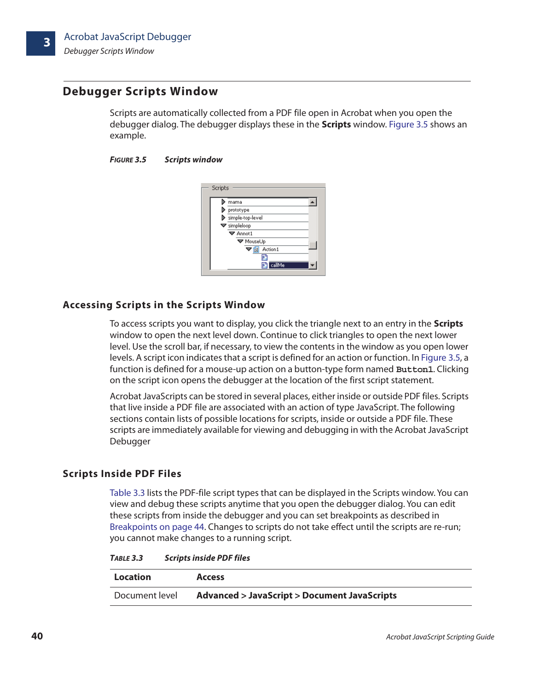## **Debugger Scripts Window**

Scripts are automatically collected from a PDF file open in Acrobat when you open the debugger dialog. The debugger displays these in the **Scripts** window. [Figure 3.5](#page-39-1) shows an example.

#### <span id="page-39-1"></span>**FIGURE 3.5 Scripts window**



### **Accessing Scripts in the Scripts Window**

To access scripts you want to display, you click the triangle next to an entry in the **Scripts** window to open the next level down. Continue to click triangles to open the next lower level. Use the scroll bar, if necessary, to view the contents in the window as you open lower levels. A script icon indicates that a script is defined for an action or function. In [Figure 3.5,](#page-39-1) a function is defined for a mouse-up action on a button-type form named **Button1**. Clicking on the script icon opens the debugger at the location of the first script statement.

Acrobat JavaScripts can be stored in several places, either inside or outside PDF files. Scripts that live inside a PDF file are associated with an action of type JavaScript. The following sections contain lists of possible locations for scripts, inside or outside a PDF file. These scripts are immediately available for viewing and debugging in with the Acrobat JavaScript Debugger

### **Scripts Inside PDF Files**

[Table 3.3](#page-39-0) lists the PDF-file script types that can be displayed in the Scripts window. You can view and debug these scripts anytime that you open the debugger dialog. You can edit these scripts from inside the debugger and you can set breakpoints as described in [Breakpoints](#page-43-0) on [page 44](#page-43-0). Changes to scripts do not take effect until the scripts are re-run; you cannot make changes to a running script.

<span id="page-39-0"></span>**TABLE 3.3 Scripts inside PDF files**

| Location       | <b>Access</b>                                             |
|----------------|-----------------------------------------------------------|
| Document level | <b>Advanced &gt; JavaScript &gt; Document JavaScripts</b> |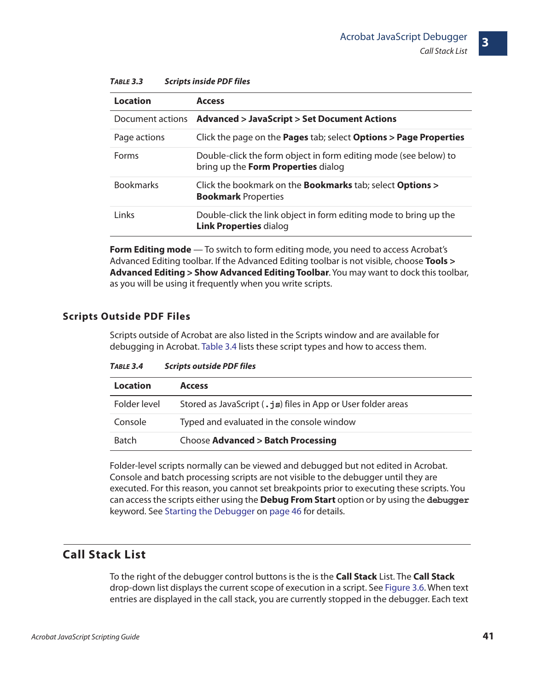| Location         | <b>Access</b>                                                                                           |  |
|------------------|---------------------------------------------------------------------------------------------------------|--|
|                  | Document actions Advanced > JavaScript > Set Document Actions                                           |  |
| Page actions     | Click the page on the Pages tab; select Options > Page Properties                                       |  |
| <b>Forms</b>     | Double-click the form object in form editing mode (see below) to<br>bring up the Form Properties dialog |  |
| <b>Bookmarks</b> | Click the bookmark on the <b>Bookmarks</b> tab; select <b>Options</b> ><br><b>Bookmark Properties</b>   |  |
| Links            | Double-click the link object in form editing mode to bring up the<br><b>Link Properties dialog</b>      |  |

**TABLE 3.3 Scripts inside PDF files**

**Form Editing mode** — To switch to form editing mode, you need to access Acrobat's Advanced Editing toolbar. If the Advanced Editing toolbar is not visible, choose **Tools > Advanced Editing > Show Advanced Editing Toolbar**. You may want to dock this toolbar, as you will be using it frequently when you write scripts.

#### <span id="page-40-0"></span>**Scripts Outside PDF Files**

Scripts outside of Acrobat are also listed in the Scripts window and are available for debugging in Acrobat. [Table 3.4](#page-40-0) lists these script types and how to access them.

**TABLE 3.4 Scripts outside PDF files**

| Location     | <b>Access</b>                                                |
|--------------|--------------------------------------------------------------|
| Folder level | Stored as JavaScript (.js) files in App or User folder areas |
| Console      | Typed and evaluated in the console window                    |
| <b>Batch</b> | Choose Advanced > Batch Processing                           |

Folder-level scripts normally can be viewed and debugged but not edited in Acrobat. Console and batch processing scripts are not visible to the debugger until they are executed. For this reason, you cannot set breakpoints prior to executing these scripts. You can access the scripts either using the **Debug From Start** option or by using the **debugger** keyword. See [Starting the Debugger](#page-45-0) on [page 46](#page-45-0) for details.

## **Call Stack List**

To the right of the debugger control buttons is the is the **Call Stack** List. The **Call Stack** drop-down list displays the current scope of execution in a script. See [Figure 3.6.](#page-41-0) When text entries are displayed in the call stack, you are currently stopped in the debugger. Each text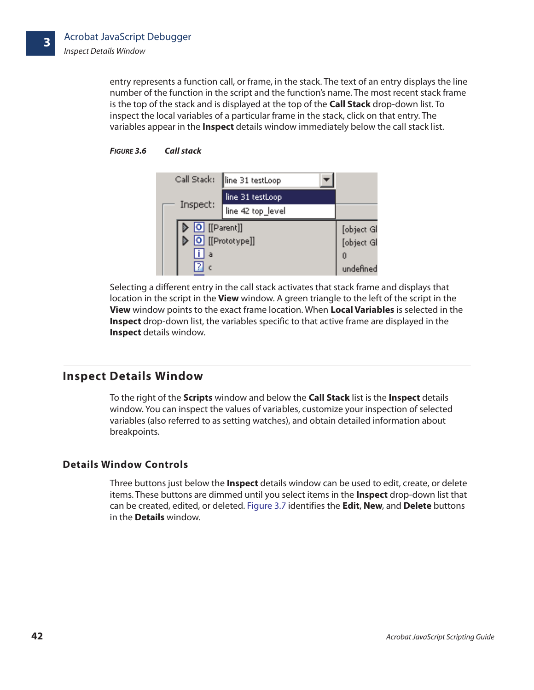entry represents a function call, or frame, in the stack. The text of an entry displays the line number of the function in the script and the function's name. The most recent stack frame is the top of the stack and is displayed at the top of the **Call Stack** drop-down list. To inspect the local variables of a particular frame in the stack, click on that entry. The variables appear in the **Inspect** details window immediately below the call stack list.

#### <span id="page-41-0"></span>**FIGURE 3.6 Call stack**



Selecting a different entry in the call stack activates that stack frame and displays that location in the script in the **View** window. A green triangle to the left of the script in the **View** window points to the exact frame location. When **Local Variables** is selected in the **Inspect** drop-down list, the variables specific to that active frame are displayed in the **Inspect** details window.

## **Inspect Details Window**

To the right of the **Scripts** window and below the **Call Stack** list is the **Inspect** details window. You can inspect the values of variables, customize your inspection of selected variables (also referred to as setting watches), and obtain detailed information about breakpoints.

#### **Details Window Controls**

Three buttons just below the **Inspect** details window can be used to edit, create, or delete items. These buttons are dimmed until you select items in the **Inspect** drop-down list that can be created, edited, or deleted. [Figure 3.7](#page-42-0) identifies the **Edit**, **New**, and **Delete** buttons in the **Details** window.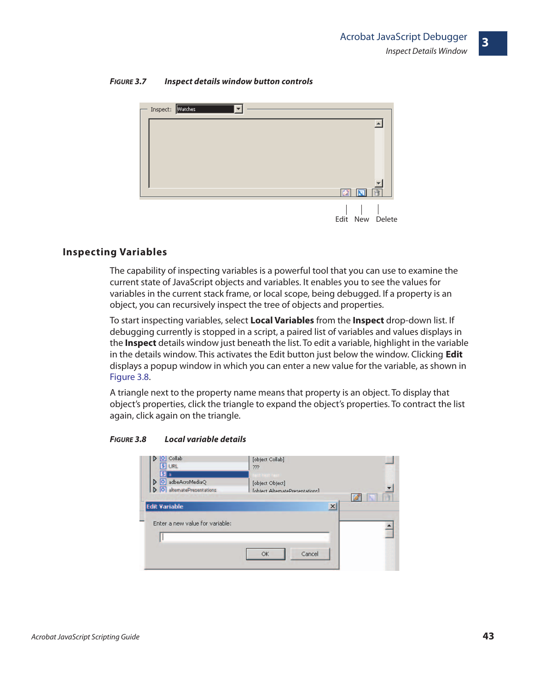#### <span id="page-42-0"></span>**FIGURE 3.7 Inspect details window button controls**



#### **Inspecting Variables**

The capability of inspecting variables is a powerful tool that you can use to examine the current state of JavaScript objects and variables. It enables you to see the values for variables in the current stack frame, or local scope, being debugged. If a property is an object, you can recursively inspect the tree of objects and properties.

To start inspecting variables, select **Local Variables** from the **Inspect** drop-down list. If debugging currently is stopped in a script, a paired list of variables and values displays in the **Inspect** details window just beneath the list. To edit a variable, highlight in the variable in the details window. This activates the Edit button just below the window. Clicking **Edit** displays a popup window in which you can enter a new value for the variable, as shown in [Figure 3.8.](#page-42-1)

A triangle next to the property name means that property is an object. To display that object's properties, click the triangle to expand the object's properties. To contract the list again, click again on the triangle.

<span id="page-42-1"></span>

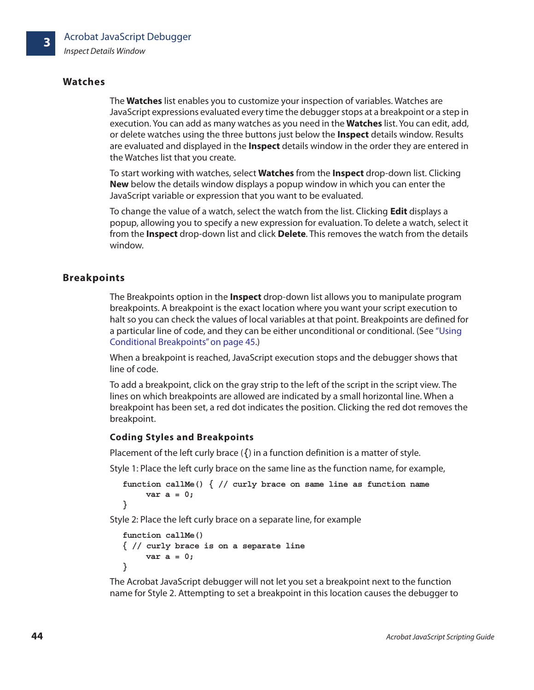#### **Watches**

The **Watches** list enables you to customize your inspection of variables. Watches are JavaScript expressions evaluated every time the debugger stops at a breakpoint or a step in execution. You can add as many watches as you need in the **Watches** list. You can edit, add, or delete watches using the three buttons just below the **Inspect** details window. Results are evaluated and displayed in the **Inspect** details window in the order they are entered in the Watches list that you create.

To start working with watches, select **Watches** from the **Inspect** drop-down list. Clicking **New** below the details window displays a popup window in which you can enter the JavaScript variable or expression that you want to be evaluated.

To change the value of a watch, select the watch from the list. Clicking **Edit** displays a popup, allowing you to specify a new expression for evaluation. To delete a watch, select it from the **Inspect** drop-down list and click **Delete**. This removes the watch from the details window.

#### <span id="page-43-0"></span>**Breakpoints**

The Breakpoints option in the **Inspect** drop-down list allows you to manipulate program breakpoints. A breakpoint is the exact location where you want your script execution to halt so you can check the values of local variables at that point. Breakpoints are defined for a particular line of code, and they can be either unconditional or conditional. (See ["Using](#page-44-0)  [Conditional Breakpoints" on page 45.](#page-44-0))

When a breakpoint is reached, JavaScript execution stops and the debugger shows that line of code.

To add a breakpoint, click on the gray strip to the left of the script in the script view. The lines on which breakpoints are allowed are indicated by a small horizontal line. When a breakpoint has been set, a red dot indicates the position. Clicking the red dot removes the breakpoint.

#### **Coding Styles and Breakpoints**

Placement of the left curly brace (**{**) in a function definition is a matter of style.

Style 1: Place the left curly brace on the same line as the function name, for example,

```
function callMe() { // curly brace on same line as function name
    var a = 0;
}
```
Style 2: Place the left curly brace on a separate line, for example

```
function callMe()
{ // curly brace is on a separate line
     var a = 0;
}
```
The Acrobat JavaScript debugger will not let you set a breakpoint next to the function name for Style 2. Attempting to set a breakpoint in this location causes the debugger to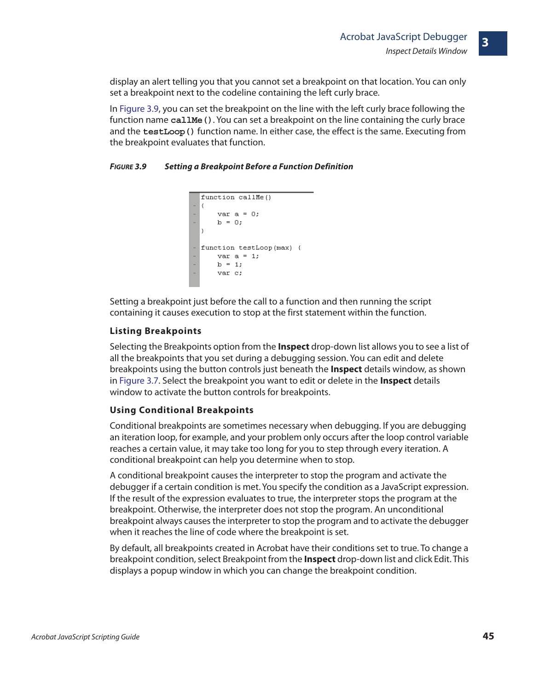display an alert telling you that you cannot set a breakpoint on that location. You can only set a breakpoint next to the codeline containing the left curly brace.

In [Figure 3.9,](#page-44-1) you can set the breakpoint on the line with the left curly brace following the function name **callMe()**. You can set a breakpoint on the line containing the curly brace and the **testLoop()** function name. In either case, the effect is the same. Executing from the breakpoint evaluates that function.

#### <span id="page-44-1"></span>**FIGURE 3.9 Setting a Breakpoint Before a Function Definition**

```
function callMe()
 ₹.
     var a = 0;
     b = 0;
 3
- function testLoop(max) {
   var a = 1;
    b = 1;var c;
```
Setting a breakpoint just before the call to a function and then running the script containing it causes execution to stop at the first statement within the function.

#### **Listing Breakpoints**

Selecting the Breakpoints option from the **Inspect** drop-down list allows you to see a list of all the breakpoints that you set during a debugging session. You can edit and delete breakpoints using the button controls just beneath the **Inspect** details window, as shown in [Figure 3.7.](#page-42-0) Select the breakpoint you want to edit or delete in the **Inspect** details window to activate the button controls for breakpoints.

#### <span id="page-44-0"></span>**Using Conditional Breakpoints**

Conditional breakpoints are sometimes necessary when debugging. If you are debugging an iteration loop, for example, and your problem only occurs after the loop control variable reaches a certain value, it may take too long for you to step through every iteration. A conditional breakpoint can help you determine when to stop.

A conditional breakpoint causes the interpreter to stop the program and activate the debugger if a certain condition is met. You specify the condition as a JavaScript expression. If the result of the expression evaluates to true, the interpreter stops the program at the breakpoint. Otherwise, the interpreter does not stop the program. An unconditional breakpoint always causes the interpreter to stop the program and to activate the debugger when it reaches the line of code where the breakpoint is set.

By default, all breakpoints created in Acrobat have their conditions set to true. To change a breakpoint condition, select Breakpoint from the **Inspect** drop-down list and click Edit. This displays a popup window in which you can change the breakpoint condition.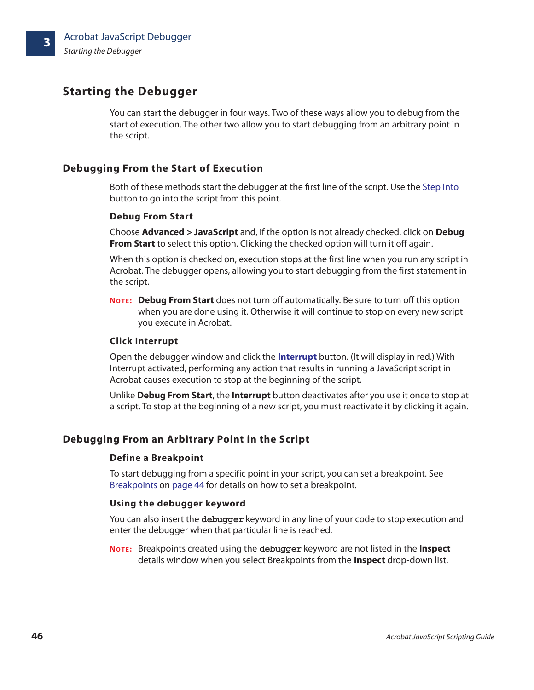## <span id="page-45-0"></span>**Starting the Debugger**

You can start the debugger in four ways. Two of these ways allow you to debug from the start of execution. The other two allow you to start debugging from an arbitrary point in the script.

#### **Debugging From the Start of Execution**

Both of these methods start the debugger at the first line of the script. Use the [Step Into](#page-38-1) button to go into the script from this point.

#### **Debug From Start**

Choose **Advanced > JavaScript** and, if the option is not already checked, click on **Debug From Start** to select this option. Clicking the checked option will turn it off again.

When this option is checked on, execution stops at the first line when you run any script in Acrobat. The debugger opens, allowing you to start debugging from the first statement in the script.

**NOTE: Debug From Start** does not turn off automatically. Be sure to turn off this option when you are done using it. Otherwise it will continue to stop on every new script you execute in Acrobat.

#### **Click Interrupt**

Open the debugger window and click the **[Interrupt](#page-37-1)** button. (It will display in red.) With Interrupt activated, performing any action that results in running a JavaScript script in Acrobat causes execution to stop at the beginning of the script.

Unlike **Debug From Start**, the **Interrupt** button deactivates after you use it once to stop at a script. To stop at the beginning of a new script, you must reactivate it by clicking it again.

#### **Debugging From an Arbitrary Point in the Script**

#### **Define a Breakpoint**

To start debugging from a specific point in your script, you can set a breakpoint. See [Breakpoints](#page-43-0) on [page 44](#page-43-0) for details on how to set a breakpoint.

#### **Using the debugger keyword**

You can also insert the **debugger** keyword in any line of your code to stop execution and enter the debugger when that particular line is reached.

**NOTE:** Breakpoints created using the **debugger** keyword are not listed in the **Inspect** details window when you select Breakpoints from the **Inspect** drop-down list.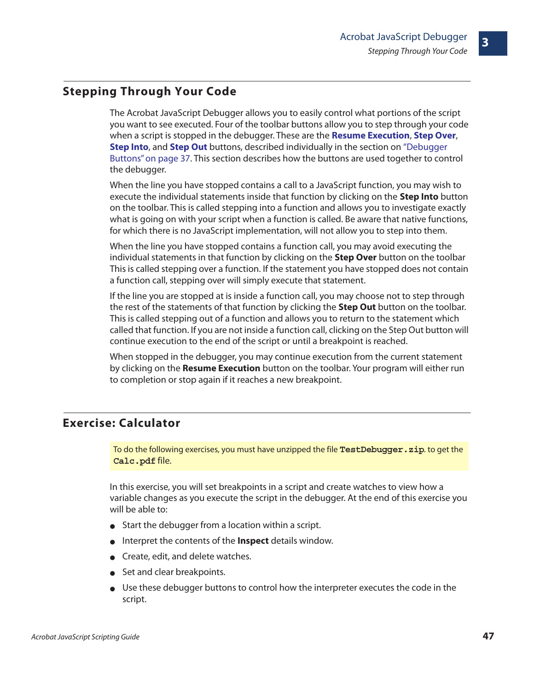## <span id="page-46-0"></span>**Stepping Through Your Code**

The Acrobat JavaScript Debugger allows you to easily control what portions of the script you want to see executed. Four of the toolbar buttons allow you to step through your code when a script is stopped in the debugger. These are the **[Resume Execution](#page-37-2)**, **[Step Over](#page-38-2)**, **[Step Into](#page-38-1)**, and **[Step Out](#page-38-3)** buttons, described individually in the section on ["Debugger](#page-36-1)  [Buttons" on page 37](#page-36-1). This section describes how the buttons are used together to control the debugger.

When the line you have stopped contains a call to a JavaScript function, you may wish to execute the individual statements inside that function by clicking on the **Step Into** button on the toolbar. This is called stepping into a function and allows you to investigate exactly what is going on with your script when a function is called. Be aware that native functions, for which there is no JavaScript implementation, will not allow you to step into them.

When the line you have stopped contains a function call, you may avoid executing the individual statements in that function by clicking on the **Step Over** button on the toolbar This is called stepping over a function. If the statement you have stopped does not contain a function call, stepping over will simply execute that statement.

If the line you are stopped at is inside a function call, you may choose not to step through the rest of the statements of that function by clicking the **Step Out** button on the toolbar. This is called stepping out of a function and allows you to return to the statement which called that function. If you are not inside a function call, clicking on the Step Out button will continue execution to the end of the script or until a breakpoint is reached.

When stopped in the debugger, you may continue execution from the current statement by clicking on the **Resume Execution** button on the toolbar. Your program will either run to completion or stop again if it reaches a new breakpoint.

## **Exercise: Calculator**

To do the following exercises, you must have unzipped the file **TestDebugger.zip**. to get the **Calc.pdf** file.

In this exercise, you will set breakpoints in a script and create watches to view how a variable changes as you execute the script in the debugger. At the end of this exercise you will be able to:

- Start the debugger from a location within a script.
- Interpret the contents of the **Inspect** details window.
- Create, edit, and delete watches.
- Set and clear breakpoints.
- Use these debugger buttons to control how the interpreter executes the code in the script.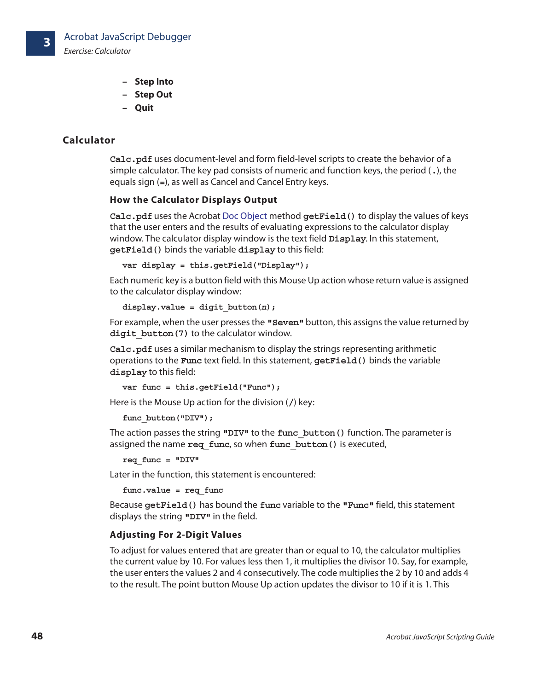- **– Step Into**
- **– Step Out**
- **Quit**

#### **Calculator**

**Calc.pdf** uses document-level and form field-level scripts to create the behavior of a simple calculator. The key pad consists of numeric and function keys, the period (**.**), the equals sign (**=**), as well as Cancel and Cancel Entry keys.

#### **How the Calculator Displays Output**

**Calc.pdf** uses the Acrobat Doc Object method **getField()** to display the values of keys that the user enters and the results of evaluating expressions to the calculator display window. The calculator display window is the text field **Display**. In this statement, **getField()** binds the variable **display** to this field:

**var display = this.getField("Display");**

Each numeric key is a button field with this Mouse Up action whose return value is assigned to the calculator display window:

**display.value = digit\_button(***n***);**

For example, when the user presses the **"Seven"**button, this assigns the value returned by **digit** button(7) to the calculator window.

**Calc.pdf** uses a similar mechanism to display the strings representing arithmetic operations to the **Func** text field. In this statement, **getField()** binds the variable **display** to this field:

```
var func = this.getField("Func");
```
Here is the Mouse Up action for the division (**/**) key:

```
func_button("DIV");
```
The action passes the string **"DIV"** to the **func\_button()** function. The parameter is assigned the name **req\_func**, so when **func\_button()** is executed,

**req\_func = "DIV"**

Later in the function, this statement is encountered:

**func.value = req\_func**

Because **getField()** has bound the **func** variable to the **"Func"** field, this statement displays the string **"DIV"** in the field.

#### **Adjusting For 2-Digit Values**

To adjust for values entered that are greater than or equal to 10, the calculator multiplies the current value by 10. For values less then 1, it multiplies the divisor 10. Say, for example, the user enters the values 2 and 4 consecutively. The code multiplies the 2 by 10 and adds 4 to the result. The point button Mouse Up action updates the divisor to 10 if it is 1. This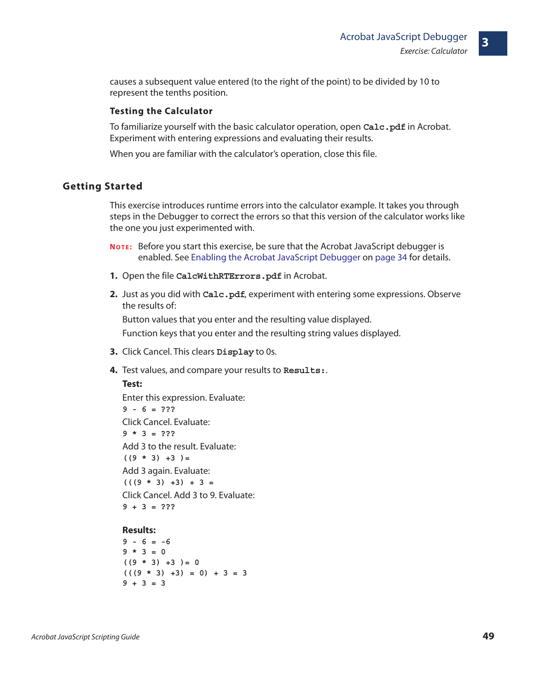causes a subsequent value entered (to the right of the point) to be divided by 10 to represent the tenths position.

#### **Testing the Calculator**

To familiarize yourself with the basic calculator operation, open **Calc.pdf** in Acrobat. Experiment with entering expressions and evaluating their results.

When you are familiar with the calculator's operation, close this file.

#### **Getting Started**

This exercise introduces runtime errors into the calculator example. It takes you through steps in the Debugger to correct the errors so that this version of the calculator works like the one you just experimented with.

- **NOTE:** Before you start this exercise, be sure that the Acrobat JavaScript debugger is enabled. See [Enabling the Acrobat JavaScript Debugger](#page-33-0) on [page 34](#page-33-0) for details.
- **1.** Open the file **CalcWithRTErrors.pdf** in Acrobat.
- **2.** Just as you did with **Calc.pdf**, experiment with entering some expressions. Observe the results of:

Button values that you enter and the resulting value displayed. Function keys that you enter and the resulting string values displayed.

- **3.** Click Cancel. This clears **Display** to 0s.
- **4.** Test values, and compare your results to **Results:**.

#### **Test:**

```
Enter this expression. Evaluate:
9 - 6 = ???
Click Cancel. Evaluate:
9 * 3 = ???
Add 3 to the result. Evaluate:
((9 * 3) +3) =Add 3 again. Evaluate:
(((9 * 3) +3) + 3 =
Click Cancel. Add 3 to 9. Evaluate:
9 + 3 = ???
```
#### **Results:**

**9 - 6 = -6 9 \* 3 = 0**  $((9 * 3) +3) = 0$  $((9 * 3) +3) = 0) + 3 = 3$ **9 + 3 = 3**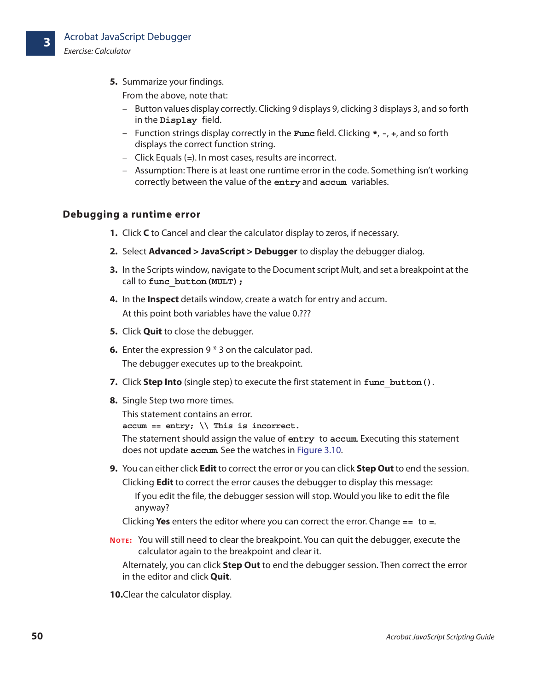**5.** Summarize your findings.

From the above, note that:

- Button values display correctly. Clicking 9 displays 9, clicking 3 displays 3, and so forth in the **Display** field.
- Function strings display correctly in the **Func** field. Clicking **\***, **-**, **+**, and so forth displays the correct function string.
- Click Equals (**=**). In most cases, results are incorrect.
- Assumption: There is at least one runtime error in the code. Something isn't working correctly between the value of the **entry** and **accum** variables.

#### **Debugging a runtime error**

- **1.** Click **C** to Cancel and clear the calculator display to zeros, if necessary.
- **2.** Select **Advanced > JavaScript > Debugger** to display the debugger dialog.
- **3.** In the Scripts window, navigate to the Document script Mult, and set a breakpoint at the call to **func\_button(MULT);**
- **4.** In the **Inspect** details window, create a watch for entry and accum. At this point both variables have the value 0.???
- **5.** Click **Quit** to close the debugger.
- **6.** Enter the expression 9 \* 3 on the calculator pad. The debugger executes up to the breakpoint.
- **7.** Click **Step Into** (single step) to execute the first statement in **func\_button()**.
- **8.** Single Step two more times.

This statement contains an error.

**accum == entry; \\ This is incorrect.** 

The statement should assign the value of **entry** to **accum**. Executing this statement does not update **accum**. See the watches in [Figure 3.10](#page-50-0).

**9.** You can either click **Edit**to correct the error or you can click **Step Out** to end the session. Clicking **Edit** to correct the error causes the debugger to display this message:

If you edit the file, the debugger session will stop. Would you like to edit the file anyway?

Clicking **Yes** enters the editor where you can correct the error. Change **==** to **=**.

**NOTE:** You will still need to clear the breakpoint. You can quit the debugger, execute the calculator again to the breakpoint and clear it.

Alternately, you can click **Step Out** to end the debugger session. Then correct the error in the editor and click **Quit**.

**10.**Clear the calculator display.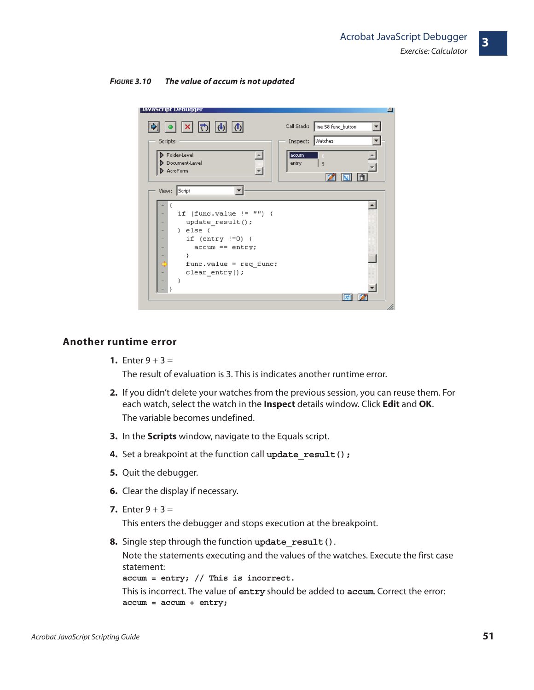<span id="page-50-0"></span>



#### **Another runtime error**

**1.** Enter  $9 + 3 =$ 

The result of evaluation is 3. This is indicates another runtime error.

- **2.** If you didn't delete your watches from the previous session, you can reuse them. For each watch, select the watch in the **Inspect** details window. Click **Edit** and **OK**. The variable becomes undefined.
- **3.** In the **Scripts** window, navigate to the Equals script.
- **4.** Set a breakpoint at the function call **update\_result();**
- **5.** Quit the debugger.
- **6.** Clear the display if necessary.
- **7.** Enter  $9 + 3 =$

This enters the debugger and stops execution at the breakpoint.

**8.** Single step through the function **update\_result()**. Note the statements executing and the values of the watches. Execute the first case statement: **accum = entry; // This is incorrect.**  This is incorrect. The value of **entry** should be added to **accum**. Correct the error: **accum = accum + entry;**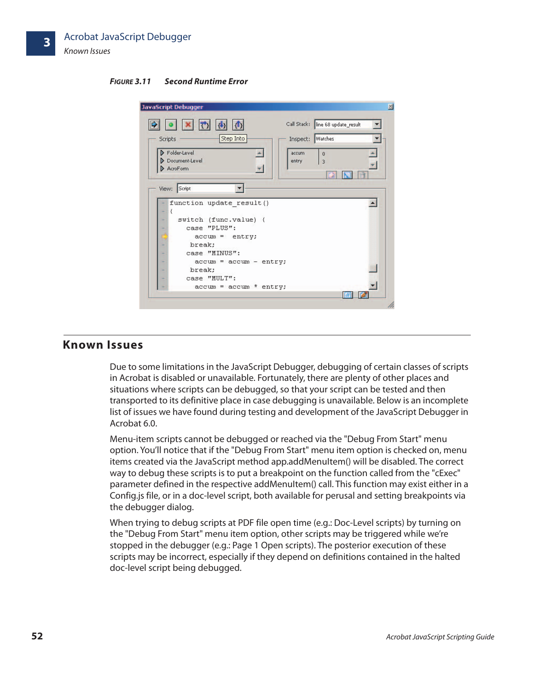**FIGURE 3.11 Second Runtime Error**



#### **Known Issues**

Due to some limitations in the JavaScript Debugger, debugging of certain classes of scripts in Acrobat is disabled or unavailable. Fortunately, there are plenty of other places and situations where scripts can be debugged, so that your script can be tested and then transported to its definitive place in case debugging is unavailable. Below is an incomplete list of issues we have found during testing and development of the JavaScript Debugger in Acrobat 6.0.

Menu-item scripts cannot be debugged or reached via the "Debug From Start" menu option. You'll notice that if the "Debug From Start" menu item option is checked on, menu items created via the JavaScript method app.addMenuItem() will be disabled. The correct way to debug these scripts is to put a breakpoint on the function called from the "cExec" parameter defined in the respective addMenuItem() call. This function may exist either in a Config.js file, or in a doc-level script, both available for perusal and setting breakpoints via the debugger dialog.

When trying to debug scripts at PDF file open time (e.g.: Doc-Level scripts) by turning on the "Debug From Start" menu item option, other scripts may be triggered while we're stopped in the debugger (e.g.: Page 1 Open scripts). The posterior execution of these scripts may be incorrect, especially if they depend on definitions contained in the halted doc-level script being debugged.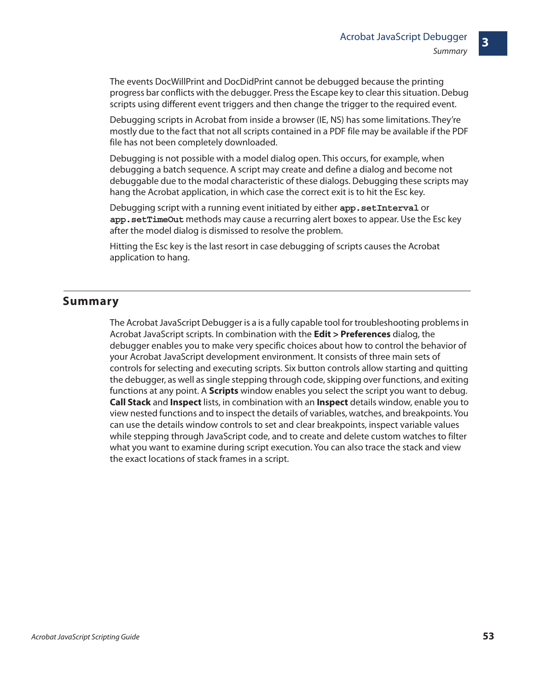The events DocWillPrint and DocDidPrint cannot be debugged because the printing progress bar conflicts with the debugger. Press the Escape key to clear this situation. Debug scripts using different event triggers and then change the trigger to the required event.

Debugging scripts in Acrobat from inside a browser (IE, NS) has some limitations. They're mostly due to the fact that not all scripts contained in a PDF file may be available if the PDF file has not been completely downloaded.

Debugging is not possible with a model dialog open. This occurs, for example, when debugging a batch sequence. A script may create and define a dialog and become not debuggable due to the modal characteristic of these dialogs. Debugging these scripts may hang the Acrobat application, in which case the correct exit is to hit the Esc key.

Debugging script with a running event initiated by either **app.setInterval** or **app.setTimeOut** methods may cause a recurring alert boxes to appear. Use the Esc key after the model dialog is dismissed to resolve the problem.

Hitting the Esc key is the last resort in case debugging of scripts causes the Acrobat application to hang.

## **Summary**

The Acrobat JavaScript Debugger is a is a fully capable tool for troubleshooting problems in Acrobat JavaScript scripts. In combination with the **Edit > Preferences** dialog, the debugger enables you to make very specific choices about how to control the behavior of your Acrobat JavaScript development environment. It consists of three main sets of controls for selecting and executing scripts. Six button controls allow starting and quitting the debugger, as well as single stepping through code, skipping over functions, and exiting functions at any point. A **Scripts** window enables you select the script you want to debug. **Call Stack** and **Inspect** lists, in combination with an **Inspect** details window, enable you to view nested functions and to inspect the details of variables, watches, and breakpoints. You can use the details window controls to set and clear breakpoints, inspect variable values while stepping through JavaScript code, and to create and delete custom watches to filter what you want to examine during script execution. You can also trace the stack and view the exact locations of stack frames in a script.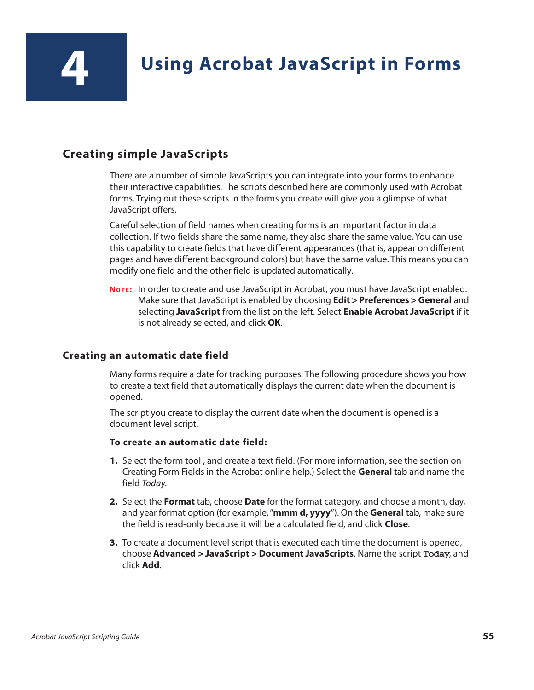# **4 Using Acrobat JavaScript in Forms**

## **Creating simple JavaScripts**

There are a number of simple JavaScripts you can integrate into your forms to enhance their interactive capabilities. The scripts described here are commonly used with Acrobat forms. Trying out these scripts in the forms you create will give you a glimpse of what JavaScript offers.

Careful selection of field names when creating forms is an important factor in data collection. If two fields share the same name, they also share the same value. You can use this capability to create fields that have different appearances (that is, appear on different pages and have different background colors) but have the same value. This means you can modify one field and the other field is updated automatically.

**NOTE:** In order to create and use JavaScript in Acrobat, you must have JavaScript enabled. Make sure that JavaScript is enabled by choosing **Edit > Preferences > General** and selecting **JavaScript** from the list on the left. Select **Enable Acrobat JavaScript** if it is not already selected, and click **OK**.

#### **Creating an automatic date field**

Many forms require a date for tracking purposes. The following procedure shows you how to create a text field that automatically displays the current date when the document is opened.

The script you create to display the current date when the document is opened is a document level script.

#### **To create an automatic date field:**

- **1.** Select the form tool , and create a text field. (For more information, see the section on Creating Form Fields in the Acrobat online help.) Select the **General** tab and name the field Today.
- **2.** Select the **Format** tab, choose **Date** for the format category, and choose a month, day, and year format option (for example, "**mmm d, yyyy**"). On the **General** tab, make sure the field is read-only because it will be a calculated field, and click **Close**.
- **3.** To create a document level script that is executed each time the document is opened, choose **Advanced > JavaScript > Document JavaScripts**. Name the script **Today**, and click **Add**.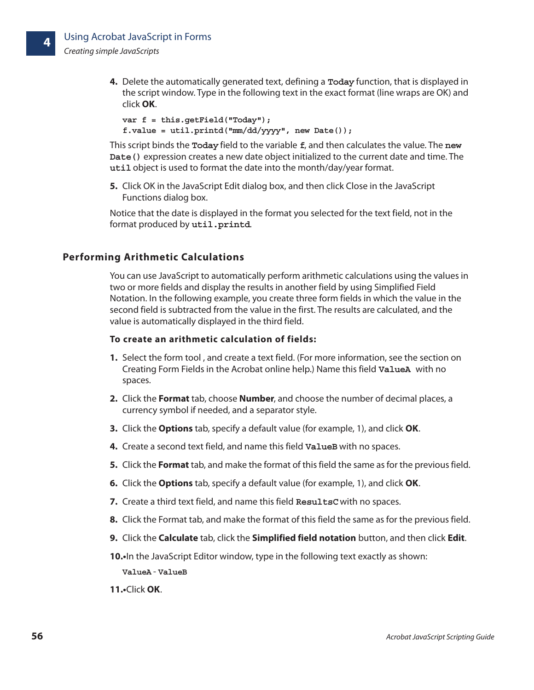**4.** Delete the automatically generated text, defining a **Today** function, that is displayed in the script window. Type in the following text in the exact format (line wraps are OK) and click **OK**.

```
var f = this.getField("Today");
f.value = util.printd("mm/dd/yyyy", new Date());
```
This script binds the **Today** field to the variable **f**, and then calculates the value. The **new Date()** expression creates a new date object initialized to the current date and time. The **util** object is used to format the date into the month/day/year format.

**5.** Click OK in the JavaScript Edit dialog box, and then click Close in the JavaScript Functions dialog box.

Notice that the date is displayed in the format you selected for the text field, not in the format produced by **util.printd**.

#### **Performing Arithmetic Calculations**

You can use JavaScript to automatically perform arithmetic calculations using the values in two or more fields and display the results in another field by using Simplified Field Notation. In the following example, you create three form fields in which the value in the second field is subtracted from the value in the first. The results are calculated, and the value is automatically displayed in the third field.

#### **To create an arithmetic calculation of fields:**

- **1.** Select the form tool , and create a text field. (For more information, see the section on Creating Form Fields in the Acrobat online help.) Name this field **ValueA** with no spaces.
- **2.** Click the **Format** tab, choose **Number**, and choose the number of decimal places, a currency symbol if needed, and a separator style.
- **3.** Click the **Options** tab, specify a default value (for example, 1), and click **OK**.
- **4.** Create a second text field, and name this field **ValueB** with no spaces.
- **5.** Click the **Format** tab, and make the format of this field the same as for the previous field.
- **6.** Click the **Options** tab, specify a default value (for example, 1), and click **OK**.
- **7.** Create a third text field, and name this field **ResultsC**with no spaces.
- **8.** Click the Format tab, and make the format of this field the same as for the previous field.
- **9.** Click the **Calculate** tab, click the **Simplified field notation** button, and then click **Edit**.
- <span id="page-55-0"></span>**10.•**In the JavaScript Editor window, type in the following text exactly as shown:

**ValueA** - **ValueB**

**11.•**Click **OK**.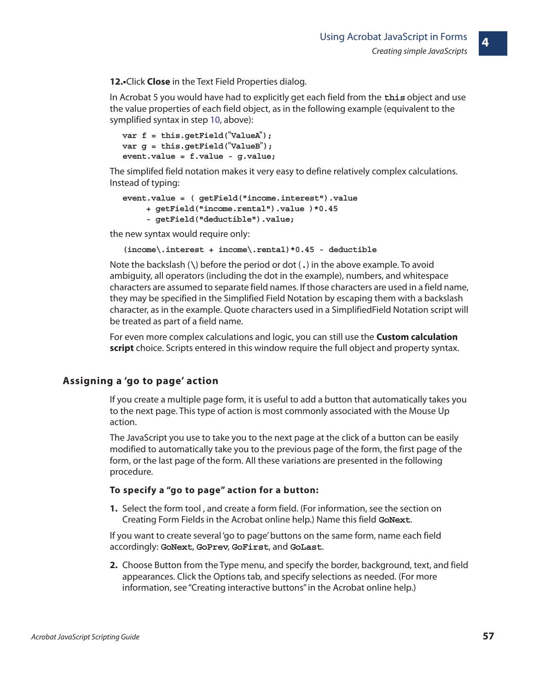**12.•**Click **Close** in the Text Field Properties dialog.

In Acrobat 5 you would have had to explicitly get each field from the **this** object and use the value properties of each field object, as in the following example (equivalent to the symplified syntax in step [10](#page-55-0), above):

```
var f = this.getField("ValueA");
var g = this.getField("ValueB");
event.value = f.value - g.value;
```
The simplifed field notation makes it very easy to define relatively complex calculations. Instead of typing:

```
event.value = ( getField("income.interest").value
    + getField("income.rental").value )*0.45
     - getField("deductible").value;
```
the new syntax would require only:

**(income\.interest + income\.rental)\*0.45 - deductible** 

Note the backslash (**\**) before the period or dot (**.**) in the above example. To avoid ambiguity, all operators (including the dot in the example), numbers, and whitespace characters are assumed to separate field names. If those characters are used in a field name, they may be specified in the Simplified Field Notation by escaping them with a backslash character, as in the example. Quote characters used in a SimplifiedField Notation script will be treated as part of a field name.

For even more complex calculations and logic, you can still use the **Custom calculation script** choice. Scripts entered in this window require the full object and property syntax.

#### **Assigning a 'go to page' action**

If you create a multiple page form, it is useful to add a button that automatically takes you to the next page. This type of action is most commonly associated with the Mouse Up action.

The JavaScript you use to take you to the next page at the click of a button can be easily modified to automatically take you to the previous page of the form, the first page of the form, or the last page of the form. All these variations are presented in the following procedure.

#### **To specify a "go to page" action for a button:**

**1.** Select the form tool , and create a form field. (For information, see the section on Creating Form Fields in the Acrobat online help.) Name this field **GoNext**.

If you want to create several 'go to page' buttons on the same form, name each field accordingly: **GoNext**, **GoPrev**, **GoFirst**, and **GoLast**.

**2.** Choose Button from the Type menu, and specify the border, background, text, and field appearances. Click the Options tab, and specify selections as needed. (For more information, see "Creating interactive buttons" in the Acrobat online help.)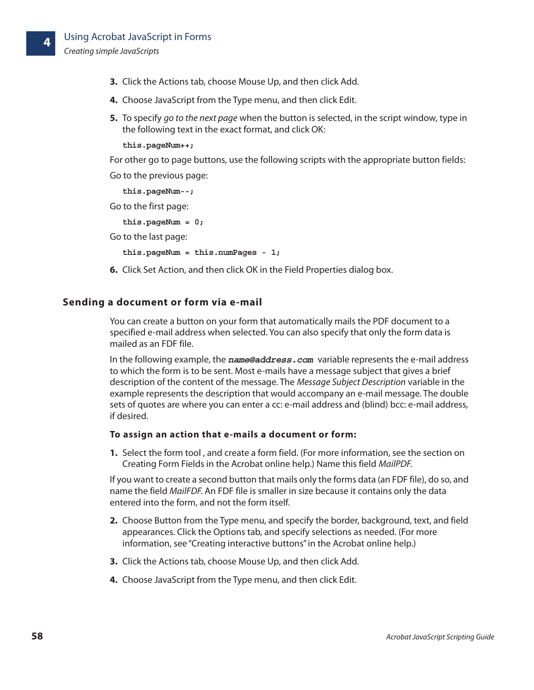- **3.** Click the Actions tab, choose Mouse Up, and then click Add.
- **4.** Choose JavaScript from the Type menu, and then click Edit.
- **5.** To specify go to the next page when the button is selected, in the script window, type in the following text in the exact format, and click OK:

**this.pageNum++;**

For other go to page buttons, use the following scripts with the appropriate button fields:

Go to the previous page:

**this.pageNum--;**

Go to the first page:

**this.pageNum = 0;**

Go to the last page:

**this.pageNum = this.numPages - 1;**

**6.** Click Set Action, and then click OK in the Field Properties dialog box.

#### **Sending a document or form via e-mail**

You can create a button on your form that automatically mails the PDF document to a specified e-mail address when selected. You can also specify that only the form data is mailed as an FDF file.

In the following example, the *name@address.com* variable represents the e-mail address to which the form is to be sent. Most e-mails have a message subject that gives a brief description of the content of the message. The Message Subject Description variable in the example represents the description that would accompany an e-mail message. The double sets of quotes are where you can enter a cc: e-mail address and (blind) bcc: e-mail address, if desired.

#### **To assign an action that e-mails a document or form:**

**1.** Select the form tool , and create a form field. (For more information, see the section on Creating Form Fields in the Acrobat online help.) Name this field MailPDF.

If you want to create a second button that mails only the forms data (an FDF file), do so, and name the field MailFDF. An FDF file is smaller in size because it contains only the data entered into the form, and not the form itself.

- **2.** Choose Button from the Type menu, and specify the border, background, text, and field appearances. Click the Options tab, and specify selections as needed. (For more information, see "Creating interactive buttons" in the Acrobat online help.)
- **3.** Click the Actions tab, choose Mouse Up, and then click Add.
- **4.** Choose JavaScript from the Type menu, and then click Edit.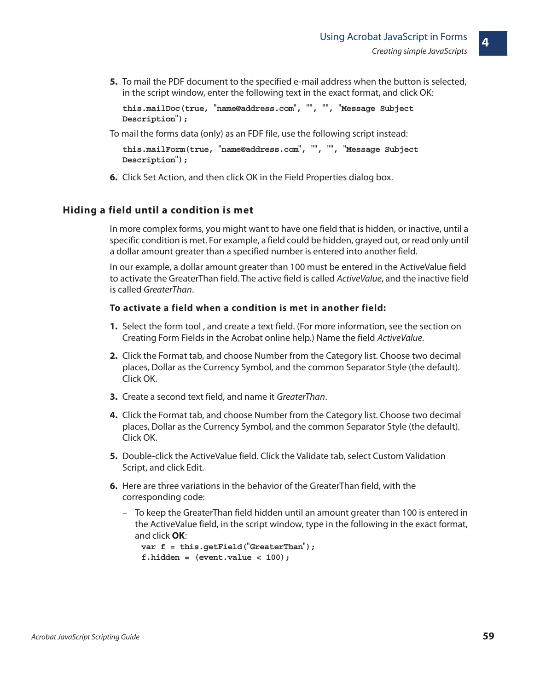**5.** To mail the PDF document to the specified e-mail address when the button is selected, in the script window, enter the following text in the exact format, and click OK:

**this.mailDoc(true,** "**name@address.com**"**,** ""**,** ""**,** "**Message Subject Description**"**);**

To mail the forms data (only) as an FDF file, use the following script instead:

```
this.mailForm(true, "name@address.com", "", "", "Message Subject 
Description");
```
**6.** Click Set Action, and then click OK in the Field Properties dialog box.

#### **Hiding a field until a condition is met**

In more complex forms, you might want to have one field that is hidden, or inactive, until a specific condition is met. For example, a field could be hidden, grayed out, or read only until a dollar amount greater than a specified number is entered into another field.

In our example, a dollar amount greater than 100 must be entered in the ActiveValue field to activate the GreaterThan field. The active field is called ActiveValue, and the inactive field is called GreaterThan.

#### **To activate a field when a condition is met in another field:**

- **1.** Select the form tool , and create a text field. (For more information, see the section on Creating Form Fields in the Acrobat online help.) Name the field ActiveValue.
- **2.** Click the Format tab, and choose Number from the Category list. Choose two decimal places, Dollar as the Currency Symbol, and the common Separator Style (the default). Click OK.
- **3.** Create a second text field, and name it GreaterThan.
- **4.** Click the Format tab, and choose Number from the Category list. Choose two decimal places, Dollar as the Currency Symbol, and the common Separator Style (the default). Click OK.
- **5.** Double-click the ActiveValue field. Click the Validate tab, select Custom Validation Script, and click Edit.
- **6.** Here are three variations in the behavior of the GreaterThan field, with the corresponding code:
	- To keep the GreaterThan field hidden until an amount greater than 100 is entered in the ActiveValue field, in the script window, type in the following in the exact format, and click **OK**:

```
var f = this.getField("GreaterThan");
f.hidden = (event.value < 100);
```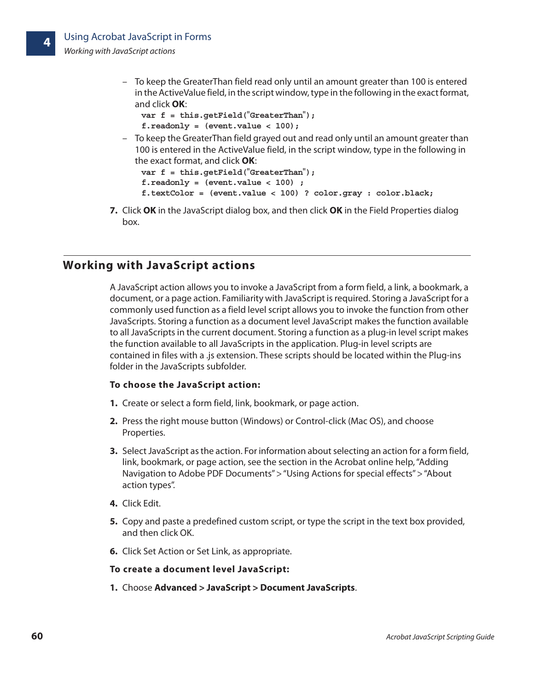– To keep the GreaterThan field read only until an amount greater than 100 is entered in the ActiveValue field, in the script window, type in the following in the exact format, and click **OK**:

```
var f = this.getField("GreaterThan");
f.readonly = (event.value < 100);
```
– To keep the GreaterThan field grayed out and read only until an amount greater than 100 is entered in the ActiveValue field, in the script window, type in the following in the exact format, and click **OK**:

```
var f = this.getField("GreaterThan");
f.readonly = (event.value < 100) ;
f.textColor = (event.value < 100) ? color.gray : color.black;
```
**7.** Click **OK** in the JavaScript dialog box, and then click **OK** in the Field Properties dialog box.

## **Working with JavaScript actions**

A JavaScript action allows you to invoke a JavaScript from a form field, a link, a bookmark, a document, or a page action. Familiarity with JavaScript is required. Storing a JavaScript for a commonly used function as a field level script allows you to invoke the function from other JavaScripts. Storing a function as a document level JavaScript makes the function available to all JavaScripts in the current document. Storing a function as a plug-in level script makes the function available to all JavaScripts in the application. Plug-in level scripts are contained in files with a .js extension. These scripts should be located within the Plug-ins folder in the JavaScripts subfolder.

#### **To choose the JavaScript action:**

- **1.** Create or select a form field, link, bookmark, or page action.
- **2.** Press the right mouse button (Windows) or Control-click (Mac OS), and choose Properties.
- **3.** Select JavaScript as the action. For information about selecting an action for a form field, link, bookmark, or page action, see the section in the Acrobat online help, "Adding Navigation to Adobe PDF Documents" > "Using Actions for special effects" > "About action types".
- **4.** Click Edit.
- **5.** Copy and paste a predefined custom script, or type the script in the text box provided, and then click OK.
- **6.** Click Set Action or Set Link, as appropriate.

#### **To create a document level JavaScript:**

**1.** Choose **Advanced > JavaScript > Document JavaScripts**.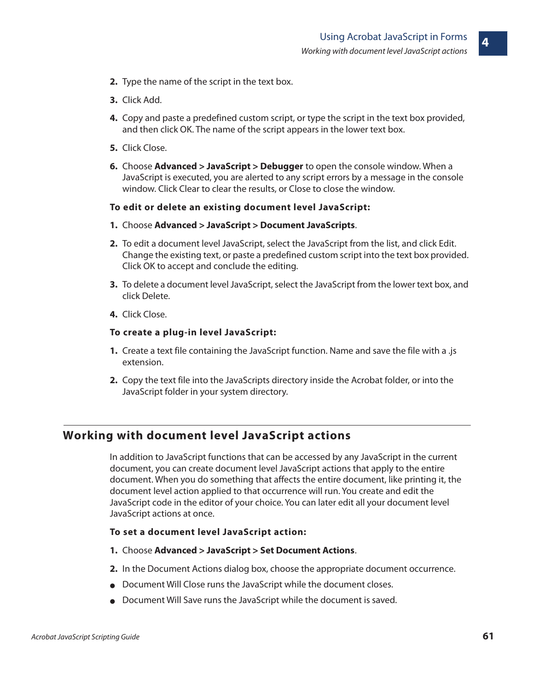- **2.** Type the name of the script in the text box.
- **3.** Click Add.
- **4.** Copy and paste a predefined custom script, or type the script in the text box provided, and then click OK. The name of the script appears in the lower text box.
- **5.** Click Close.
- **6.** Choose **Advanced > JavaScript > Debugger** to open the console window. When a JavaScript is executed, you are alerted to any script errors by a message in the console window. Click Clear to clear the results, or Close to close the window.

#### **To edit or delete an existing document level JavaScript:**

- **1.** Choose **Advanced > JavaScript > Document JavaScripts**.
- **2.** To edit a document level JavaScript, select the JavaScript from the list, and click Edit. Change the existing text, or paste a predefined custom script into the text box provided. Click OK to accept and conclude the editing.
- **3.** To delete a document level JavaScript, select the JavaScript from the lower text box, and click Delete.
- **4.** Click Close.

#### **To create a plug-in level JavaScript:**

- **1.** Create a text file containing the JavaScript function. Name and save the file with a .js extension.
- **2.** Copy the text file into the JavaScripts directory inside the Acrobat folder, or into the JavaScript folder in your system directory.

## **Working with document level JavaScript actions**

In addition to JavaScript functions that can be accessed by any JavaScript in the current document, you can create document level JavaScript actions that apply to the entire document. When you do something that affects the entire document, like printing it, the document level action applied to that occurrence will run. You create and edit the JavaScript code in the editor of your choice. You can later edit all your document level JavaScript actions at once.

#### **To set a document level JavaScript action:**

- **1.** Choose **Advanced > JavaScript > Set Document Actions**.
- **2.** In the Document Actions dialog box, choose the appropriate document occurrence.
- Document Will Close runs the JavaScript while the document closes.
- Document Will Save runs the JavaScript while the document is saved.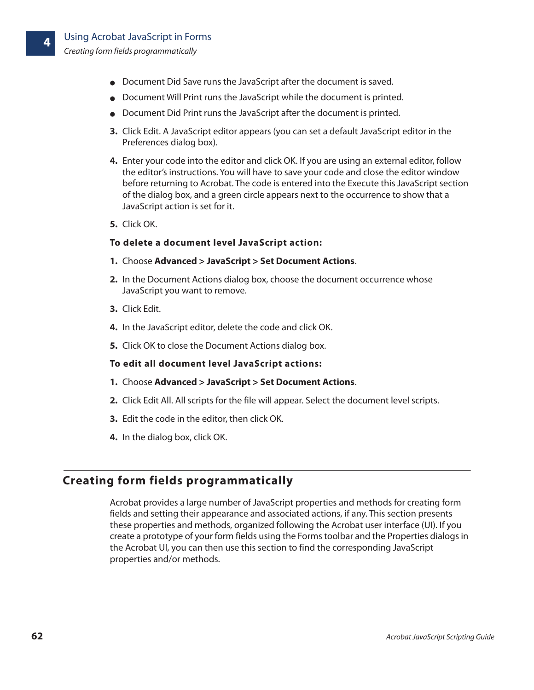- Document Did Save runs the JavaScript after the document is saved.
- Document Will Print runs the JavaScript while the document is printed.
- Document Did Print runs the JavaScript after the document is printed.
- **3.** Click Edit. A JavaScript editor appears (you can set a default JavaScript editor in the Preferences dialog box).
- **4.** Enter your code into the editor and click OK. If you are using an external editor, follow the editor's instructions. You will have to save your code and close the editor window before returning to Acrobat. The code is entered into the Execute this JavaScript section of the dialog box, and a green circle appears next to the occurrence to show that a JavaScript action is set for it.
- **5.** Click OK.

#### **To delete a document level JavaScript action:**

- **1.** Choose **Advanced > JavaScript > Set Document Actions**.
- **2.** In the Document Actions dialog box, choose the document occurrence whose JavaScript you want to remove.
- **3.** Click Edit.
- **4.** In the JavaScript editor, delete the code and click OK.
- **5.** Click OK to close the Document Actions dialog box.
- **To edit all document level JavaScript actions:**
- **1.** Choose **Advanced > JavaScript > Set Document Actions**.
- **2.** Click Edit All. All scripts for the file will appear. Select the document level scripts.
- **3.** Edit the code in the editor, then click OK.
- **4.** In the dialog box, click OK.

## **Creating form fields programmatically**

Acrobat provides a large number of JavaScript properties and methods for creating form fields and setting their appearance and associated actions, if any. This section presents these properties and methods, organized following the Acrobat user interface (UI). If you create a prototype of your form fields using the Forms toolbar and the Properties dialogs in the Acrobat UI, you can then use this section to find the corresponding JavaScript properties and/or methods.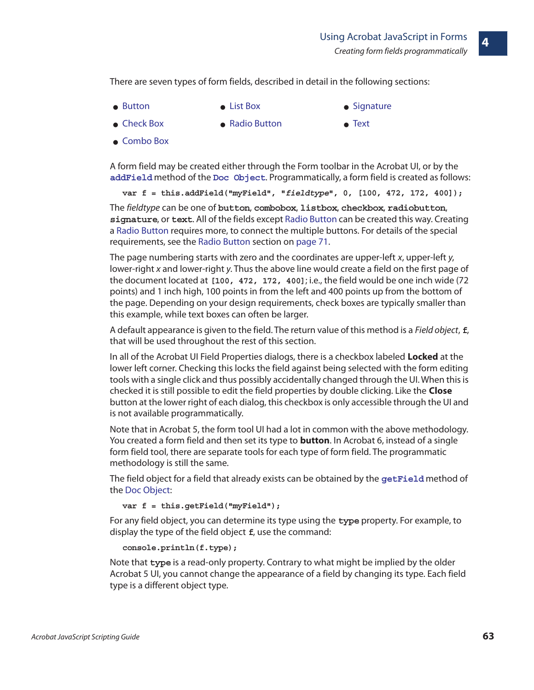There are seven types of form fields, described in detail in the following sections:

- 
- [Button](#page-63-0) [List Box](#page-69-0) [Signature](#page-71-0)
- [Check Box](#page-65-0) [Radio Button](#page-70-0) [Text](#page-72-0)
- [Combo Box](#page-66-0)

A form field may be created either through the Form toolbar in the Acrobat UI, or by the **addField** method of the **Doc Object**. Programmatically, a form field is created as follows:

**var f = this.addField("myField", "***fieldtype***", 0, [100, 472, 172, 400]);**

The fieldtype can be one of **button**, **combobox**, **listbox**, **checkbox**, **radiobutton**, **signature**, or **text**. All of the fields except [Radio Button](#page-70-0) can be created this way. Creating a [Radio Button](#page-70-0) requires more, to connect the multiple buttons. For details of the special requirements, see the [Radio Button](#page-70-0) section on [page 71.](#page-70-0)

The page numbering starts with zero and the coordinates are upper-left  $x$ , upper-left  $y$ , lower-right x and lower-right y. Thus the above line would create a field on the first page of the document located at **[100, 472, 172, 400]**; i.e., the field would be one inch wide (72 points) and 1 inch high, 100 points in from the left and 400 points up from the bottom of the page. Depending on your design requirements, check boxes are typically smaller than this example, while text boxes can often be larger.

A default appearance is given to the field. The return value of this method is a Field object, **f**, that will be used throughout the rest of this section.

In all of the Acrobat UI Field Properties dialogs, there is a checkbox labeled **Locked** at the lower left corner. Checking this locks the field against being selected with the form editing tools with a single click and thus possibly accidentally changed through the UI. When this is checked it is still possible to edit the field properties by double clicking. Like the **Close** button at the lower right of each dialog, this checkbox is only accessible through the UI and is not available programmatically.

Note that in Acrobat 5, the form tool UI had a lot in common with the above methodology. You created a form field and then set its type to **button**. In Acrobat 6, instead of a single form field tool, there are separate tools for each type of form field. The programmatic methodology is still the same.

The field object for a field that already exists can be obtained by the **getField** method of the Doc Object:

```
var f = this.getField("myField");
```
For any field object, you can determine its type using the **type** property. For example, to display the type of the field object **f**, use the command:

```
console.println(f.type);
```
Note that **type** is a read-only property. Contrary to what might be implied by the older Acrobat 5 UI, you cannot change the appearance of a field by changing its type. Each field type is a different object type.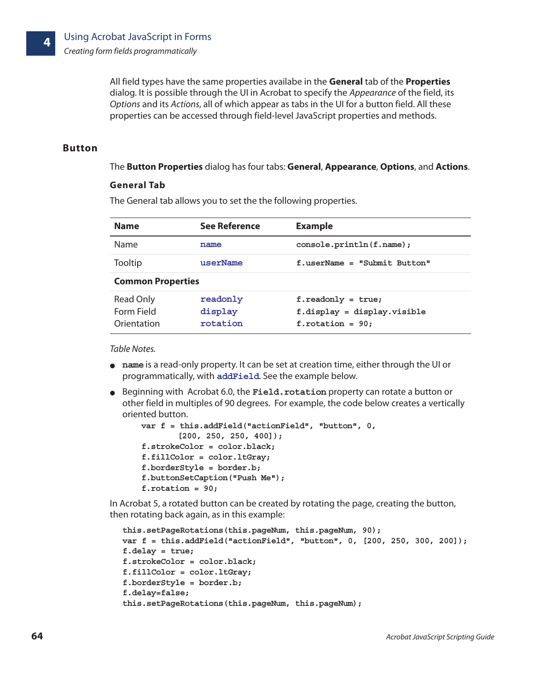All field types have the same properties availabe in the **General** tab of the **Properties** dialog. It is possible through the UI in Acrobat to specify the *Appearance* of the field, its Options and its Actions, all of which appear as tabs in the UI for a button field. All these properties can be accessed through field-level JavaScript properties and methods.

#### <span id="page-63-1"></span><span id="page-63-0"></span>**Button**

The **Button Properties** dialog has four tabs: **General**, **Appearance**, **Options**, and **Actions**.

#### **General Tab**

| <b>Name</b>              | <b>See Reference</b> | <b>Example</b>                    |  |
|--------------------------|----------------------|-----------------------------------|--|
| Name                     | name                 | console.println(f.name);          |  |
| Tooltip                  | userName             | $f. userName = "Submit Butteron"$ |  |
| <b>Common Properties</b> |                      |                                   |  |
| Read Only                | readonly             | $f.readonly = true;$              |  |
| Form Field               | display              | f.display = display.visible       |  |
| Orientation              | rotation             | $f. rotation = 90$                |  |

The General tab allows you to set the the following properties.

Table Notes.

- **name** is a read-only property. It can be set at creation time, either through the UI or programmatically, with **addField**. See the example below.
- Beginning with Acrobat 6.0, the **Field.rotation** property can rotate a button or other field in multiples of 90 degrees. For example, the code below creates a vertically oriented button.

```
var f = this.addField("actionField", "button", 0, 
       [200, 250, 250, 400]);
f.strokeColor = color.black;
f.fillColor = color.ltGray;
f.borderStyle = border.b;
f.buttonSetCaption("Push Me");
f.rotation = 90;
```
In Acrobat 5, a rotated button can be created by rotating the page, creating the button, then rotating back again, as in this example:

```
this.setPageRotations(this.pageNum, this.pageNum, 90);
var f = this.addField("actionField", "button", 0, [200, 250, 300, 200]);
f.delay = true;
f.strokeColor = color.black;
f.fillColor = color.ltGray;
f.borderStyle = border.b;
f.delay=false;
this.setPageRotations(this.pageNum, this.pageNum);
```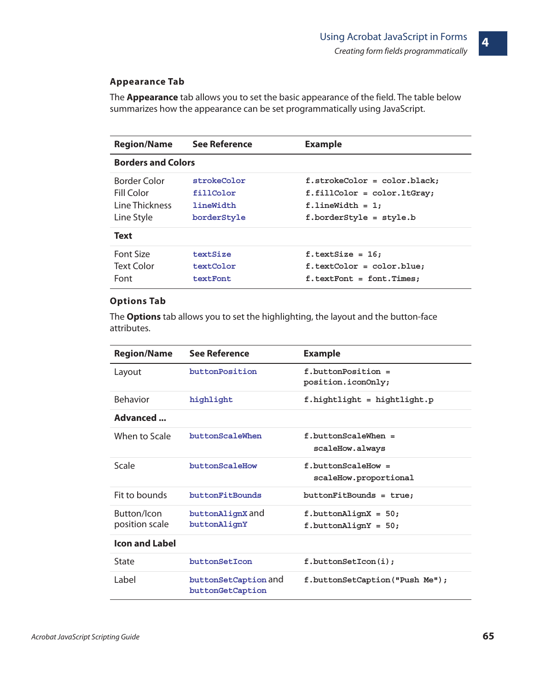#### <span id="page-64-0"></span>**Appearance Tab**

The **Appearance** tab allows you to set the basic appearance of the field. The table below summarizes how the appearance can be set programmatically using JavaScript.

| <b>Region/Name</b>        | <b>See Reference</b> | <b>Example</b>                    |
|---------------------------|----------------------|-----------------------------------|
| <b>Borders and Colors</b> |                      |                                   |
| Border Color              | strokeColor          | $f.setrokeColor = color, black;\$ |
| Fill Color                | fillColor            | $f.fillColor = color.ltGray;$     |
| Line Thickness            | lineWidth            | $f$ .lineWidth = 1;               |
| Line Style                | borderStyle          | $f.borderStyle = style.b$         |
| <b>Text</b>               |                      |                                   |
| Font Size                 | textSize             | $f.$ textSize = 16;               |
| Text Color                | textColor            | $f.textColor = color-blue;$       |
| Font                      | textFont             | $f.textFont = font.times$         |

#### **Options Tab**

The **Options** tab allows you to set the highlighting, the layout and the button-face attributes.

| <b>Region/Name</b>            | See Reference                            | <b>Example</b>                                   |
|-------------------------------|------------------------------------------|--------------------------------------------------|
| Layout                        | buttonPosition                           | $f.$ buttonPosition =<br>position.iconOnly;      |
| <b>Behavior</b>               | highlight                                | f.hightlight = hightlight.p                      |
| Advanced                      |                                          |                                                  |
| When to Scale                 | buttonScaleWhen                          | $f.buttonScaleWhen =$<br>scaleHow.always         |
| Scale                         | buttonScaleHow                           | $f.buttonScaleHow =$<br>scaleHow.proportional    |
| Fit to bounds                 | buttonFitBounds                          | $but$ tonFitBounds = true;                       |
| Button/Icon<br>position scale | buttonAlignX and<br>buttonAlignY         | $f.buttonalignX = 50;$<br>$f.buttonAlignY = 50;$ |
| <b>Icon and Label</b>         |                                          |                                                  |
| State                         | buttonSetIcon                            | f.buttonSetIcon(i);                              |
| Label                         | buttonSetCaption and<br>buttonGetCaption | f.buttonSetCaption("Push Me");                   |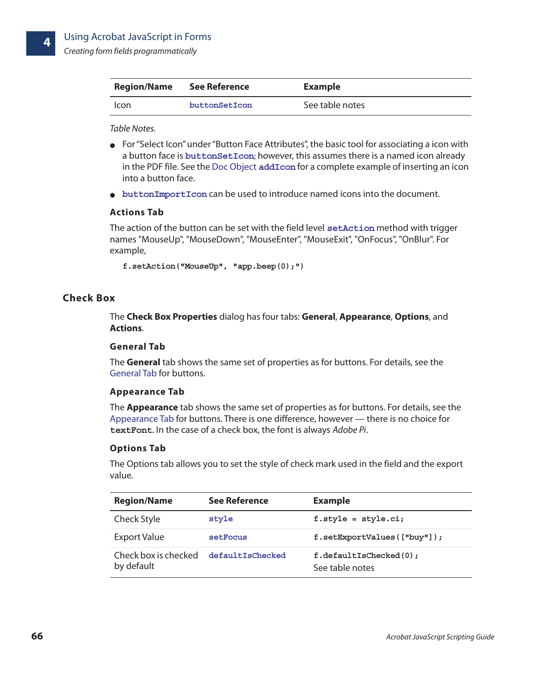| <b>Region/Name</b> | <b>See Reference</b> | <b>Example</b>  |
|--------------------|----------------------|-----------------|
| Icon               | buttonSetIcon        | See table notes |

Table Notes.

- For "Select Icon" under "Button Face Attributes", the basic tool for associating a icon with a button face is **buttonSetIcon**; however, this assumes there is a named icon already in the PDF file. See the Doc Object **addIcon**for a complete example of inserting an icon into a button face.
- **buttonImportIcon** can be used to introduce named icons into the document.

#### <span id="page-65-1"></span>**Actions Tab**

The action of the button can be set with the field level **setAction** method with trigger names "MouseUp", "MouseDown", "MouseEnter", "MouseExit", "OnFocus", "OnBlur". For example,

**f.setAction("MouseUp", "app.beep(0);")**

#### <span id="page-65-0"></span>**Check Box**

The **Check Box Properties** dialog has four tabs: **General**, **Appearance**, **Options**, and **Actions**.

#### **General Tab**

The **General** tab shows the same set of properties as for buttons. For details, see the [General Tab](#page-63-1) for buttons.

#### **Appearance Tab**

The **Appearance** tab shows the same set of properties as for buttons. For details, see the [Appearance Tab](#page-64-0) for buttons. There is one difference, however — there is no choice for **textFont**. In the case of a check box, the font is always Adobe Pi.

#### <span id="page-65-2"></span>**Options Tab**

The Options tab allows you to set the style of check mark used in the field and the export value.

| <b>Region/Name</b>                 | <b>See Reference</b> | <b>Example</b>                             |
|------------------------------------|----------------------|--------------------------------------------|
| Check Style                        | style                | $f.setyle = style.ci;$                     |
| <b>Export Value</b>                | setFocus             | f.setExportValues(["buy"]);                |
| Check box is checked<br>by default | defaultIsChecked     | f. defaultIsChecked(0);<br>See table notes |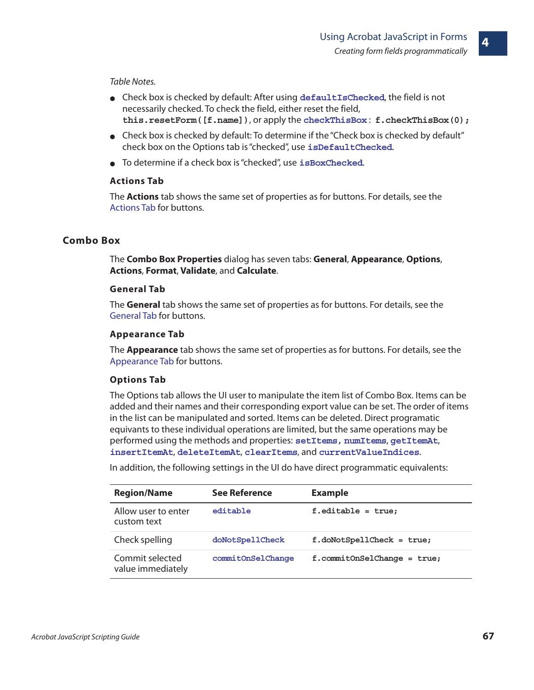#### <span id="page-66-2"></span>Table Notes.

- Check box is checked by default: After using **defaultIsChecked**, the field is not necessarily checked. To check the field, either reset the field, **this.resetForm([f.name])**, or apply the **checkThisBox** : **f.checkThisBox(0);**
- Check box is checked by default: To determine if the "Check box is checked by default" check box on the Options tab is "checked", use **isDefaultChecked**.
- To determine if a check box is "checked", use **isBoxChecked**.

#### **Actions Tab**

The **Actions** tab shows the same set of properties as for buttons. For details, see the [Actions Tab](#page-65-1) for buttons.

#### <span id="page-66-0"></span>**Combo Box**

The **Combo Box Properties** dialog has seven tabs: **General**, **Appearance**, **Options**, **Actions**, **Format**, **Validate**, and **Calculate**.

#### **General Tab**

The **General** tab shows the same set of properties as for buttons. For details, see the [General Tab](#page-63-1) for buttons.

#### **Appearance Tab**

The **Appearance** tab shows the same set of properties as for buttons. For details, see the [Appearance Tab](#page-64-0) for buttons.

#### <span id="page-66-1"></span>**Options Tab**

The Options tab allows the UI user to manipulate the item list of Combo Box. Items can be added and their names and their corresponding export value can be set. The order of items in the list can be manipulated and sorted. Items can be deleted. Direct programatic equivants to these individual operations are limited, but the same operations may be performed using the methods and properties: **setItems, numItems**, **getItemAt**, **insertItemAt**, **deleteItemAt**, **clearItems**, and **currentValueIndices**.

In addition, the following settings in the UI do have direct programmatic equivalents:

| <b>Region/Name</b>                   | <b>See Reference</b> | <b>Example</b>                 |
|--------------------------------------|----------------------|--------------------------------|
| Allow user to enter<br>custom text   | editable             | $f.$ editable = $true:$        |
| Check spelling                       | doNotSpellCheck      | $f.doNotSpellCheck = true;$    |
| Commit selected<br>value immediately | commitOnSelChange    | $f$ .commitOnSelChange = true; |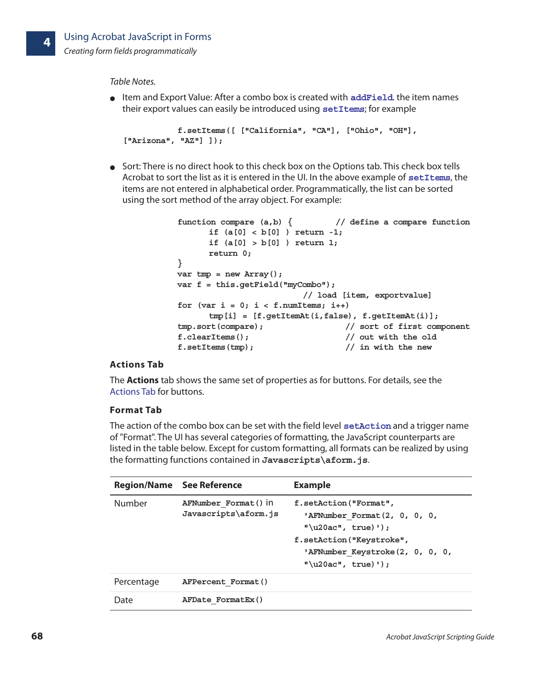<span id="page-67-0"></span>Table Notes.

● Item and Export Value: After a combo box is created with **addField**. the item names their export values can easily be introduced using **setItems**; for example

```
f.setItems([ ["California", "CA"], ["Ohio", "OH"], 
["Arizona", "AZ"] ]);
```
● Sort: There is no direct hook to this check box on the Options tab. This check box tells Acrobat to sort the list as it is entered in the UI. In the above example of **setItems**, the items are not entered in alphabetical order. Programmatically, the list can be sorted using the sort method of the array object. For example:

```
function compare (a,b) { // define a compare function
     if (a[0] < b[0] ) return -1;
     if (a[0] > b[0] ) return 1;
     return 0;
}
var tmp = new Array();
var f = this.getField("myCombo");
                       // load [item, exportvalue]
for (var i = 0; i < f.numItems; i++)tmp[i] = [f.getItemAt(i,false), f.getItemAt(i)];
tmp.sort(compare); // sort of first component
f.clearItems(); // out with the old
f.setItems(tmp); // in with the new
```
#### **Actions Tab**

The **Actions** tab shows the same set of properties as for buttons. For details, see the [Actions Tab](#page-65-1) for buttons.

#### **Format Tab**

The action of the combo box can be set with the field level **setAction** and a trigger name of "Format". The UI has several categories of formatting, the JavaScript counterparts are listed in the table below. Except for custom formatting, all formats can be realized by using the formatting functions contained in **Javascripts\aform.js**.

|               | <b>Region/Name See Reference</b>             | <b>Example</b>                                                                                                                                                           |
|---------------|----------------------------------------------|--------------------------------------------------------------------------------------------------------------------------------------------------------------------------|
| <b>Number</b> | AFNumber Format() in<br>Javascripts\aform.js | f.setAction("Format",<br>'AFNumber Format (2, 0, 0, 0,<br>"\u20ac", $true)$ ');<br>f.setAction("Keystroke",<br>'AFNumber Keystroke(2, 0, 0, 0,<br>" $\u20ac$ ", true)'); |
| Percentage    | AFPercent Format()                           |                                                                                                                                                                          |
| Date          | AFDate FormatEx()                            |                                                                                                                                                                          |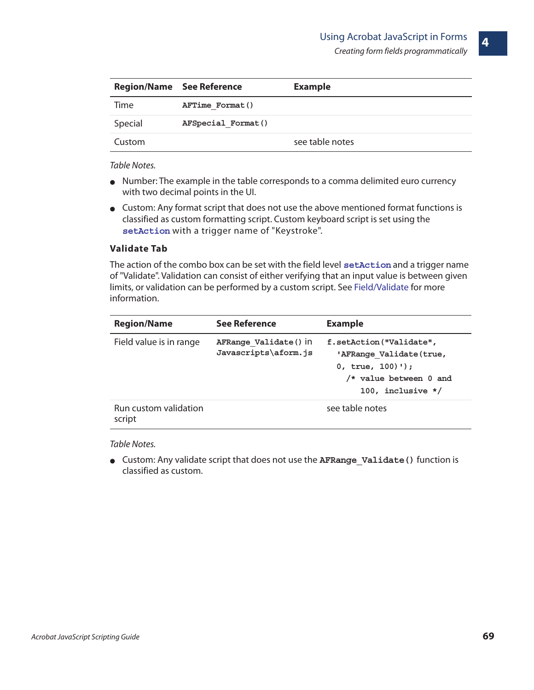|         | <b>Region/Name See Reference</b> | <b>Example</b>  |
|---------|----------------------------------|-----------------|
| Time    | AFTime Format()                  |                 |
| Special | AFSpecial Format()               |                 |
| Custom  |                                  | see table notes |

Table Notes.

- Number: The example in the table corresponds to a comma delimited euro currency with two decimal points in the UI.
- Custom: Any format script that does not use the above mentioned format functions is classified as custom formatting script. Custom keyboard script is set using the **setAction** with a trigger name of "Keystroke".

#### **Validate Tab**

The action of the combo box can be set with the field level **setAction** and a trigger name of "Validate". Validation can consist of either verifying that an input value is between given limits, or validation can be performed by a custom script. See Field/Validate for more information.

| <b>Region/Name</b>              | <b>See Reference</b>                          | <b>Example</b>                                                                                                                |
|---------------------------------|-----------------------------------------------|-------------------------------------------------------------------------------------------------------------------------------|
| Field value is in range         | AFRange Validate() in<br>Javascripts\aform.js | f.setAction("Validate",<br>'AFRange Validate (true,<br>$0, true, 100)$ ');<br>$/*$ value between 0 and<br>100, inclusive $*/$ |
| Run custom validation<br>script |                                               | see table notes                                                                                                               |

Table Notes.

● Custom: Any validate script that does not use the **AFRange\_Validate()** function is classified as custom.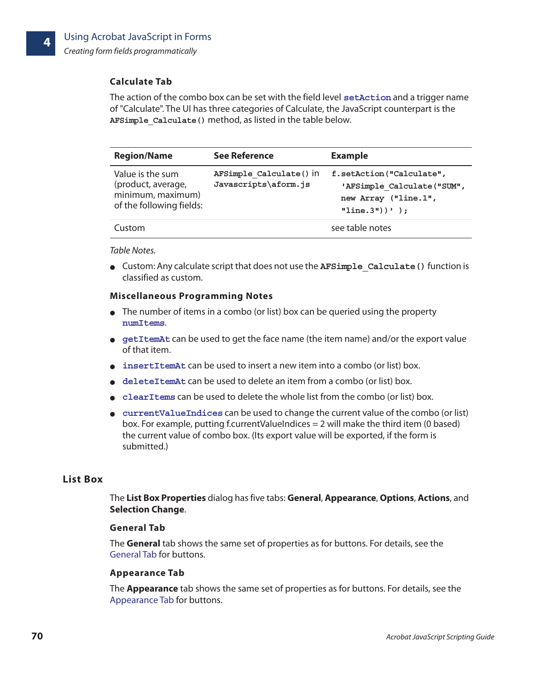#### **Calculate Tab**

The action of the combo box can be set with the field level **setAction** and a trigger name of "Calculate". The UI has three categories of Calculate, the JavaScript counterpart is the **AFSimple\_Calculate()** method, as listed in the table below.

| <b>Region/Name</b>                                                                      | <b>See Reference</b>                            | <b>Example</b>                                                                                            |
|-----------------------------------------------------------------------------------------|-------------------------------------------------|-----------------------------------------------------------------------------------------------------------|
| Value is the sum<br>(product, average,<br>minimum, maximum)<br>of the following fields: | AFSimple Calculate() in<br>Javascripts\aform.js | f.setAction("Calculate",<br>'AFSimple Calculate ("SUM",<br>new Array ("line.1",<br>$"line(.3")$ ) $'$ ) ; |
| Custom                                                                                  |                                                 | see table notes                                                                                           |

Table Notes.

● Custom: Any calculate script that does not use the **AFSimple Calculate()** function is classified as custom.

#### <span id="page-69-1"></span>**Miscellaneous Programming Notes**

- The number of items in a combo (or list) box can be queried using the property **numItems**.
- **getItemAt** can be used to get the face name (the item name) and/or the export value of that item.
- **insertItemAt** can be used to insert a new item into a combo (or list) box.
- **deleteItemAt** can be used to delete an item from a combo (or list) box.
- **clearItems** can be used to delete the whole list from the combo (or list) box.
- **currentValueIndices** can be used to change the current value of the combo (or list) box. For example, putting f.currentValueIndices  $= 2$  will make the third item (0 based) the current value of combo box. (Its export value will be exported, if the form is submitted.)

#### <span id="page-69-0"></span>**List Box**

The **List Box Properties** dialog has five tabs: **General**, **Appearance**, **Options**, **Actions**, and **Selection Change**.

#### **General Tab**

The **General** tab shows the same set of properties as for buttons. For details, see the [General Tab](#page-63-1) for buttons.

#### **Appearance Tab**

The **Appearance** tab shows the same set of properties as for buttons. For details, see the [Appearance Tab](#page-64-0) for buttons.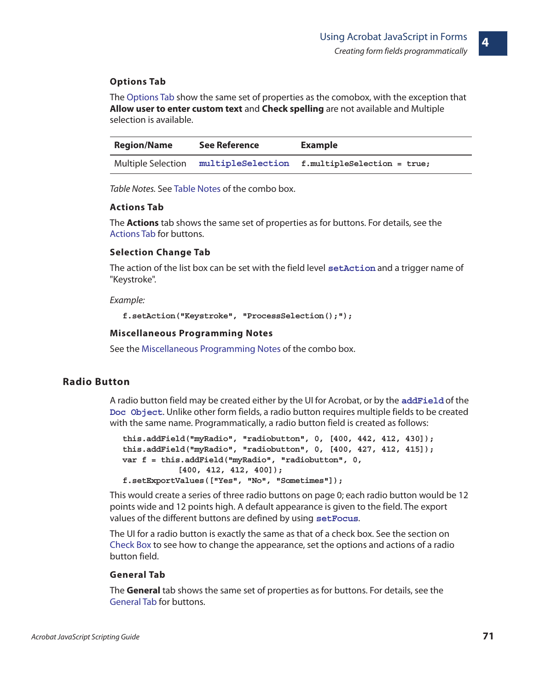#### **Options Tab**

The [Options Tab](#page-66-1) show the same set of properties as the comobox, with the exception that **Allow user to enter custom text** and **Check spelling** are not available and Multiple selection is available.

| <b>Region/Name</b>        | <b>See Reference</b> | <b>Example</b>              |
|---------------------------|----------------------|-----------------------------|
| <b>Multiple Selection</b> | multipleSelection    | f.multipleSelection = true; |

Table Notes. See [Table Notes](#page-67-0) of the combo box.

#### **Actions Tab**

The **Actions** tab shows the same set of properties as for buttons. For details, see the [Actions Tab](#page-65-1) for buttons.

#### **Selection Change Tab**

The action of the list box can be set with the field level **setAction** and a trigger name of "Keystroke".

#### Example:

**f.setAction("Keystroke", "ProcessSelection();");**

#### **Miscellaneous Programming Notes**

See the [Miscellaneous Programming Notes](#page-69-1) of the combo box.

#### <span id="page-70-0"></span>**Radio Button**

A radio button field may be created either by the UI for Acrobat, or by the **addField** of the **Doc Object**. Unlike other form fields, a radio button requires multiple fields to be created with the same name. Programmatically, a radio button field is created as follows:

```
this.addField("myRadio", "radiobutton", 0, [400, 442, 412, 430]);
this.addField("myRadio", "radiobutton", 0, [400, 427, 412, 415]);
var f = this.addField("myRadio", "radiobutton", 0, 
           [400, 412, 412, 400]);
f.setExportValues(["Yes", "No", "Sometimes"]);
```
This would create a series of three radio buttons on page 0; each radio button would be 12 points wide and 12 points high. A default appearance is given to the field. The export values of the different buttons are defined by using **setFocus**.

The UI for a radio button is exactly the same as that of a check box. See the section on [Check Box](#page-65-0) to see how to change the appearance, set the options and actions of a radio button field.

#### **General Tab**

The **General** tab shows the same set of properties as for buttons. For details, see the [General Tab](#page-63-1) for buttons.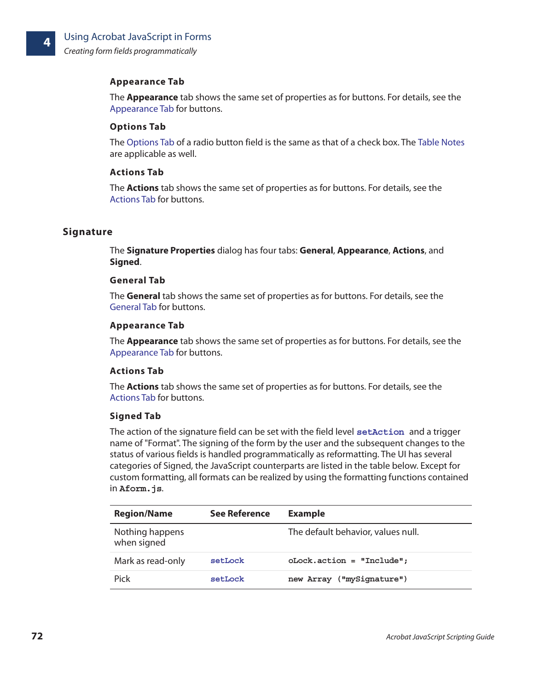#### **Appearance Tab**

The **Appearance** tab shows the same set of properties as for buttons. For details, see the [Appearance Tab](#page-64-0) for buttons.

#### **Options Tab**

The [Options Tab](#page-65-2) of a radio button field is the same as that of a check box. The [Table Notes](#page-66-2) are applicable as well.

#### **Actions Tab**

The **Actions** tab shows the same set of properties as for buttons. For details, see the [Actions Tab](#page-65-1) for buttons.

#### <span id="page-71-0"></span>**Signature**

The **Signature Properties** dialog has four tabs: **General**, **Appearance**, **Actions**, and **Signed**.

#### **General Tab**

The **General** tab shows the same set of properties as for buttons. For details, see the [General Tab](#page-63-1) for buttons.

#### **Appearance Tab**

The **Appearance** tab shows the same set of properties as for buttons. For details, see the [Appearance Tab](#page-64-0) for buttons.

#### **Actions Tab**

The **Actions** tab shows the same set of properties as for buttons. For details, see the [Actions Tab](#page-65-1) for buttons.

#### **Signed Tab**

The action of the signature field can be set with the field level **setAction** and a trigger name of "Format". The signing of the form by the user and the subsequent changes to the status of various fields is handled programmatically as reformatting. The UI has several categories of Signed, the JavaScript counterparts are listed in the table below. Except for custom formatting, all formats can be realized by using the formatting functions contained in **Aform.js**.

| <b>Region/Name</b>             | See Reference | <b>Example</b>                     |
|--------------------------------|---------------|------------------------------------|
| Nothing happens<br>when signed |               | The default behavior, values null. |
| Mark as read-only              | setLock       | $oLock.action = "Include";$        |
| Pick                           | setLock       | new Array ("mySignature")          |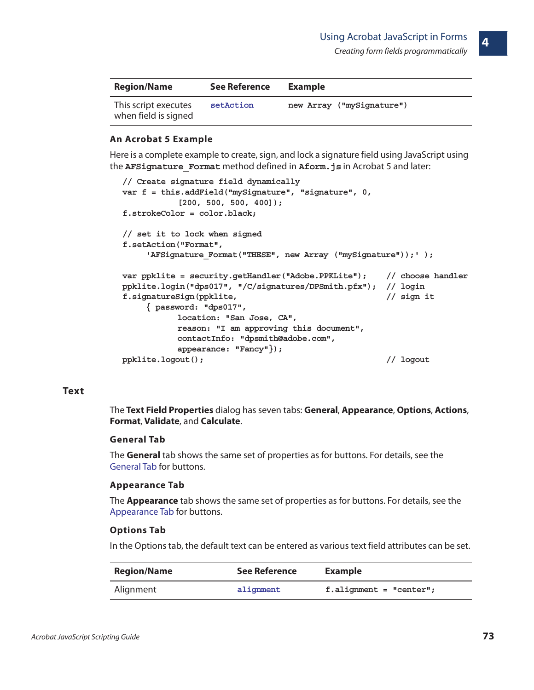**4**

| <b>Region/Name</b>                           | See Reference | <b>Example</b>            |
|----------------------------------------------|---------------|---------------------------|
| This script executes<br>when field is signed | setAction     | new Array ("mySignature") |

#### **An Acrobat 5 Example**

Here is a complete example to create, sign, and lock a signature field using JavaScript using the **AFSignature\_Format** method defined in **Aform.js** in Acrobat 5 and later:

```
// Create signature field dynamically
var f = this.addField("mySignature", "signature", 0, 
          [200, 500, 500, 400]);
f.strokeColor = color.black;
// set it to lock when signed
f.setAction("Format", 
    'AFSignature Format("THESE", new Array ("mySignature"));' );
var ppklite = security.getHandler("Adobe.PPKLite"); // choose handler
ppklite.login("dps017", "/C/signatures/DPSmith.pfx"); // login
f.signatureSign(ppklite, // sign it
    { password: "dps017",
          location: "San Jose, CA", 
          reason: "I am approving this document", 
          contactInfo: "dpsmith@adobe.com", 
          appearance: "Fancy"});
ppklite.logout(); // logout
```
#### **Text**

The **Text Field Properties** dialog has seven tabs: **General**, **Appearance**, **Options**, **Actions**, **Format**, **Validate**, and **Calculate**.

#### **General Tab**

The **General** tab shows the same set of properties as for buttons. For details, see the [General Tab](#page-63-0) for buttons.

#### **Appearance Tab**

The **Appearance** tab shows the same set of properties as for buttons. For details, see the [Appearance Tab](#page-64-0) for buttons.

#### **Options Tab**

In the Options tab, the default text can be entered as various text field attributes can be set.

| <b>Region/Name</b> | See Reference | <b>Example</b>             |
|--------------------|---------------|----------------------------|
| Alignment          | alignment     | $f.$ alignment = "center"; |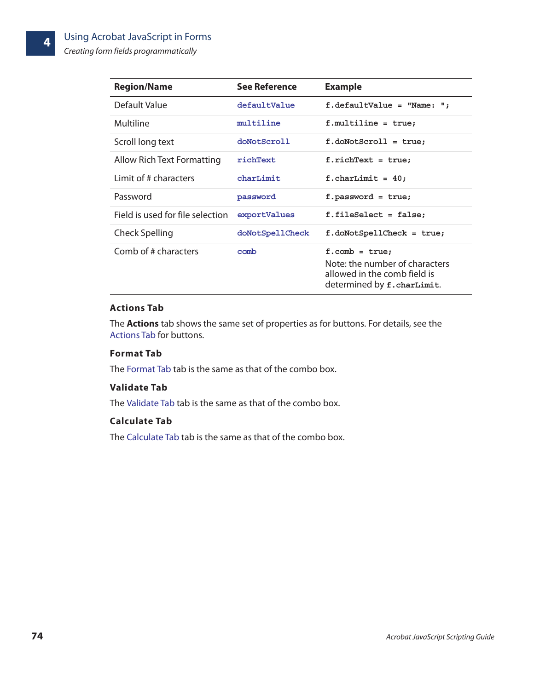**4**

| <b>Region/Name</b>               | <b>See Reference</b> | <b>Example</b>                                                                                                   |
|----------------------------------|----------------------|------------------------------------------------------------------------------------------------------------------|
| Default Value                    | defaultValue         | f.defaultValue = "Name: ";                                                                                       |
| Multiline                        | multiline            | $f.multiplet = true;$                                                                                            |
| Scroll long text                 | doNotScroll          | $f.doNotScroll = true;$                                                                                          |
| Allow Rich Text Formatting       | richText             | $f.richText = true;$                                                                                             |
| Limit of # characters            | charLimit            | f.charLimit = $40$ ;                                                                                             |
| Password                         | password             | $f.\text{password} = true;$                                                                                      |
| Field is used for file selection | exportValues         | $f.fileSelect = false;$                                                                                          |
| Check Spelling                   | doNotSpellCheck      | $f.doNotSpellCheck = true;$                                                                                      |
| Comb of # characters             | comb                 | $f.comb = true;$<br>Note: the number of characters<br>allowed in the comb field is<br>determined by f.charLimit. |

#### **Actions Tab**

The **Actions** tab shows the same set of properties as for buttons. For details, see the [Actions Tab](#page-65-0) for buttons.

#### **Format Tab**

The [Format Tab](#page-67-0) tab is the same as that of the combo box.

#### **Validate Tab**

The [Validate Tab](#page-68-0) tab is the same as that of the combo box.

#### **Calculate Tab**

The [Calculate Tab](#page-69-0) tab is the same as that of the combo box.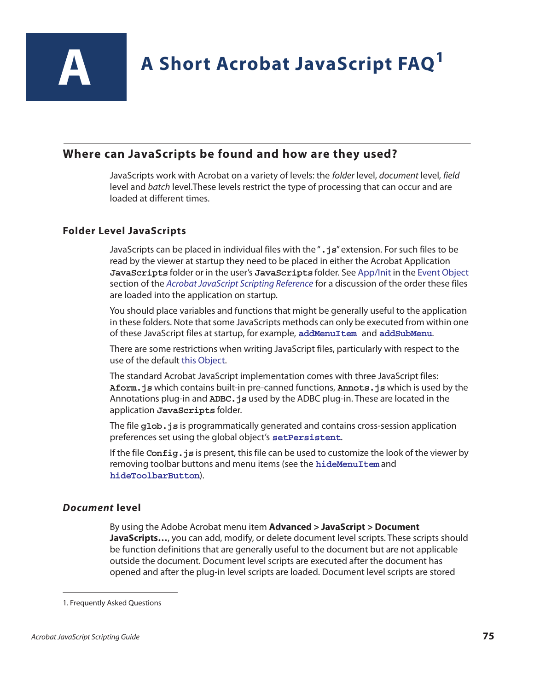# <span id="page-74-0"></span>**Where can JavaScripts be found and how are they used?**

JavaScripts work with Acrobat on a variety of levels: the folder level, document level, field level and batch level. These levels restrict the type of processing that can occur and are loaded at different times.

## **Folder Level JavaScripts**

JavaScripts can be placed in individual files with the "**.js**" extension. For such files to be read by the viewer at startup they need to be placed in either the Acrobat Application **JavaScripts** folder or in the user's **JavaScripts** folder. See App/Init in the Event Object section of the Acrobat JavaScript Scripting Reference for a discussion of the order these files are loaded into the application on startup.

You should place variables and functions that might be generally useful to the application in these folders. Note that some JavaScripts methods can only be executed from within one of these JavaScript files at startup, for example, **addMenuItem** and **addSubMenu**.

There are some restrictions when writing JavaScript files, particularly with respect to the use of the default this Object.

The standard Acrobat JavaScript implementation comes with three JavaScript files: **Aform.js** which contains built-in pre-canned functions, **Annots.js** which is used by the Annotations plug-in and **ADBC.js** used by the ADBC plug-in. These are located in the application **JavaScripts** folder.

The file **glob.js** is programmatically generated and contains cross-session application preferences set using the global object's **setPersistent**.

If the file **Config.js** is present, this file can be used to customize the look of the viewer by removing toolbar buttons and menu items (see the **hideMenuItem** and **hideToolbarButton**).

## **Document level**

By using the Adobe Acrobat menu item **Advanced > JavaScript > Document**  JavaScripts..., you can add, modify, or delete document level scripts. These scripts should be function definitions that are generally useful to the document but are not applicable outside the document. Document level scripts are executed after the document has opened and after the plug-in level scripts are loaded. Document level scripts are stored

<sup>1.</sup> Frequently Asked Questions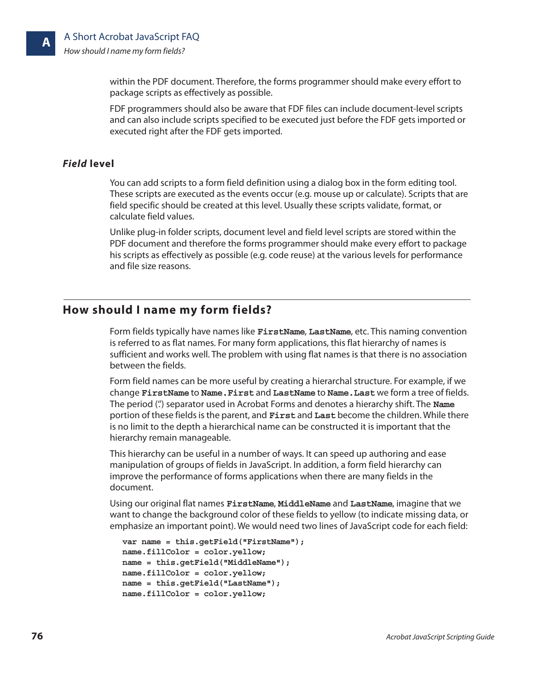within the PDF document. Therefore, the forms programmer should make every effort to package scripts as effectively as possible.

FDF programmers should also be aware that FDF files can include document-level scripts and can also include scripts specified to be executed just before the FDF gets imported or executed right after the FDF gets imported.

#### **Field level**

You can add scripts to a form field definition using a dialog box in the form editing tool. These scripts are executed as the events occur (e.g. mouse up or calculate). Scripts that are field specific should be created at this level. Usually these scripts validate, format, or calculate field values.

Unlike plug-in folder scripts, document level and field level scripts are stored within the PDF document and therefore the forms programmer should make every effort to package his scripts as effectively as possible (e.g. code reuse) at the various levels for performance and file size reasons.

## **How should I name my form fields?**

Form fields typically have names like **FirstName**, **LastName**, etc. This naming convention is referred to as flat names. For many form applications, this flat hierarchy of names is sufficient and works well. The problem with using flat names is that there is no association between the fields.

Form field names can be more useful by creating a hierarchal structure. For example, if we change **FirstName** to **Name.First** and **LastName** to **Name.Last** we form a tree of fields. The period ('.') separator used in Acrobat Forms and denotes a hierarchy shift. The **Name** portion of these fields is the parent, and **First**and **Last**become the children. While there is no limit to the depth a hierarchical name can be constructed it is important that the hierarchy remain manageable.

This hierarchy can be useful in a number of ways. It can speed up authoring and ease manipulation of groups of fields in JavaScript. In addition, a form field hierarchy can improve the performance of forms applications when there are many fields in the document.

Using our original flat names **FirstName**, **MiddleName** and **LastName**, imagine that we want to change the background color of these fields to yellow (to indicate missing data, or emphasize an important point). We would need two lines of JavaScript code for each field:

```
var name = this.getField("FirstName");
name.fillColor = color.yellow;
name = this.getField("MiddleName");
name.fillColor = color.yellow;
name = this.getField("LastName");
name.fillColor = color.yellow;
```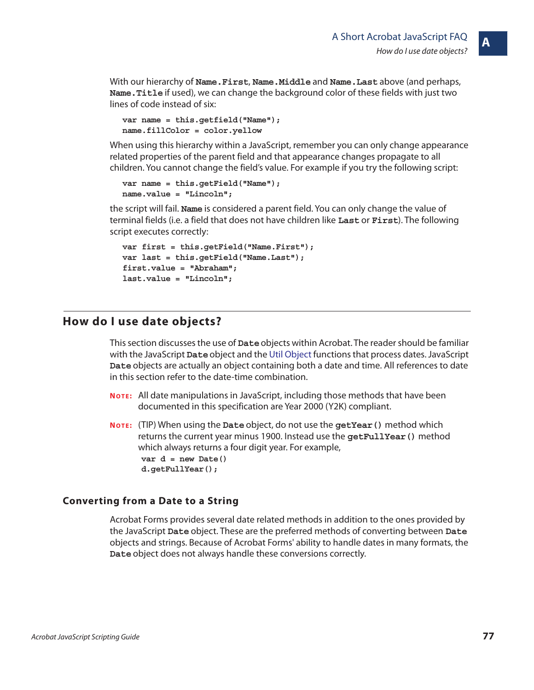With our hierarchy of **Name.First**, **Name.Middle** and **Name.Last** above (and perhaps, **Name.Title** if used), we can change the background color of these fields with just two lines of code instead of six:

```
var name = this.getfield("Name");
name.fillColor = color.yellow
```
When using this hierarchy within a JavaScript, remember you can only change appearance related properties of the parent field and that appearance changes propagate to all children. You cannot change the field's value. For example if you try the following script:

```
var name = this.getField("Name");
name.value = "Lincoln";
```
the script will fail. **Name** is considered a parent field. You can only change the value of terminal fields (i.e. a field that does not have children like **Last** or **First**). The following script executes correctly:

```
var first = this.getField("Name.First");
var last = this.getField("Name.Last");
first.value = "Abraham";
last.value = "Lincoln";
```
# **How do I use date objects?**

This section discusses the use of **Date**objects within Acrobat. The reader should be familiar with the JavaScript **Date**object and the Util Object functions that process dates. JavaScript **Date** objects are actually an object containing both a date and time. All references to date in this section refer to the date-time combination.

- **NOTE:** All date manipulations in JavaScript, including those methods that have been documented in this specification are Year 2000 (Y2K) compliant.
- **NOTE:** (TIP) When using the **Date** object, do not use the **getYear()** method which returns the current year minus 1900. Instead use the **getFullYear()** method which always returns a four digit year. For example, **var d = new Date() d.getFullYear();**

## **Converting from a Date to a String**

Acrobat Forms provides several date related methods in addition to the ones provided by the JavaScript **Date** object. These are the preferred methods of converting between **Date** objects and strings. Because of Acrobat Forms' ability to handle dates in many formats, the **Date** object does not always handle these conversions correctly.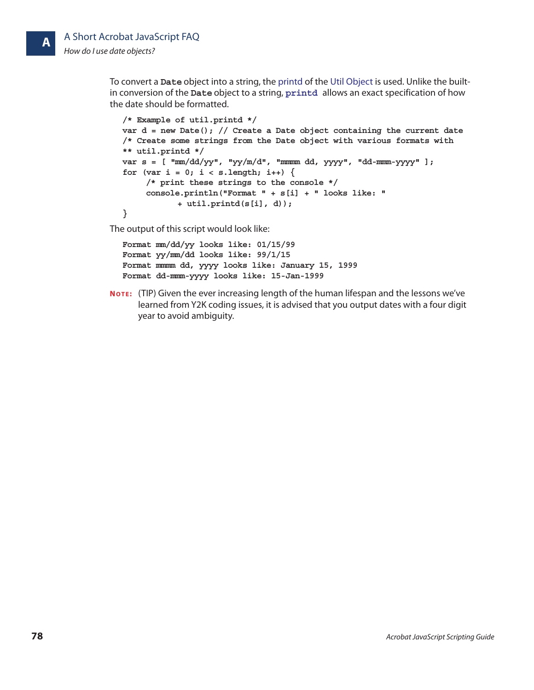To convert a **Date** object into a string, the printd of the Util Object is used. Unlike the builtin conversion of the **Date** object to a string, **printd** allows an exact specification of how the date should be formatted.

```
/* Example of util.printd */
var d = new Date(); // Create a Date object containing the current date
/* Create some strings from the Date object with various formats with 
** util.printd */
var s = [ "mm/dd/yy", "yy/m/d", "mmmm dd, yyyy", "dd-mmm-yyyy" ];
for (var i = 0; i < s.length; i++) {
     /* print these strings to the console */
     console.println("Format " + s[i] + " looks like: "
           + util.printd(s[i], d));
}
```
The output of this script would look like:

```
Format mm/dd/yy looks like: 01/15/99
Format yy/mm/dd looks like: 99/1/15
Format mmmm dd, yyyy looks like: January 15, 1999
Format dd-mmm-yyyy looks like: 15-Jan-1999
```
**NOTE:** (TIP) Given the ever increasing length of the human lifespan and the lessons we've learned from Y2K coding issues, it is advised that you output dates with a four digit year to avoid ambiguity.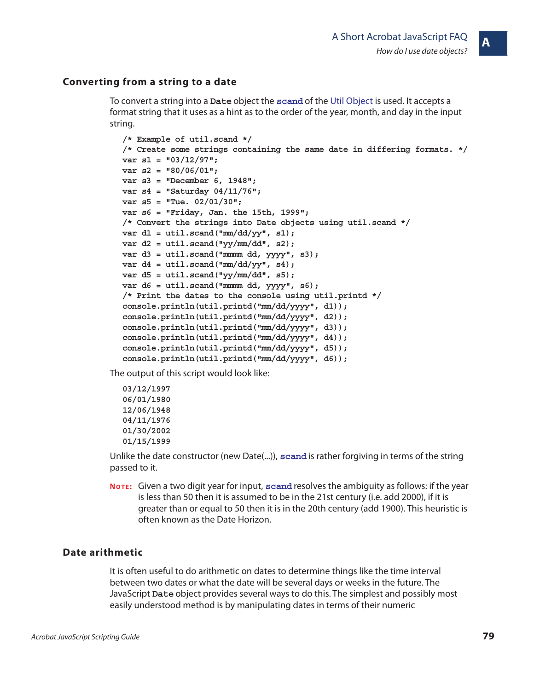### **Converting from a string to a date**

To convert a string into a **Date** object the **scand** of the Util Object is used. It accepts a format string that it uses as a hint as to the order of the year, month, and day in the input string.

```
/* Example of util.scand */
/* Create some strings containing the same date in differing formats. */
var s1 = "03/12/97";
var s2 = "80/06/01";
var s3 = "December 6, 1948";
var s4 = "Saturday 04/11/76";
var s5 = "Tue. 02/01/30";
var s6 = "Friday, Jan. the 15th, 1999";
/* Convert the strings into Date objects using util.scand */
var d1 = util.scand("mm/dd/yy", s1);
var d2 = util.scand("yy/mm/dd", s2);
var d3 = util.scand("mmmm dd, yyyy", s3);
var d4 = util.scand("mm/dd/yy", s4);
var d5 = util.scand("yy/mm/dd", s5);
var d6 = util.scand("mmmm dd, yyyy", s6);
/* Print the dates to the console using util.printd */
console.println(util.printd("mm/dd/yyyy", d1));
console.println(util.printd("mm/dd/yyyy", d2));
console.println(util.printd("mm/dd/yyyy", d3));
console.println(util.printd("mm/dd/yyyy", d4));
console.println(util.printd("mm/dd/yyyy", d5));
console.println(util.printd("mm/dd/yyyy", d6));
```
The output of this script would look like:

**03/12/1997 06/01/1980 12/06/1948 04/11/1976 01/30/2002 01/15/1999**

Unlike the date constructor (new Date(...)), **scand** is rather forgiving in terms of the string passed to it.

**NOTE:** Given a two digit year for input, **scand** resolves the ambiguity as follows: if the year is less than 50 then it is assumed to be in the 21st century (i.e. add 2000), if it is greater than or equal to 50 then it is in the 20th century (add 1900). This heuristic is often known as the Date Horizon.

#### **Date arithmetic**

It is often useful to do arithmetic on dates to determine things like the time interval between two dates or what the date will be several days or weeks in the future. The JavaScript **Date** object provides several ways to do this. The simplest and possibly most easily understood method is by manipulating dates in terms of their numeric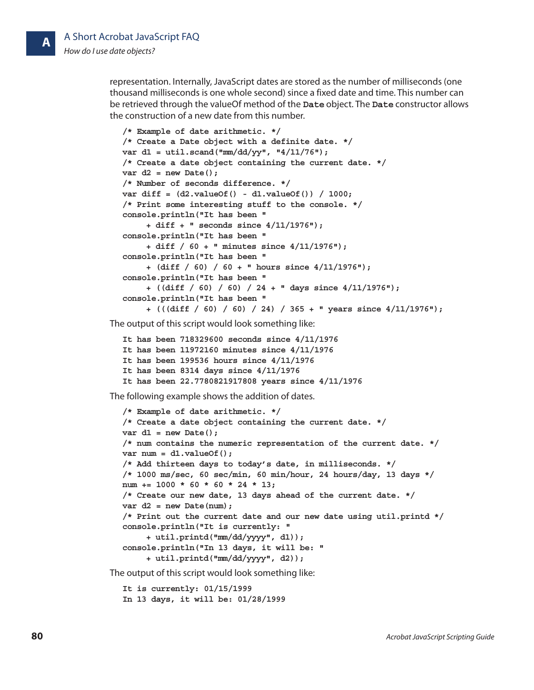representation. Internally, JavaScript dates are stored as the number of milliseconds (one thousand milliseconds is one whole second) since a fixed date and time. This number can be retrieved through the valueOf method of the **Date** object. The **Date** constructor allows the construction of a new date from this number.

```
/* Example of date arithmetic. */
/* Create a Date object with a definite date. */
var d1 = util.scand("mm/dd/yy", "4/11/76");
/* Create a date object containing the current date. */
var d2 = new Date();
/* Number of seconds difference. */
var diff = (d2.valueOf() - d1.valueOf()) / 1000;
/* Print some interesting stuff to the console. */
console.println("It has been " 
     + diff + " seconds since 4/11/1976");
console.println("It has been " 
     + diff / 60 + " minutes since 4/11/1976");
console.println("It has been " 
     + (diff / 60) / 60 + " hours since 4/11/1976");
console.println("It has been " 
     + ((diff / 60) / 60) / 24 + " days since 4/11/1976");
console.println("It has been " 
     + (((diff / 60) / 60) / 24) / 365 + " years since 4/11/1976");
```
The output of this script would look something like:

```
It has been 718329600 seconds since 4/11/1976
It has been 11972160 minutes since 4/11/1976
It has been 199536 hours since 4/11/1976
It has been 8314 days since 4/11/1976
It has been 22.7780821917808 years since 4/11/1976
```
The following example shows the addition of dates.

```
/* Example of date arithmetic. */
/* Create a date object containing the current date. */
var d1 = new Date();
/* num contains the numeric representation of the current date. */
var num = d1.valueOf();
/* Add thirteen days to today's date, in milliseconds. */
/* 1000 ms/sec, 60 sec/min, 60 min/hour, 24 hours/day, 13 days */
num += 1000 * 60 * 60 * 24 * 13;
/* Create our new date, 13 days ahead of the current date. */
var d2 = new Date(num);
/* Print out the current date and our new date using util.printd */
console.println("It is currently: " 
     + util.printd("mm/dd/yyyy", d1));
console.println("In 13 days, it will be: " 
     + util.printd("mm/dd/yyyy", d2));
```
The output of this script would look something like:

```
It is currently: 01/15/1999
In 13 days, it will be: 01/28/1999
```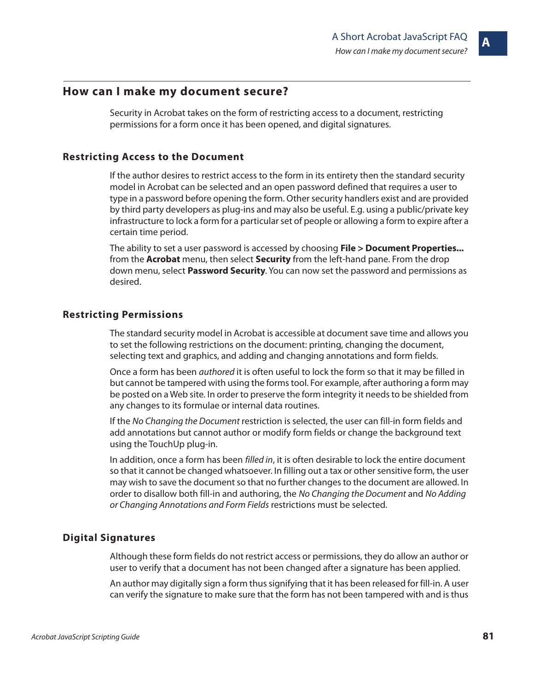## **How can I make my document secure?**

Security in Acrobat takes on the form of restricting access to a document, restricting permissions for a form once it has been opened, and digital signatures.

#### **Restricting Access to the Document**

If the author desires to restrict access to the form in its entirety then the standard security model in Acrobat can be selected and an open password defined that requires a user to type in a password before opening the form. Other security handlers exist and are provided by third party developers as plug-ins and may also be useful. E.g. using a public/private key infrastructure to lock a form for a particular set of people or allowing a form to expire after a certain time period.

The ability to set a user password is accessed by choosing **File > Document Properties...**  from the **Acrobat** menu, then select **Security** from the left-hand pane. From the drop down menu, select **Password Security**. You can now set the password and permissions as desired.

#### **Restricting Permissions**

The standard security model in Acrobat is accessible at document save time and allows you to set the following restrictions on the document: printing, changing the document, selecting text and graphics, and adding and changing annotations and form fields.

Once a form has been *authored* it is often useful to lock the form so that it may be filled in but cannot be tampered with using the forms tool. For example, after authoring a form may be posted on a Web site. In order to preserve the form integrity it needs to be shielded from any changes to its formulae or internal data routines.

If the No Changing the Document restriction is selected, the user can fill-in form fields and add annotations but cannot author or modify form fields or change the background text using the TouchUp plug-in.

In addition, once a form has been filled in, it is often desirable to lock the entire document so that it cannot be changed whatsoever. In filling out a tax or other sensitive form, the user may wish to save the document so that no further changes to the document are allowed. In order to disallow both fill-in and authoring, the No Changing the Document and No Adding or Changing Annotations and Form Fields restrictions must be selected.

#### **Digital Signatures**

Although these form fields do not restrict access or permissions, they do allow an author or user to verify that a document has not been changed after a signature has been applied.

An author may digitally sign a form thus signifying that it has been released for fill-in. A user can verify the signature to make sure that the form has not been tampered with and is thus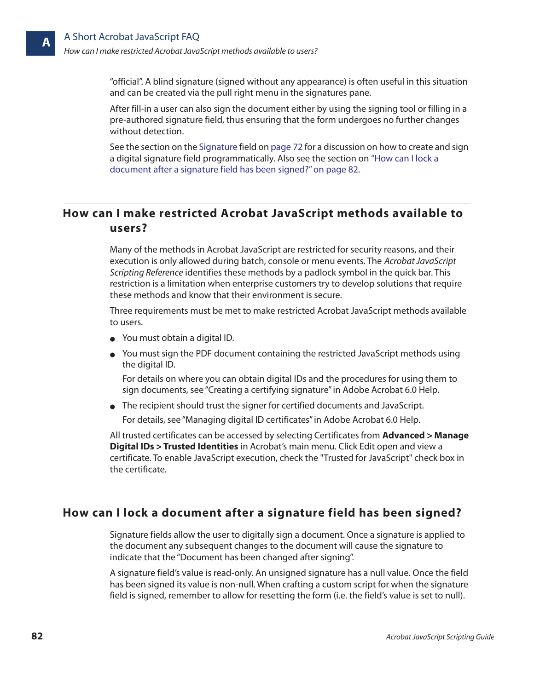"official". A blind signature (signed without any appearance) is often useful in this situation and can be created via the pull right menu in the signatures pane.

After fill-in a user can also sign the document either by using the signing tool or filling in a pre-authored signature field, thus ensuring that the form undergoes no further changes without detection.

See the section on the [Signature](#page-71-0) field on [page 72](#page-71-0) for a discussion on how to create and sign a digital signature field programmatically. Also see the section on ["How can I lock a](#page-81-0)  [document after a signature field has been signed?" on page 82.](#page-81-0)

# **How can I make restricted Acrobat JavaScript methods available to users?**

Many of the methods in Acrobat JavaScript are restricted for security reasons, and their execution is only allowed during batch, console or menu events. The Acrobat JavaScript Scripting Reference identifies these methods by a padlock symbol in the quick bar. This restriction is a limitation when enterprise customers try to develop solutions that require these methods and know that their environment is secure.

Three requirements must be met to make restricted Acrobat JavaScript methods available to users.

- You must obtain a digital ID.
- You must sign the PDF document containing the restricted JavaScript methods using the digital ID.

For details on where you can obtain digital IDs and the procedures for using them to sign documents, see "Creating a certifying signature" in Adobe Acrobat 6.0 Help.

● The recipient should trust the signer for certified documents and JavaScript. For details, see "Managing digital ID certificates" in Adobe Acrobat 6.0 Help.

All trusted certificates can be accessed by selecting Certificates from **Advanced > Manage Digital IDs > Trusted Identities** in Acrobat's main menu. Click Edit open and view a certificate. To enable JavaScript execution, check the "Trusted for JavaScript" check box in the certificate.

# <span id="page-81-0"></span>**How can I lock a document after a signature field has been signed?**

Signature fields allow the user to digitally sign a document. Once a signature is applied to the document any subsequent changes to the document will cause the signature to indicate that the "Document has been changed after signing".

A signature field's value is read-only. An unsigned signature has a null value. Once the field has been signed its value is non-null. When crafting a custom script for when the signature field is signed, remember to allow for resetting the form (i.e. the field's value is set to null).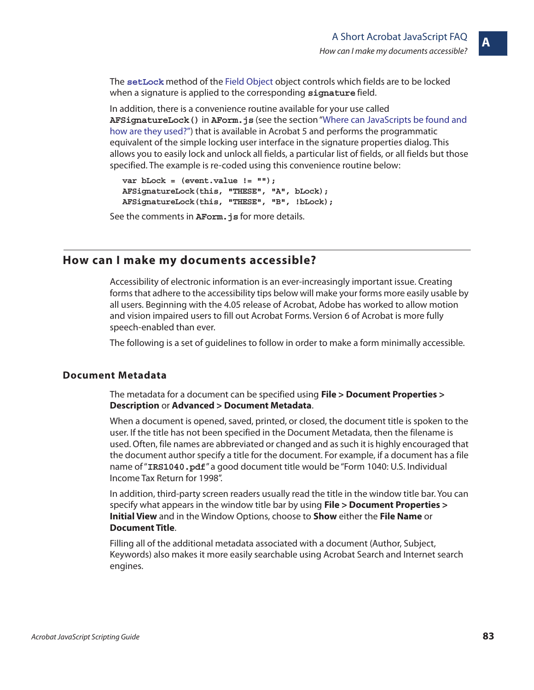The **setLock** method of the Field Object object controls which fields are to be locked when a signature is applied to the corresponding **signature** field.

In addition, there is a convenience routine available for your use called **AFSignatureLock()** in **AForm.js** (see the section ["Where can JavaScripts be found and](#page-74-0)  [how are they used?"](#page-74-0)) that is available in Acrobat 5 and performs the programmatic equivalent of the simple locking user interface in the signature properties dialog. This allows you to easily lock and unlock all fields, a particular list of fields, or all fields but those specified. The example is re-coded using this convenience routine below:

```
var bLock = (event.value != "");
AFSignatureLock(this, "THESE", "A", bLock);
AFSignatureLock(this, "THESE", "B", !bLock);
```
See the comments in AForm. is for more details.

## **How can I make my documents accessible?**

Accessibility of electronic information is an ever-increasingly important issue. Creating forms that adhere to the accessibility tips below will make your forms more easily usable by all users. Beginning with the 4.05 release of Acrobat, Adobe has worked to allow motion and vision impaired users to fill out Acrobat Forms. Version 6 of Acrobat is more fully speech-enabled than ever.

The following is a set of guidelines to follow in order to make a form minimally accessible.

#### **Document Metadata**

The metadata for a document can be specified using **File > Document Properties > Description** or **Advanced > Document Metadata**.

When a document is opened, saved, printed, or closed, the document title is spoken to the user. If the title has not been specified in the Document Metadata, then the filename is used. Often, file names are abbreviated or changed and as such it is highly encouraged that the document author specify a title for the document. For example, if a document has a file name of "**IRS1040.pdf**" a good document title would be "Form 1040: U.S. Individual Income Tax Return for 1998".

In addition, third-party screen readers usually read the title in the window title bar. You can specify what appears in the window title bar by using **File > Document Properties > Initial View** and in the Window Options, choose to **Show** either the **File Name** or **Document Title**.

Filling all of the additional metadata associated with a document (Author, Subject, Keywords) also makes it more easily searchable using Acrobat Search and Internet search engines.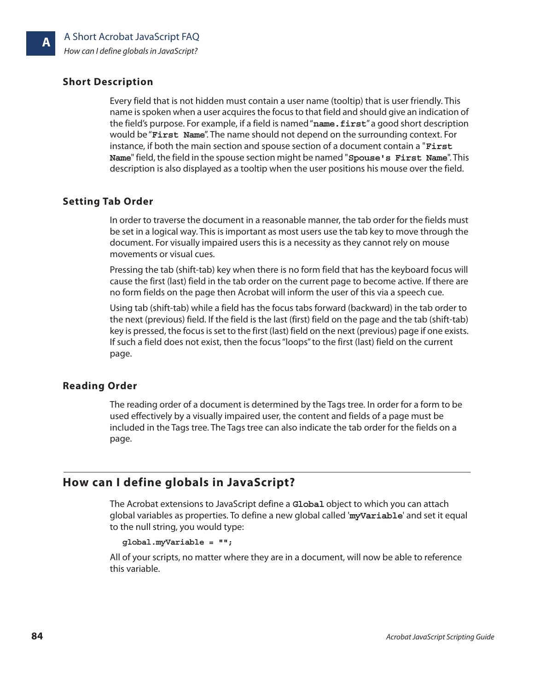## **Short Description**

Every field that is not hidden must contain a user name (tooltip) that is user friendly. This name is spoken when a user acquires the focus to that field and should give an indication of the field's purpose. For example, if a field is named "**name.first**" a good short description would be "**First Name**". The name should not depend on the surrounding context. For instance, if both the main section and spouse section of a document contain a "**First Name**" field, the field in the spouse section might be named "**Spouse's First Name**". This description is also displayed as a tooltip when the user positions his mouse over the field.

## **Setting Tab Order**

In order to traverse the document in a reasonable manner, the tab order for the fields must be set in a logical way. This is important as most users use the tab key to move through the document. For visually impaired users this is a necessity as they cannot rely on mouse movements or visual cues.

Pressing the tab (shift-tab) key when there is no form field that has the keyboard focus will cause the first (last) field in the tab order on the current page to become active. If there are no form fields on the page then Acrobat will inform the user of this via a speech cue.

Using tab (shift-tab) while a field has the focus tabs forward (backward) in the tab order to the next (previous) field. If the field is the last (first) field on the page and the tab (shift-tab) key is pressed, the focus is set to the first (last) field on the next (previous) page if one exists. If such a field does not exist, then the focus "loops" to the first (last) field on the current page.

## **Reading Order**

The reading order of a document is determined by the Tags tree. In order for a form to be used effectively by a visually impaired user, the content and fields of a page must be included in the Tags tree. The Tags tree can also indicate the tab order for the fields on a page.

# **How can I define globals in JavaScript?**

The Acrobat extensions to JavaScript define a **Global** object to which you can attach global variables as properties. To define a new global called '**myVariable**' and set it equal to the null string, you would type:

```
global.myVariable = "";
```
All of your scripts, no matter where they are in a document, will now be able to reference this variable.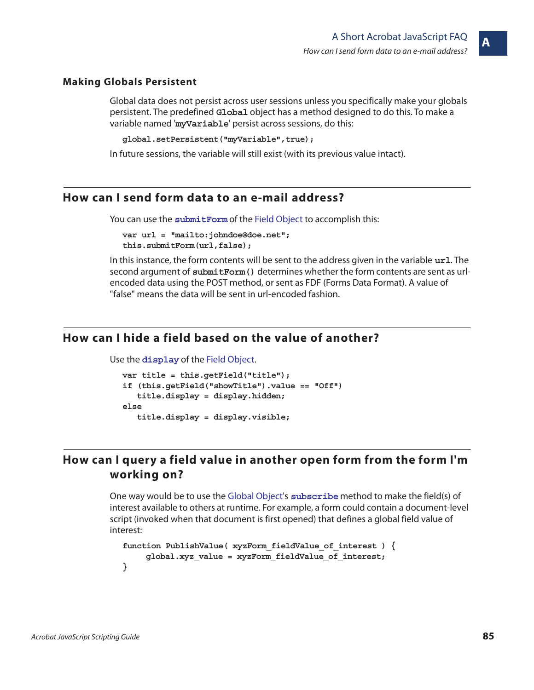#### **Making Globals Persistent**

Global data does not persist across user sessions unless you specifically make your globals persistent. The predefined **Global** object has a method designed to do this. To make a variable named '**myVariable**' persist across sessions, do this:

**global.setPersistent("myVariable",true);**

In future sessions, the variable will still exist (with its previous value intact).

## **How can I send form data to an e-mail address?**

You can use the **submitForm** of the Field Object to accomplish this:

```
var url = "mailto:johndoe@doe.net";
this.submitForm(url,false);
```
In this instance, the form contents will be sent to the address given in the variable **url**. The second argument of **submitForm()** determines whether the form contents are sent as urlencoded data using the POST method, or sent as FDF (Forms Data Format). A value of "false" means the data will be sent in url-encoded fashion.

## **How can I hide a field based on the value of another?**

Use the **display** of the Field Object.

```
var title = this.getField("title");
if (this.getField("showTitle").value == "Off")
    title.display = display.hidden;
else 
    title.display = display.visible;
```
# **How can I query a field value in another open form from the form I'm working on?**

One way would be to use the Global Object's **subscribe** method to make the field(s) of interest available to others at runtime. For example, a form could contain a document-level script (invoked when that document is first opened) that defines a global field value of interest:

```
function PublishValue( xyzForm_fieldValue_of_interest ) {
    global.xyz_value = xyzForm_fieldValue_of_interest;
}
```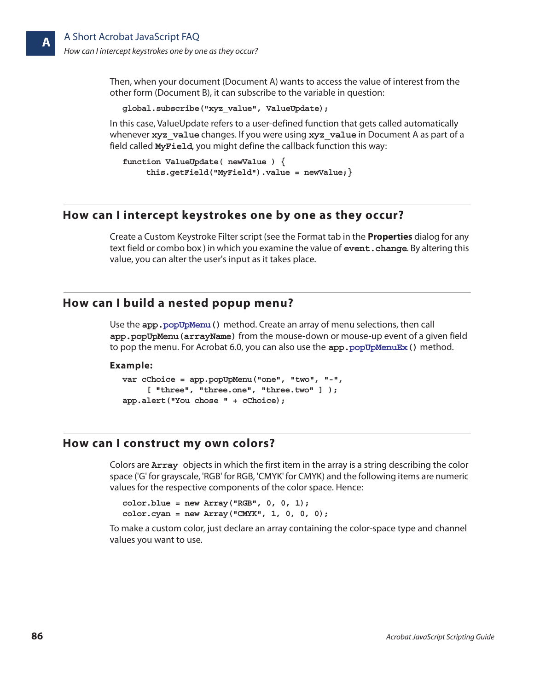Then, when your document (Document A) wants to access the value of interest from the other form (Document B), it can subscribe to the variable in question:

```
global.subscribe("xyz_value", ValueUpdate);
```
In this case, ValueUpdate refers to a user-defined function that gets called automatically whenever **xyz\_value** changes. If you were using **xyz\_value** in Document A as part of a field called **MyField**, you might define the callback function this way:

```
function ValueUpdate( newValue ) {
    this.getField("MyField").value = newValue;}
```
## **How can I intercept keystrokes one by one as they occur?**

Create a Custom Keystroke Filter script (see the Format tab in the **Properties** dialog for any text field or combo box ) in which you examine the value of **event.change**. By altering this value, you can alter the user's input as it takes place.

# **How can I build a nested popup menu?**

Use the **app.popUpMenu()** method. Create an array of menu selections, then call **app.popUpMenu(arrayName)** from the mouse-down or mouse-up event of a given field to pop the menu. For Acrobat 6.0, you can also use the **app.popUpMenuEx()** method.

#### **Example:**

```
var cChoice = app.popUpMenu("one", "two", "-", 
     [ "three", "three.one", "three.two" ] );
app.alert("You chose " + cChoice);
```
## **How can I construct my own colors?**

Colors are **Array** objects in which the first item in the array is a string describing the color space ('G' for grayscale, 'RGB' for RGB, 'CMYK' for CMYK) and the following items are numeric values for the respective components of the color space. Hence:

```
color.blue = new Array("RGB", 0, 0, 1);
color.cyan = new Array("CMYK", 1, 0, 0, 0);
```
To make a custom color, just declare an array containing the color-space type and channel values you want to use.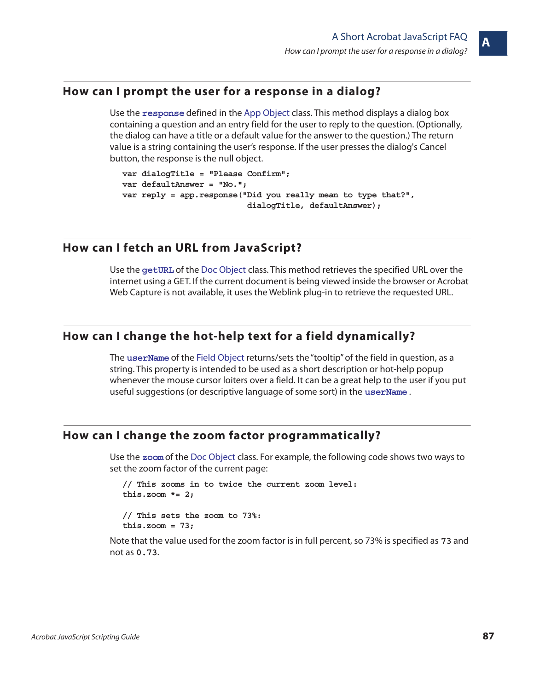## **How can I prompt the user for a response in a dialog?**

Use the **response** defined in the App Object class. This method displays a dialog box containing a question and an entry field for the user to reply to the question. (Optionally, the dialog can have a title or a default value for the answer to the question.) The return value is a string containing the user's response. If the user presses the dialog's Cancel button, the response is the null object.

```
var dialogTitle = "Please Confirm";
var defaultAnswer = "No.";
var reply = app.response("Did you really mean to type that?",
                           dialogTitle, defaultAnswer);
```
## **How can I fetch an URL from JavaScript?**

Use the **getURL** of the Doc Object class. This method retrieves the specified URL over the internet using a GET. If the current document is being viewed inside the browser or Acrobat Web Capture is not available, it uses the Weblink plug-in to retrieve the requested URL.

## **How can I change the hot-help text for a field dynamically?**

The **userName** of the Field Object returns/sets the "tooltip" of the field in question, as a string. This property is intended to be used as a short description or hot-help popup whenever the mouse cursor loiters over a field. It can be a great help to the user if you put useful suggestions (or descriptive language of some sort) in the **userName** .

## **How can I change the zoom factor programmatically?**

Use the **zoom** of the Doc Object class. For example, the following code shows two ways to set the zoom factor of the current page:

```
// This zooms in to twice the current zoom level:
this.zoom *= 2;
```
**// This sets the zoom to 73%: this.zoom = 73;**

Note that the value used for the zoom factor is in full percent, so 73% is specified as **73** and not as **0.73**.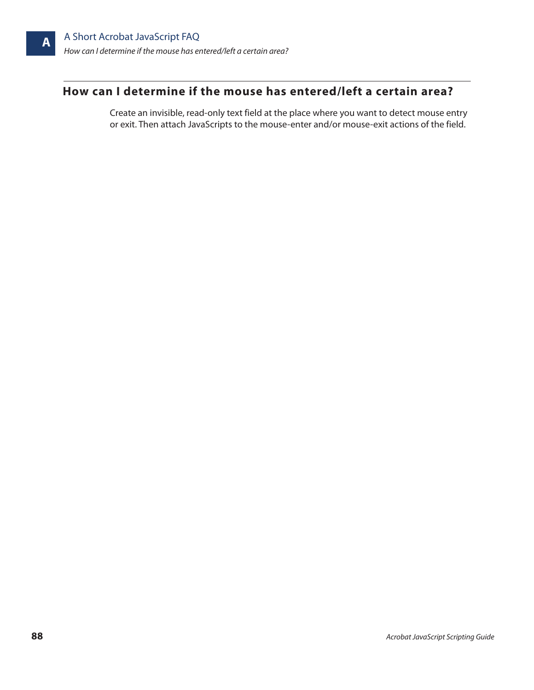# **How can I determine if the mouse has entered/left a certain area?**

Create an invisible, read-only text field at the place where you want to detect mouse entry or exit. Then attach JavaScripts to the mouse-enter and/or mouse-exit actions of the field.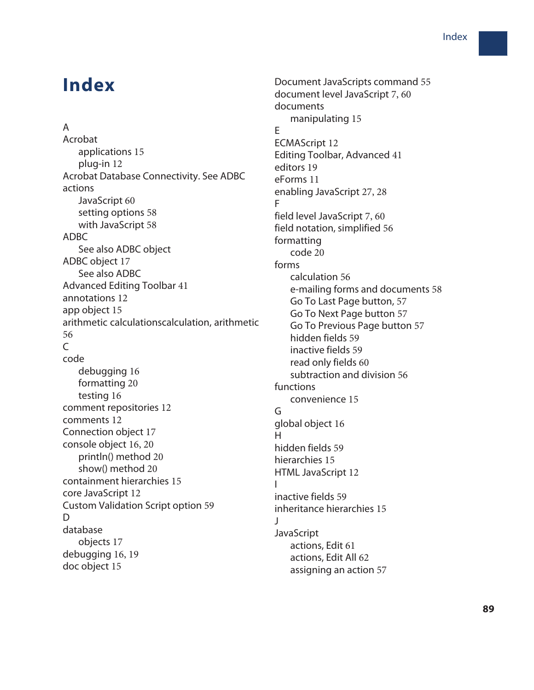# **Index**

A Acrobat applications [15](#page-14-0) plug-in [12](#page-11-0) [Acrobat Database Connectivity.](#page-16-0) See ADBC actions JavaScript [60](#page-59-0) setting options [58](#page-57-0) with JavaScript [58](#page-57-0) ADBC [See also](#page-16-0) ADBC object ADBC object [17](#page-16-0) [See also](#page-16-0) ADBC Advanced Editing Toolbar [41](#page-40-0) annotations [12](#page-11-1) app object 15 arithmetic [calculationscalculation, arithmetic](#page-14-0) [56](#page-55-0)  $\mathsf{C}$ code debugging [16](#page-15-0) formatting [20](#page-19-0) testing [16](#page-15-0) comment repositories [12](#page-11-1) comments [12](#page-11-1) Connection object [17](#page-16-0) console object [16,](#page-15-0) [20](#page-19-1) println() method [20](#page-19-2) show() method [20](#page-19-3) containment hierarchies [15](#page-14-1) core JavaScript [12](#page-11-2) Custom Validation Script option [59](#page-58-0)  $\mathsf{D}$ database objects [17](#page-16-0) debugging [16,](#page-15-0) [19](#page-18-0) doc object [15](#page-14-2)

Document JavaScripts command [55](#page-54-0) document level JavaScript [7,](#page-6-0) [60](#page-59-1) documents manipulating [15](#page-14-2) E ECMAScript [12](#page-11-2) Editing Toolbar, Advanced [41](#page-40-0) editors [19](#page-18-0) eForms [11](#page-10-0) enabling JavaScript [27,](#page-26-0) [28](#page-27-0) F field level JavaScript [7,](#page-6-1) [60](#page-59-1) field notation, simplified [56](#page-55-1) formatting code [20](#page-19-0) forms calculation [56](#page-55-0) e-mailing forms and documents [58](#page-57-1) Go To Last Page button, [57](#page-56-0) Go To Next Page button [57](#page-56-1) Go To Previous Page button [57](#page-56-0) hidden fields [59](#page-58-1) inactive fields [59](#page-58-1) read only fields [60](#page-59-2) subtraction and division [56](#page-55-2) functions convenience [15](#page-14-0) G global object [16](#page-15-1) H hidden fields [59](#page-58-1) hierarchies [15](#page-14-1) HTML JavaScript [12](#page-11-0) I inactive fields [59](#page-58-1) inheritance hierarchies [15](#page-14-1) J JavaScript actions, Edit [61](#page-60-0) actions, Edit All [62](#page-61-0) assigning an action [57](#page-56-2)